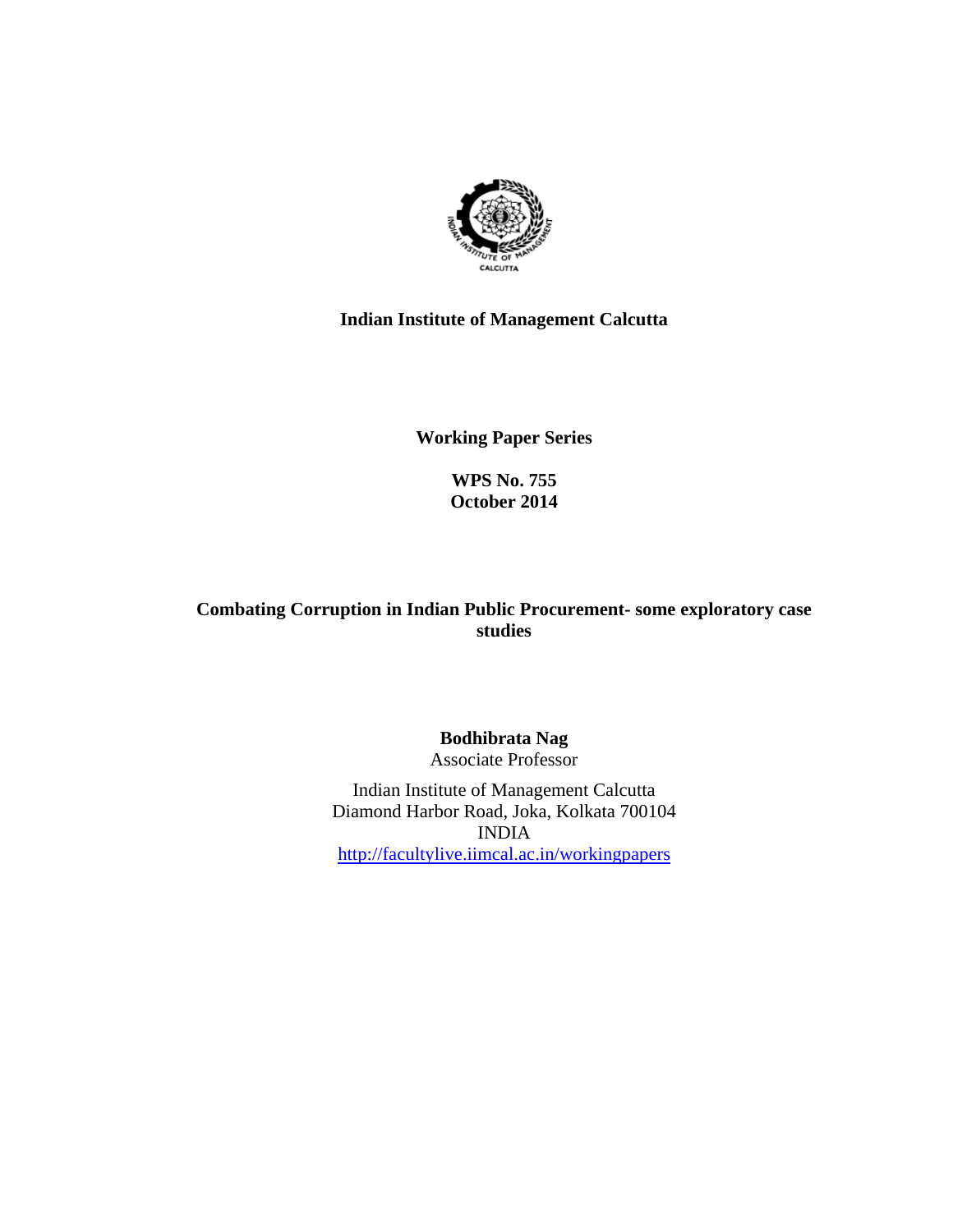

# **Indian Institute of Management Calcutta**

**Working Paper Series** 

**WPS No. 755 October 2014**

**Combating Corruption in Indian Public Procurement- some exploratory case studies** 

> **Bodhibrata Nag**  Associate Professor

Indian Institute of Management Calcutta Diamond Harbor Road, Joka, Kolkata 700104 INDIA http://facultylive.iimcal.ac.in/workingpapers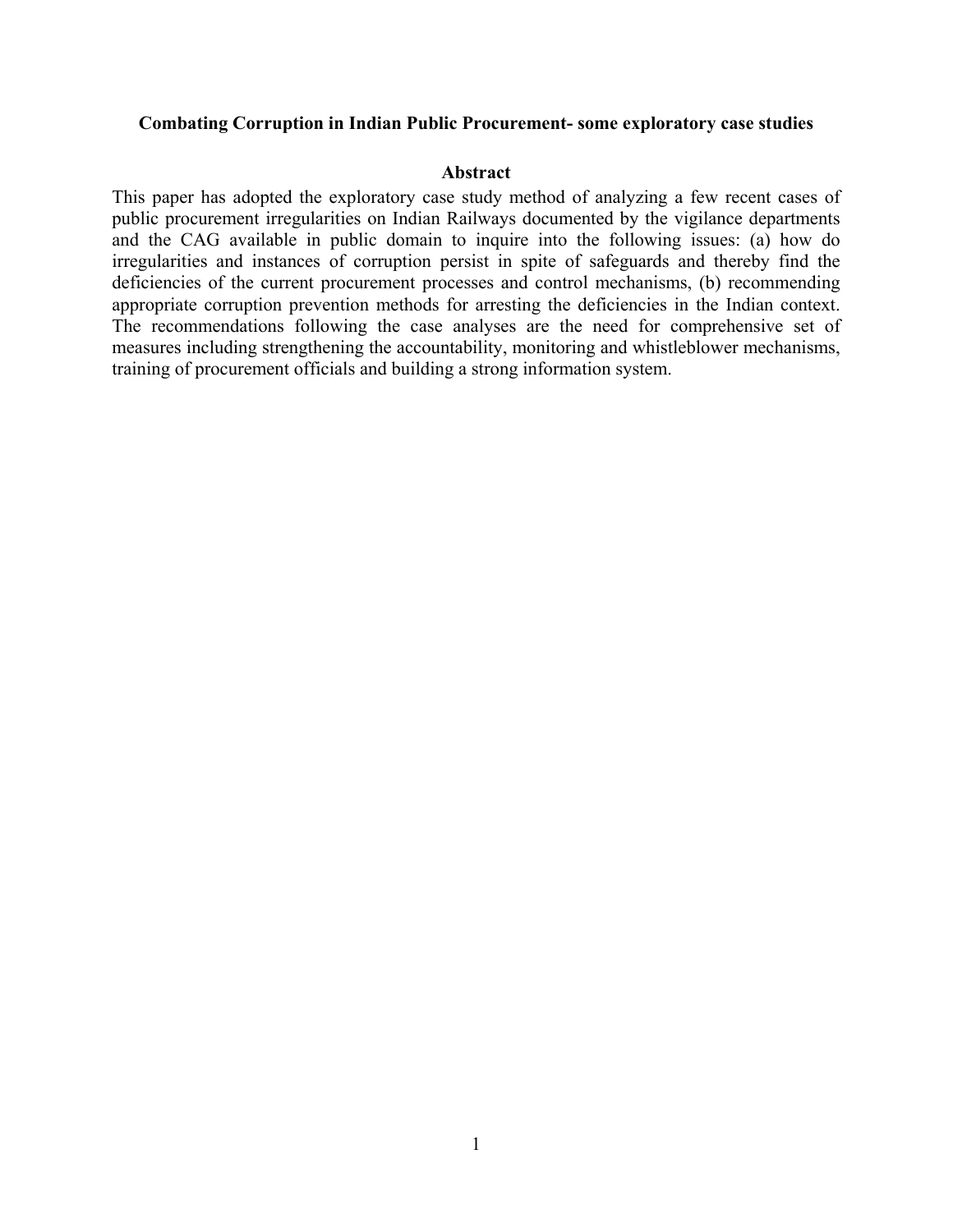#### **Combating Corruption in Indian Public Procurement- some exploratory case studies**

#### **Abstract**

This paper has adopted the exploratory case study method of analyzing a few recent cases of public procurement irregularities on Indian Railways documented by the vigilance departments and the CAG available in public domain to inquire into the following issues: (a) how do irregularities and instances of corruption persist in spite of safeguards and thereby find the deficiencies of the current procurement processes and control mechanisms, (b) recommending appropriate corruption prevention methods for arresting the deficiencies in the Indian context. The recommendations following the case analyses are the need for comprehensive set of measures including strengthening the accountability, monitoring and whistleblower mechanisms, training of procurement officials and building a strong information system.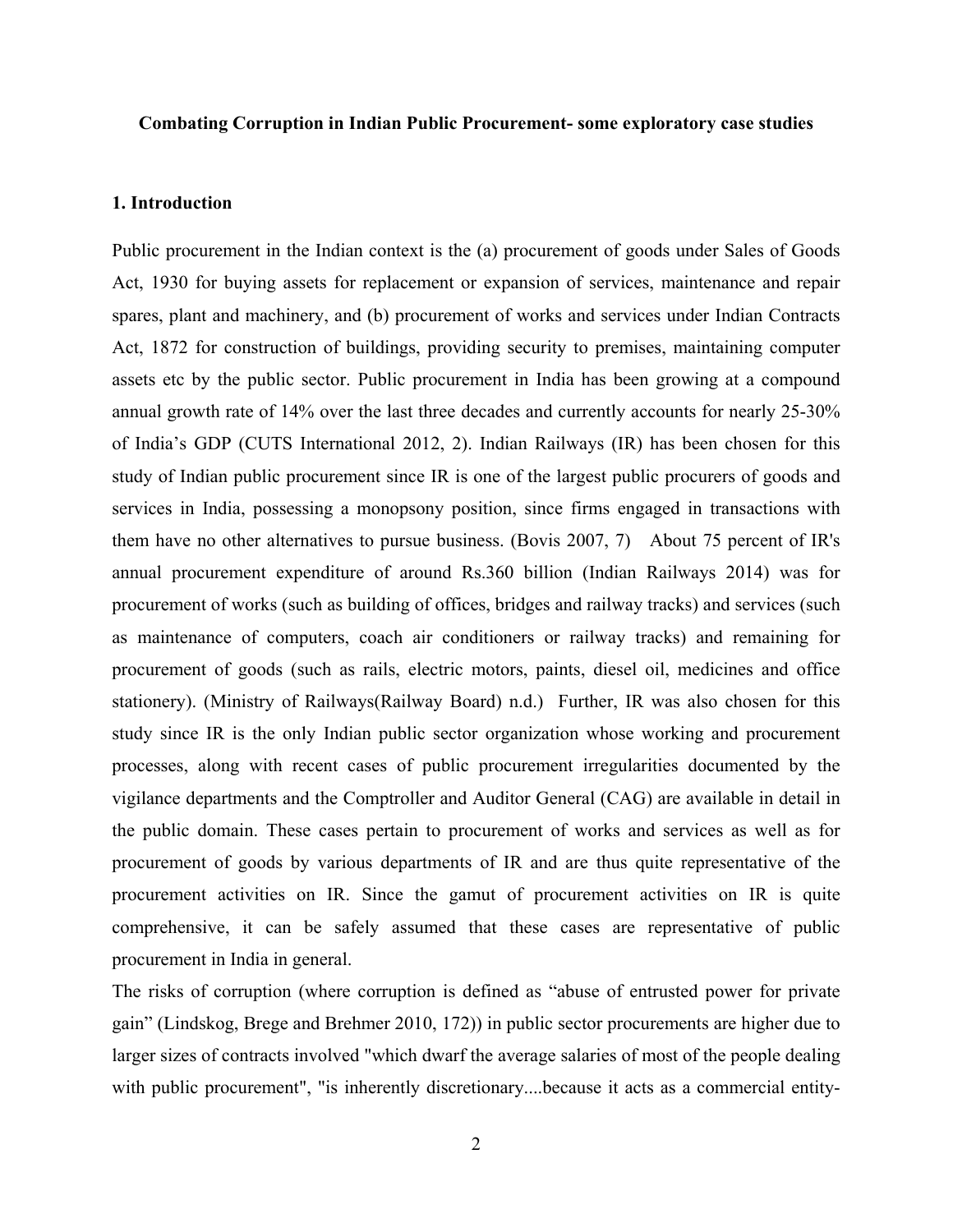## **Combating Corruption in Indian Public Procurement- some exploratory case studies**

## **1. Introduction**

Public procurement in the Indian context is the (a) procurement of goods under Sales of Goods Act, 1930 for buying assets for replacement or expansion of services, maintenance and repair spares, plant and machinery, and (b) procurement of works and services under Indian Contracts Act, 1872 for construction of buildings, providing security to premises, maintaining computer assets etc by the public sector. Public procurement in India has been growing at a compound annual growth rate of 14% over the last three decades and currently accounts for nearly 25-30% of India's GDP (CUTS International 2012, 2). Indian Railways (IR) has been chosen for this study of Indian public procurement since IR is one of the largest public procurers of goods and services in India, possessing a monopsony position, since firms engaged in transactions with them have no other alternatives to pursue business. (Bovis 2007, 7) About 75 percent of IR's annual procurement expenditure of around Rs.360 billion (Indian Railways 2014) was for procurement of works (such as building of offices, bridges and railway tracks) and services (such as maintenance of computers, coach air conditioners or railway tracks) and remaining for procurement of goods (such as rails, electric motors, paints, diesel oil, medicines and office stationery). (Ministry of Railways(Railway Board) n.d.) Further, IR was also chosen for this study since IR is the only Indian public sector organization whose working and procurement processes, along with recent cases of public procurement irregularities documented by the vigilance departments and the Comptroller and Auditor General (CAG) are available in detail in the public domain. These cases pertain to procurement of works and services as well as for procurement of goods by various departments of IR and are thus quite representative of the procurement activities on IR. Since the gamut of procurement activities on IR is quite comprehensive, it can be safely assumed that these cases are representative of public procurement in India in general.

The risks of corruption (where corruption is defined as "abuse of entrusted power for private gain" (Lindskog, Brege and Brehmer 2010, 172)) in public sector procurements are higher due to larger sizes of contracts involved "which dwarf the average salaries of most of the people dealing with public procurement", "is inherently discretionary....because it acts as a commercial entity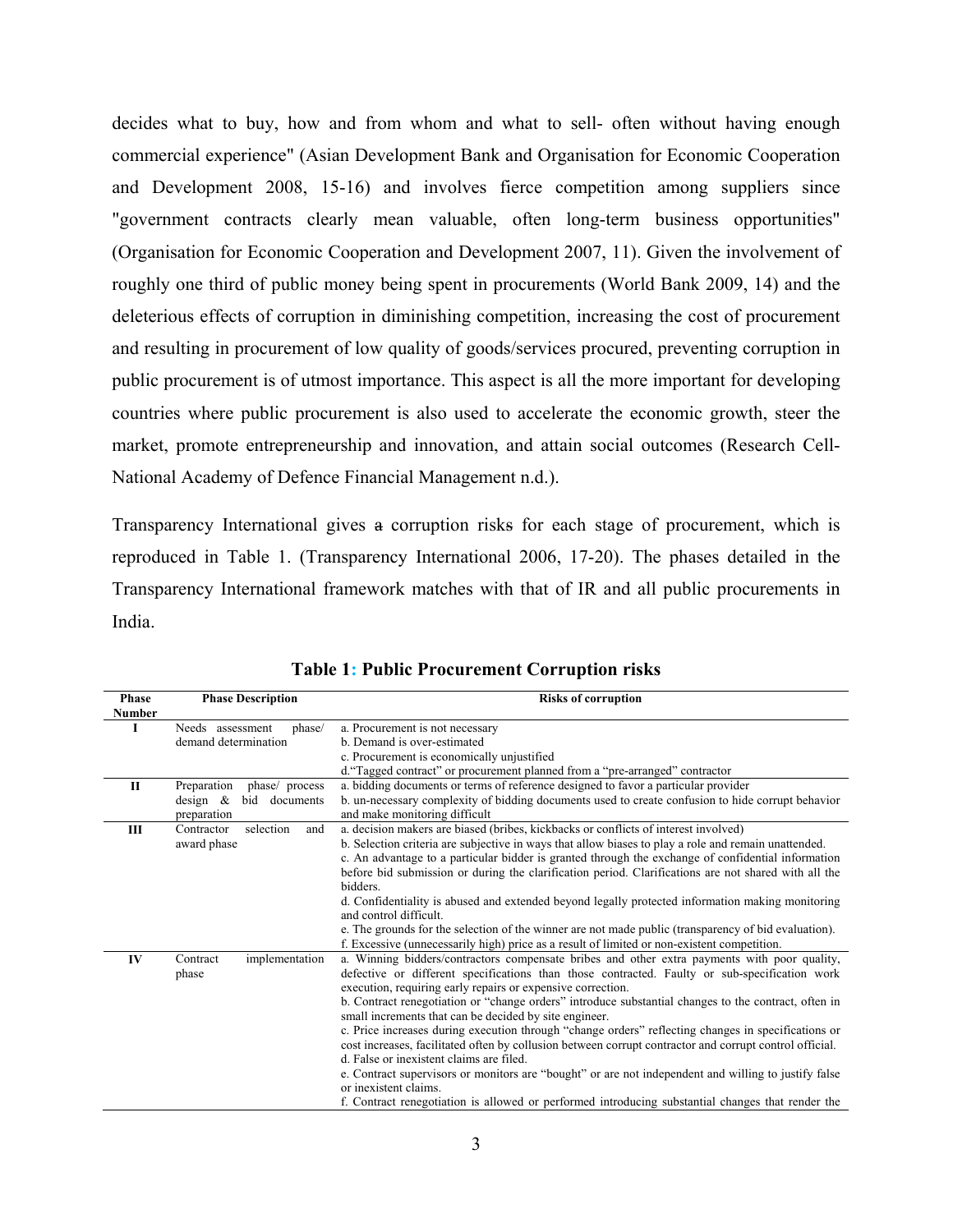decides what to buy, how and from whom and what to sell- often without having enough commercial experience" (Asian Development Bank and Organisation for Economic Cooperation and Development 2008, 15-16) and involves fierce competition among suppliers since "government contracts clearly mean valuable, often long-term business opportunities" (Organisation for Economic Cooperation and Development 2007, 11). Given the involvement of roughly one third of public money being spent in procurements (World Bank 2009, 14) and the deleterious effects of corruption in diminishing competition, increasing the cost of procurement and resulting in procurement of low quality of goods/services procured, preventing corruption in public procurement is of utmost importance. This aspect is all the more important for developing countries where public procurement is also used to accelerate the economic growth, steer the market, promote entrepreneurship and innovation, and attain social outcomes (Research Cell-National Academy of Defence Financial Management n.d.).

Transparency International gives a corruption risks for each stage of procurement, which is reproduced in Table 1. (Transparency International 2006, 17-20). The phases detailed in the Transparency International framework matches with that of IR and all public procurements in India.

| <b>Phase</b><br>Number | <b>Phase Description</b>        | <b>Risks of corruption</b>                                                                              |
|------------------------|---------------------------------|---------------------------------------------------------------------------------------------------------|
| I                      | Needs assessment<br>phase/      | a. Procurement is not necessary                                                                         |
|                        | demand determination            | b. Demand is over-estimated                                                                             |
|                        |                                 | c. Procurement is economically unjustified                                                              |
|                        |                                 | d."Tagged contract" or procurement planned from a "pre-arranged" contractor                             |
| $\mathbf{I}$           | Preparation<br>phase/ process   | a. bidding documents or terms of reference designed to favor a particular provider                      |
|                        | bid<br>design $\&$<br>documents | b. un-necessary complexity of bidding documents used to create confusion to hide corrupt behavior       |
|                        | preparation                     | and make monitoring difficult                                                                           |
| Ш                      | selection<br>Contractor<br>and  | a. decision makers are biased (bribes, kickbacks or conflicts of interest involved)                     |
|                        | award phase                     | b. Selection criteria are subjective in ways that allow biases to play a role and remain unattended.    |
|                        |                                 | c. An advantage to a particular bidder is granted through the exchange of confidential information      |
|                        |                                 | before bid submission or during the clarification period. Clarifications are not shared with all the    |
|                        |                                 | bidders.                                                                                                |
|                        |                                 | d. Confidentiality is abused and extended beyond legally protected information making monitoring        |
|                        |                                 | and control difficult.                                                                                  |
|                        |                                 | e. The grounds for the selection of the winner are not made public (transparency of bid evaluation).    |
|                        |                                 | f. Excessive (unnecessarily high) price as a result of limited or non-existent competition.             |
| IV                     | implementation<br>Contract      | a. Winning bidders/contractors compensate bribes and other extra payments with poor quality,            |
|                        | phase                           | defective or different specifications than those contracted. Faulty or sub-specification work           |
|                        |                                 | execution, requiring early repairs or expensive correction.                                             |
|                        |                                 | b. Contract renegotiation or "change orders" introduce substantial changes to the contract, often in    |
|                        |                                 | small increments that can be decided by site engineer.                                                  |
|                        |                                 | c. Price increases during execution through "change orders" reflecting changes in specifications or     |
|                        |                                 | cost increases, facilitated often by collusion between corrupt contractor and corrupt control official. |
|                        |                                 | d. False or inexistent claims are filed.                                                                |
|                        |                                 | e. Contract supervisors or monitors are "bought" or are not independent and willing to justify false    |
|                        |                                 | or inexistent claims.                                                                                   |
|                        |                                 | f. Contract renegotiation is allowed or performed introducing substantial changes that render the       |

**Table 1: Public Procurement Corruption risks**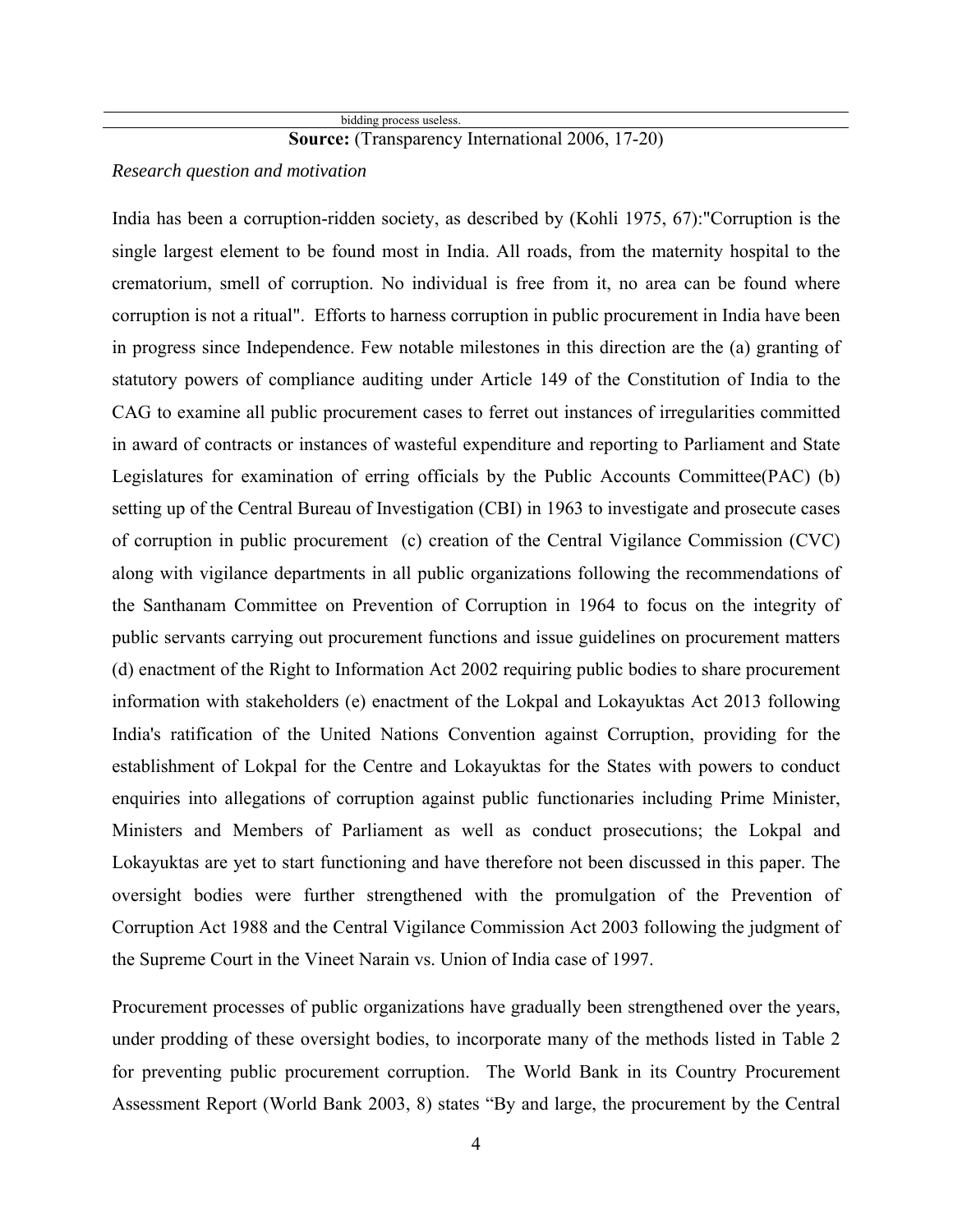# **Source:** (Transparency International 2006, 17-20)

# *Research question and motivation*

India has been a corruption-ridden society, as described by (Kohli 1975, 67):"Corruption is the single largest element to be found most in India. All roads, from the maternity hospital to the crematorium, smell of corruption. No individual is free from it, no area can be found where corruption is not a ritual". Efforts to harness corruption in public procurement in India have been in progress since Independence. Few notable milestones in this direction are the (a) granting of statutory powers of compliance auditing under Article 149 of the Constitution of India to the CAG to examine all public procurement cases to ferret out instances of irregularities committed in award of contracts or instances of wasteful expenditure and reporting to Parliament and State Legislatures for examination of erring officials by the Public Accounts Committee(PAC) (b) setting up of the Central Bureau of Investigation (CBI) in 1963 to investigate and prosecute cases of corruption in public procurement (c) creation of the Central Vigilance Commission (CVC) along with vigilance departments in all public organizations following the recommendations of the Santhanam Committee on Prevention of Corruption in 1964 to focus on the integrity of public servants carrying out procurement functions and issue guidelines on procurement matters (d) enactment of the Right to Information Act 2002 requiring public bodies to share procurement information with stakeholders (e) enactment of the Lokpal and Lokayuktas Act 2013 following India's ratification of the United Nations Convention against Corruption, providing for the establishment of Lokpal for the Centre and Lokayuktas for the States with powers to conduct enquiries into allegations of corruption against public functionaries including Prime Minister, Ministers and Members of Parliament as well as conduct prosecutions; the Lokpal and Lokayuktas are yet to start functioning and have therefore not been discussed in this paper. The oversight bodies were further strengthened with the promulgation of the Prevention of Corruption Act 1988 and the Central Vigilance Commission Act 2003 following the judgment of the Supreme Court in the Vineet Narain vs. Union of India case of 1997.

Procurement processes of public organizations have gradually been strengthened over the years, under prodding of these oversight bodies, to incorporate many of the methods listed in Table 2 for preventing public procurement corruption. The World Bank in its Country Procurement Assessment Report (World Bank 2003, 8) states "By and large, the procurement by the Central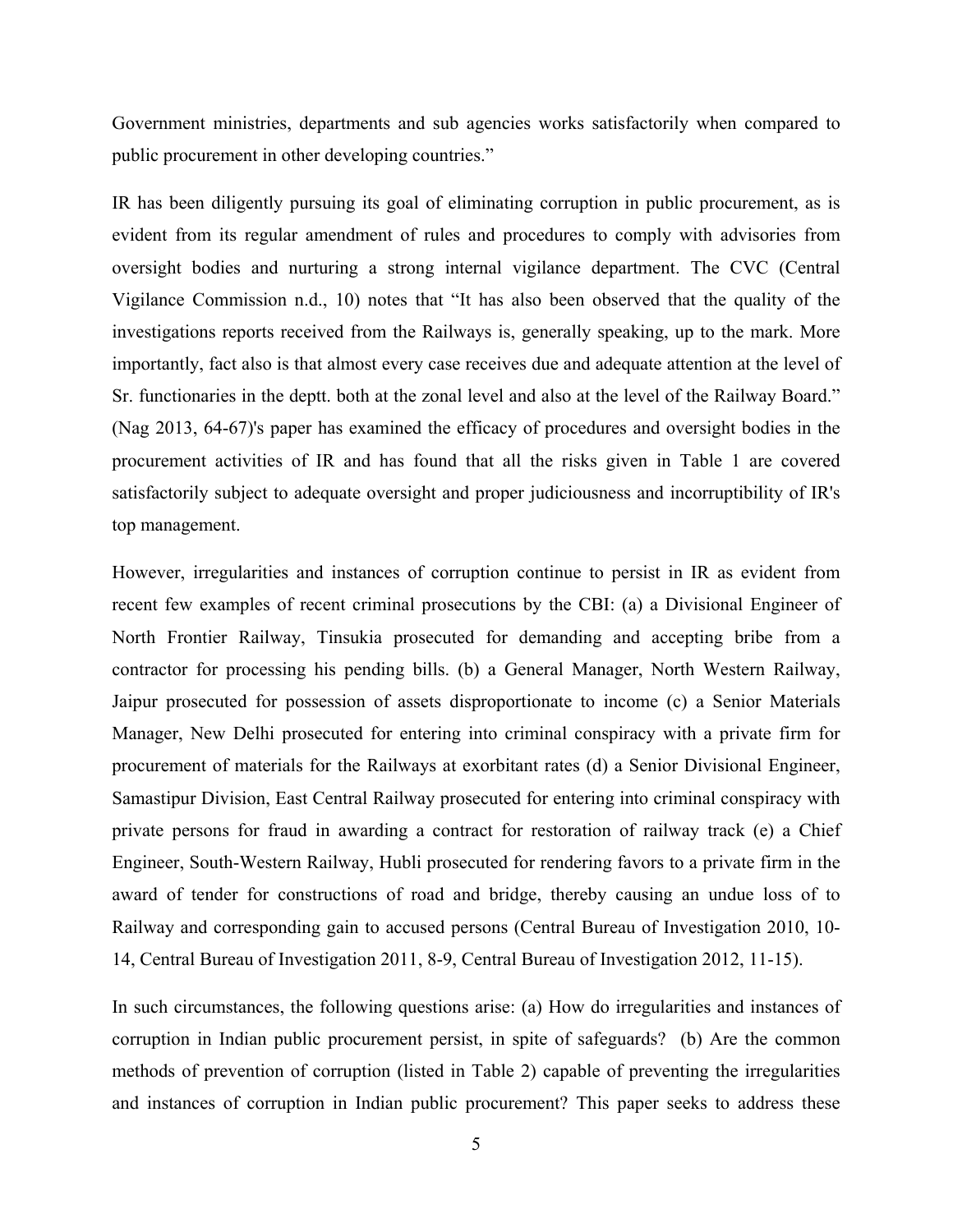Government ministries, departments and sub agencies works satisfactorily when compared to public procurement in other developing countries."

IR has been diligently pursuing its goal of eliminating corruption in public procurement, as is evident from its regular amendment of rules and procedures to comply with advisories from oversight bodies and nurturing a strong internal vigilance department. The CVC (Central Vigilance Commission n.d., 10) notes that "It has also been observed that the quality of the investigations reports received from the Railways is, generally speaking, up to the mark. More importantly, fact also is that almost every case receives due and adequate attention at the level of Sr. functionaries in the deptt. both at the zonal level and also at the level of the Railway Board." (Nag 2013, 64-67)'s paper has examined the efficacy of procedures and oversight bodies in the procurement activities of IR and has found that all the risks given in Table 1 are covered satisfactorily subject to adequate oversight and proper judiciousness and incorruptibility of IR's top management.

However, irregularities and instances of corruption continue to persist in IR as evident from recent few examples of recent criminal prosecutions by the CBI: (a) a Divisional Engineer of North Frontier Railway, Tinsukia prosecuted for demanding and accepting bribe from a contractor for processing his pending bills. (b) a General Manager, North Western Railway, Jaipur prosecuted for possession of assets disproportionate to income (c) a Senior Materials Manager, New Delhi prosecuted for entering into criminal conspiracy with a private firm for procurement of materials for the Railways at exorbitant rates (d) a Senior Divisional Engineer, Samastipur Division, East Central Railway prosecuted for entering into criminal conspiracy with private persons for fraud in awarding a contract for restoration of railway track (e) a Chief Engineer, South-Western Railway, Hubli prosecuted for rendering favors to a private firm in the award of tender for constructions of road and bridge, thereby causing an undue loss of to Railway and corresponding gain to accused persons (Central Bureau of Investigation 2010, 10- 14, Central Bureau of Investigation 2011, 8-9, Central Bureau of Investigation 2012, 11-15).

In such circumstances, the following questions arise: (a) How do irregularities and instances of corruption in Indian public procurement persist, in spite of safeguards? (b) Are the common methods of prevention of corruption (listed in Table 2) capable of preventing the irregularities and instances of corruption in Indian public procurement? This paper seeks to address these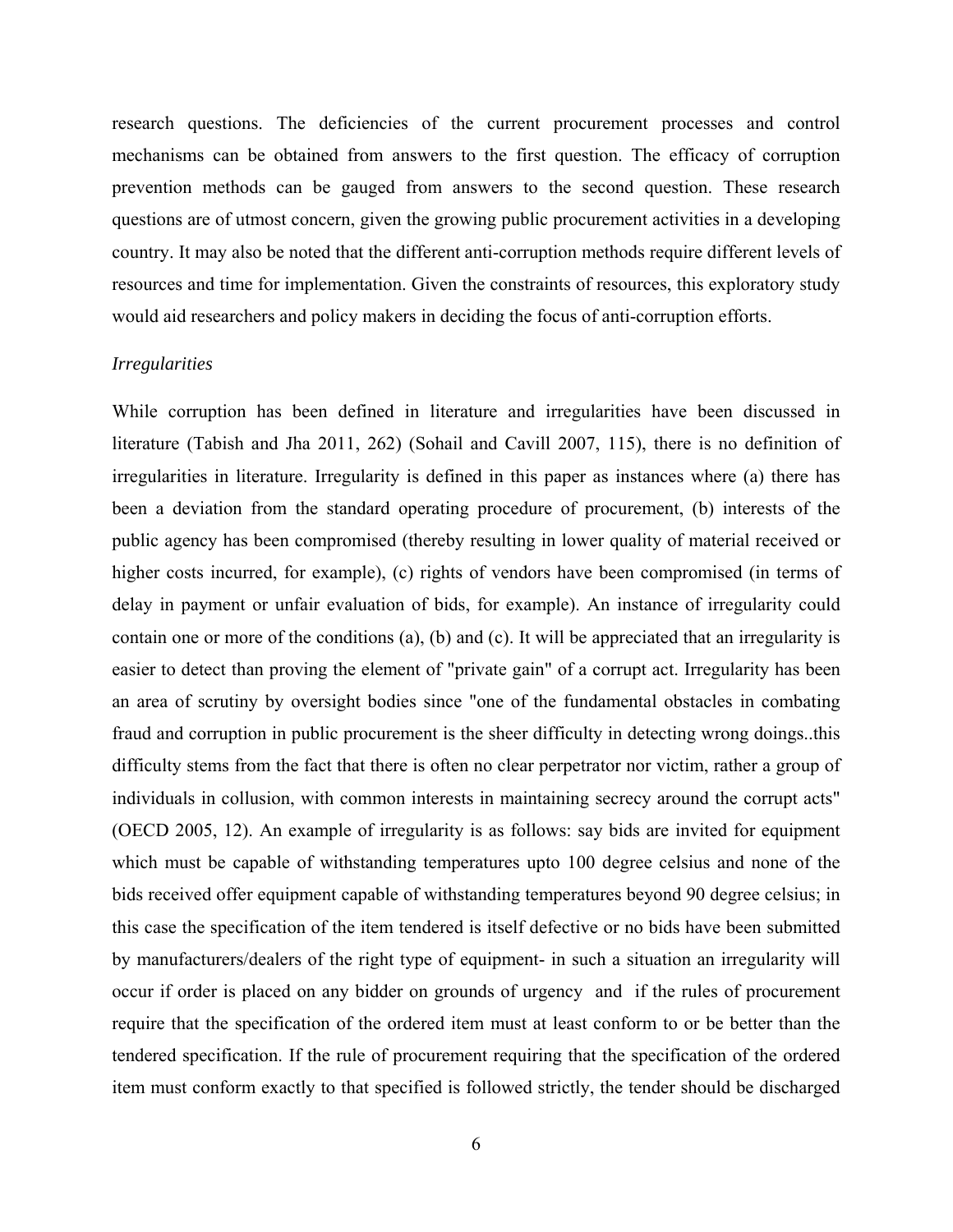research questions. The deficiencies of the current procurement processes and control mechanisms can be obtained from answers to the first question. The efficacy of corruption prevention methods can be gauged from answers to the second question. These research questions are of utmost concern, given the growing public procurement activities in a developing country. It may also be noted that the different anti-corruption methods require different levels of resources and time for implementation. Given the constraints of resources, this exploratory study would aid researchers and policy makers in deciding the focus of anti-corruption efforts.

#### *Irregularities*

While corruption has been defined in literature and irregularities have been discussed in literature (Tabish and Jha 2011, 262) (Sohail and Cavill 2007, 115), there is no definition of irregularities in literature. Irregularity is defined in this paper as instances where (a) there has been a deviation from the standard operating procedure of procurement, (b) interests of the public agency has been compromised (thereby resulting in lower quality of material received or higher costs incurred, for example), (c) rights of vendors have been compromised (in terms of delay in payment or unfair evaluation of bids, for example). An instance of irregularity could contain one or more of the conditions (a), (b) and (c). It will be appreciated that an irregularity is easier to detect than proving the element of "private gain" of a corrupt act. Irregularity has been an area of scrutiny by oversight bodies since "one of the fundamental obstacles in combating fraud and corruption in public procurement is the sheer difficulty in detecting wrong doings..this difficulty stems from the fact that there is often no clear perpetrator nor victim, rather a group of individuals in collusion, with common interests in maintaining secrecy around the corrupt acts" (OECD 2005, 12). An example of irregularity is as follows: say bids are invited for equipment which must be capable of withstanding temperatures upto 100 degree celsius and none of the bids received offer equipment capable of withstanding temperatures beyond 90 degree celsius; in this case the specification of the item tendered is itself defective or no bids have been submitted by manufacturers/dealers of the right type of equipment- in such a situation an irregularity will occur if order is placed on any bidder on grounds of urgency and if the rules of procurement require that the specification of the ordered item must at least conform to or be better than the tendered specification. If the rule of procurement requiring that the specification of the ordered item must conform exactly to that specified is followed strictly, the tender should be discharged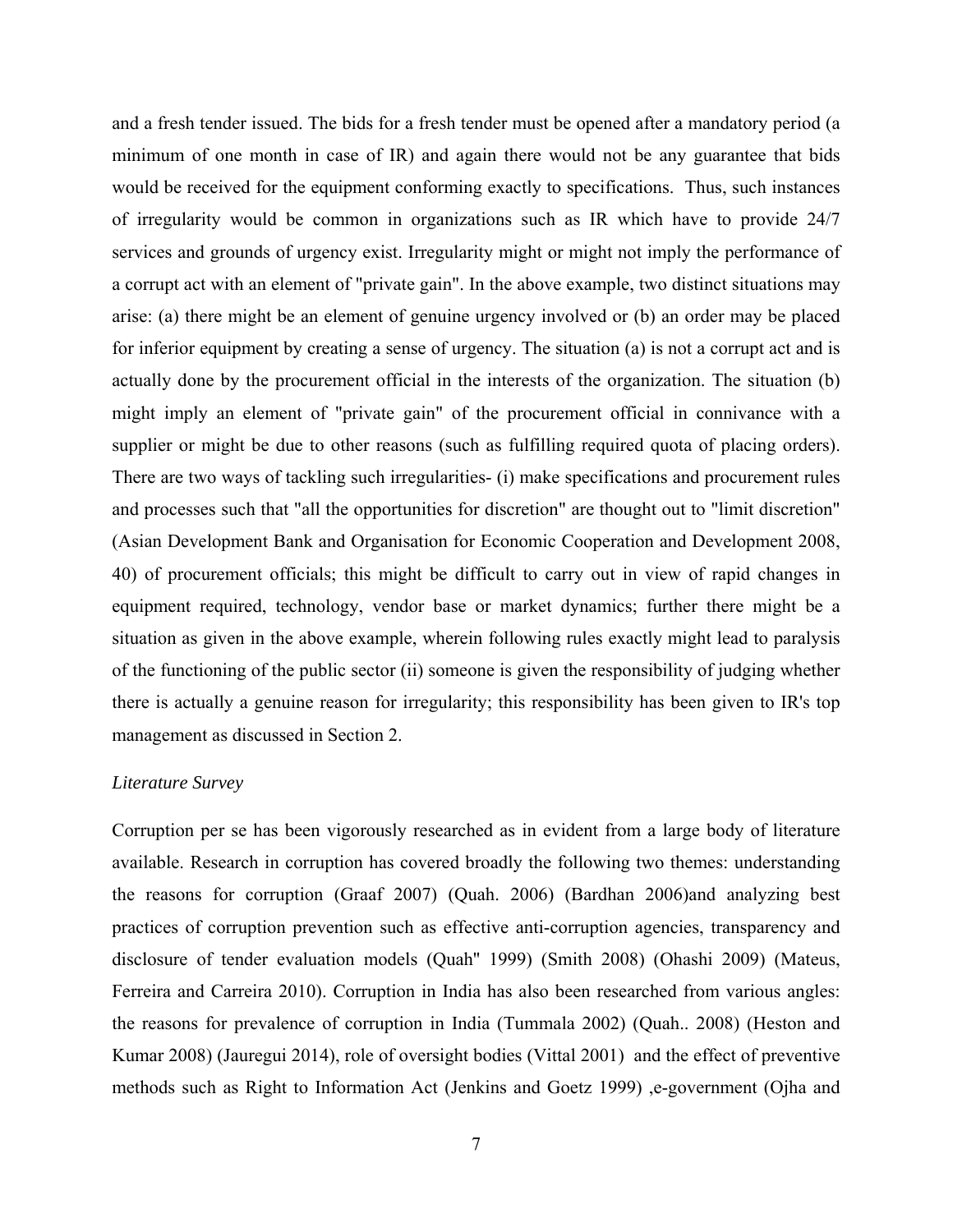and a fresh tender issued. The bids for a fresh tender must be opened after a mandatory period (a minimum of one month in case of IR) and again there would not be any guarantee that bids would be received for the equipment conforming exactly to specifications. Thus, such instances of irregularity would be common in organizations such as IR which have to provide 24/7 services and grounds of urgency exist. Irregularity might or might not imply the performance of a corrupt act with an element of "private gain". In the above example, two distinct situations may arise: (a) there might be an element of genuine urgency involved or (b) an order may be placed for inferior equipment by creating a sense of urgency. The situation (a) is not a corrupt act and is actually done by the procurement official in the interests of the organization. The situation (b) might imply an element of "private gain" of the procurement official in connivance with a supplier or might be due to other reasons (such as fulfilling required quota of placing orders). There are two ways of tackling such irregularities- (i) make specifications and procurement rules and processes such that "all the opportunities for discretion" are thought out to "limit discretion" (Asian Development Bank and Organisation for Economic Cooperation and Development 2008, 40) of procurement officials; this might be difficult to carry out in view of rapid changes in equipment required, technology, vendor base or market dynamics; further there might be a situation as given in the above example, wherein following rules exactly might lead to paralysis of the functioning of the public sector (ii) someone is given the responsibility of judging whether there is actually a genuine reason for irregularity; this responsibility has been given to IR's top management as discussed in Section 2.

# *Literature Survey*

Corruption per se has been vigorously researched as in evident from a large body of literature available. Research in corruption has covered broadly the following two themes: understanding the reasons for corruption (Graaf 2007) (Quah. 2006) (Bardhan 2006)and analyzing best practices of corruption prevention such as effective anti-corruption agencies, transparency and disclosure of tender evaluation models (Quah'' 1999) (Smith 2008) (Ohashi 2009) (Mateus, Ferreira and Carreira 2010). Corruption in India has also been researched from various angles: the reasons for prevalence of corruption in India (Tummala 2002) (Quah.. 2008) (Heston and Kumar 2008) (Jauregui 2014), role of oversight bodies (Vittal 2001) and the effect of preventive methods such as Right to Information Act (Jenkins and Goetz 1999) ,e-government (Ojha and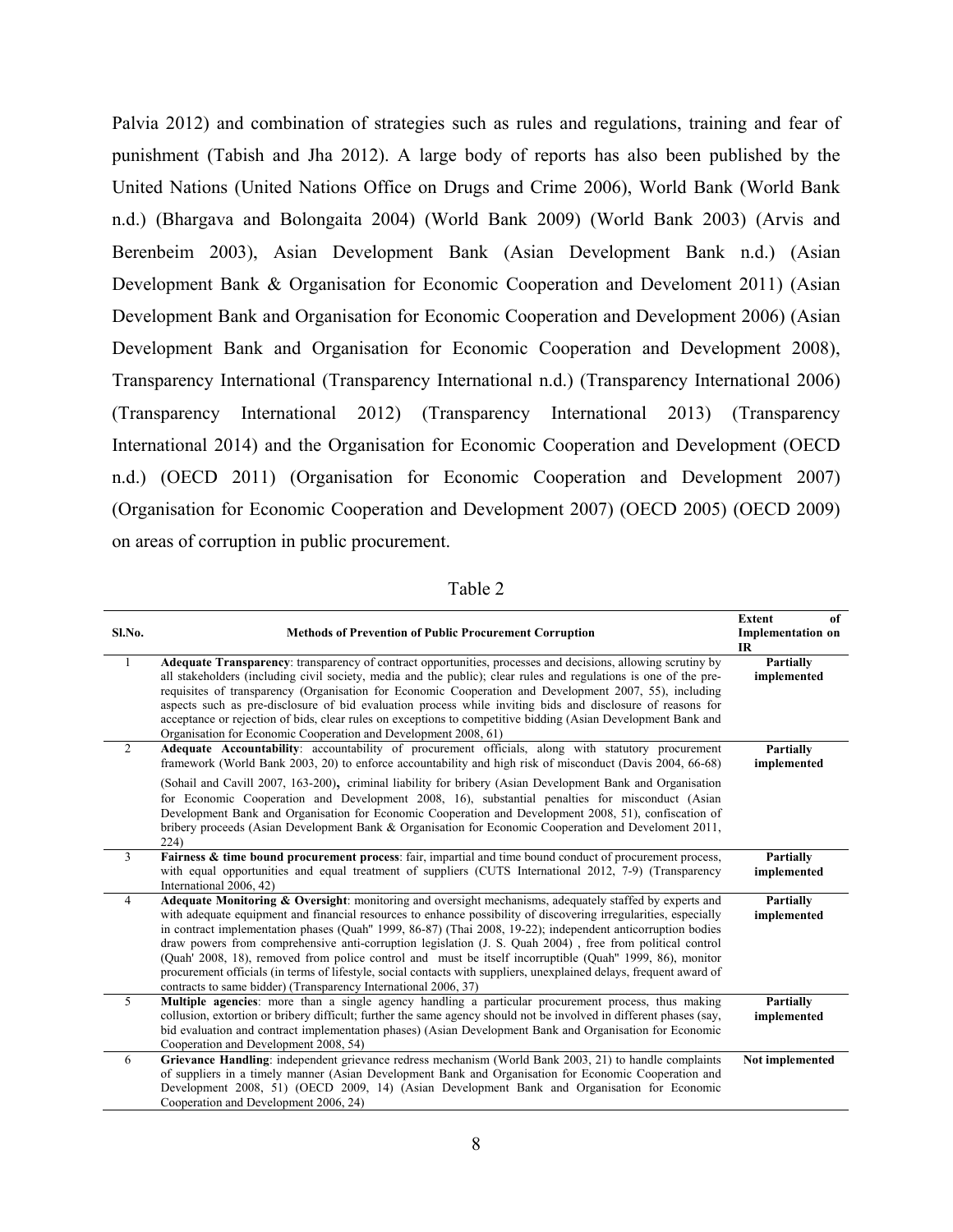Palvia 2012) and combination of strategies such as rules and regulations, training and fear of punishment (Tabish and Jha 2012). A large body of reports has also been published by the United Nations (United Nations Office on Drugs and Crime 2006), World Bank (World Bank n.d.) (Bhargava and Bolongaita 2004) (World Bank 2009) (World Bank 2003) (Arvis and Berenbeim 2003), Asian Development Bank (Asian Development Bank n.d.) (Asian Development Bank & Organisation for Economic Cooperation and Develoment 2011) (Asian Development Bank and Organisation for Economic Cooperation and Development 2006) (Asian Development Bank and Organisation for Economic Cooperation and Development 2008), Transparency International (Transparency International n.d.) (Transparency International 2006) (Transparency International 2012) (Transparency International 2013) (Transparency International 2014) and the Organisation for Economic Cooperation and Development (OECD n.d.) (OECD 2011) (Organisation for Economic Cooperation and Development 2007) (Organisation for Economic Cooperation and Development 2007) (OECD 2005) (OECD 2009) on areas of corruption in public procurement.

| an<br>L |
|---------|
|---------|

| Sl.No.         | <b>Methods of Prevention of Public Procurement Corruption</b>                                                                                                                                                                                                                                                                                                                                                                                                                                                                                                                                                                                                                                                                                                  | <b>Extent</b><br>of<br><b>Implementation on</b><br><b>IR</b> |
|----------------|----------------------------------------------------------------------------------------------------------------------------------------------------------------------------------------------------------------------------------------------------------------------------------------------------------------------------------------------------------------------------------------------------------------------------------------------------------------------------------------------------------------------------------------------------------------------------------------------------------------------------------------------------------------------------------------------------------------------------------------------------------------|--------------------------------------------------------------|
| 1              | Adequate Transparency: transparency of contract opportunities, processes and decisions, allowing scrutiny by<br>all stakeholders (including civil society, media and the public); clear rules and regulations is one of the pre-<br>requisites of transparency (Organisation for Economic Cooperation and Development 2007, 55), including<br>aspects such as pre-disclosure of bid evaluation process while inviting bids and disclosure of reasons for<br>acceptance or rejection of bids, clear rules on exceptions to competitive bidding (Asian Development Bank and<br>Organisation for Economic Cooperation and Development 2008, 61)                                                                                                                   | Partially<br>implemented                                     |
| 2              | Adequate Accountability: accountability of procurement officials, along with statutory procurement<br>framework (World Bank 2003, 20) to enforce accountability and high risk of misconduct (Davis 2004, 66-68)                                                                                                                                                                                                                                                                                                                                                                                                                                                                                                                                                | Partially<br>implemented                                     |
|                | (Sohail and Cavill 2007, 163-200), criminal liability for bribery (Asian Development Bank and Organisation<br>for Economic Cooperation and Development 2008, 16), substantial penalties for misconduct (Asian<br>Development Bank and Organisation for Economic Cooperation and Development 2008, 51), confiscation of<br>bribery proceeds (Asian Development Bank & Organisation for Economic Cooperation and Develoment 2011,<br>224)                                                                                                                                                                                                                                                                                                                        |                                                              |
| $\overline{3}$ | Fairness & time bound procurement process: fair, impartial and time bound conduct of procurement process,<br>with equal opportunities and equal treatment of suppliers (CUTS International 2012, 7-9) (Transparency<br>International 2006, 42)                                                                                                                                                                                                                                                                                                                                                                                                                                                                                                                 | Partially<br>implemented                                     |
| $\overline{4}$ | Adequate Monitoring & Oversight: monitoring and oversight mechanisms, adequately staffed by experts and<br>with adequate equipment and financial resources to enhance possibility of discovering irregularities, especially<br>in contract implementation phases (Quah" 1999, 86-87) (Thai 2008, 19-22); independent anticorruption bodies<br>draw powers from comprehensive anti-corruption legislation (J. S. Quah 2004), free from political control<br>(Quah' 2008, 18), removed from police control and must be itself incorruptible (Quah'' 1999, 86), monitor<br>procurement officials (in terms of lifestyle, social contacts with suppliers, unexplained delays, frequent award of<br>contracts to same bidder) (Transparency International 2006, 37) | Partially<br>implemented                                     |
| $\overline{5}$ | Multiple agencies: more than a single agency handling a particular procurement process, thus making<br>collusion, extortion or bribery difficult; further the same agency should not be involved in different phases (say,<br>bid evaluation and contract implementation phases) (Asian Development Bank and Organisation for Economic<br>Cooperation and Development 2008, 54)                                                                                                                                                                                                                                                                                                                                                                                | <b>Partially</b><br>implemented                              |
| 6              | Grievance Handling: independent grievance redress mechanism (World Bank 2003, 21) to handle complaints<br>of suppliers in a timely manner (Asian Development Bank and Organisation for Economic Cooperation and<br>Development 2008, 51) (OECD 2009, 14) (Asian Development Bank and Organisation for Economic<br>Cooperation and Development 2006, 24)                                                                                                                                                                                                                                                                                                                                                                                                        | Not implemented                                              |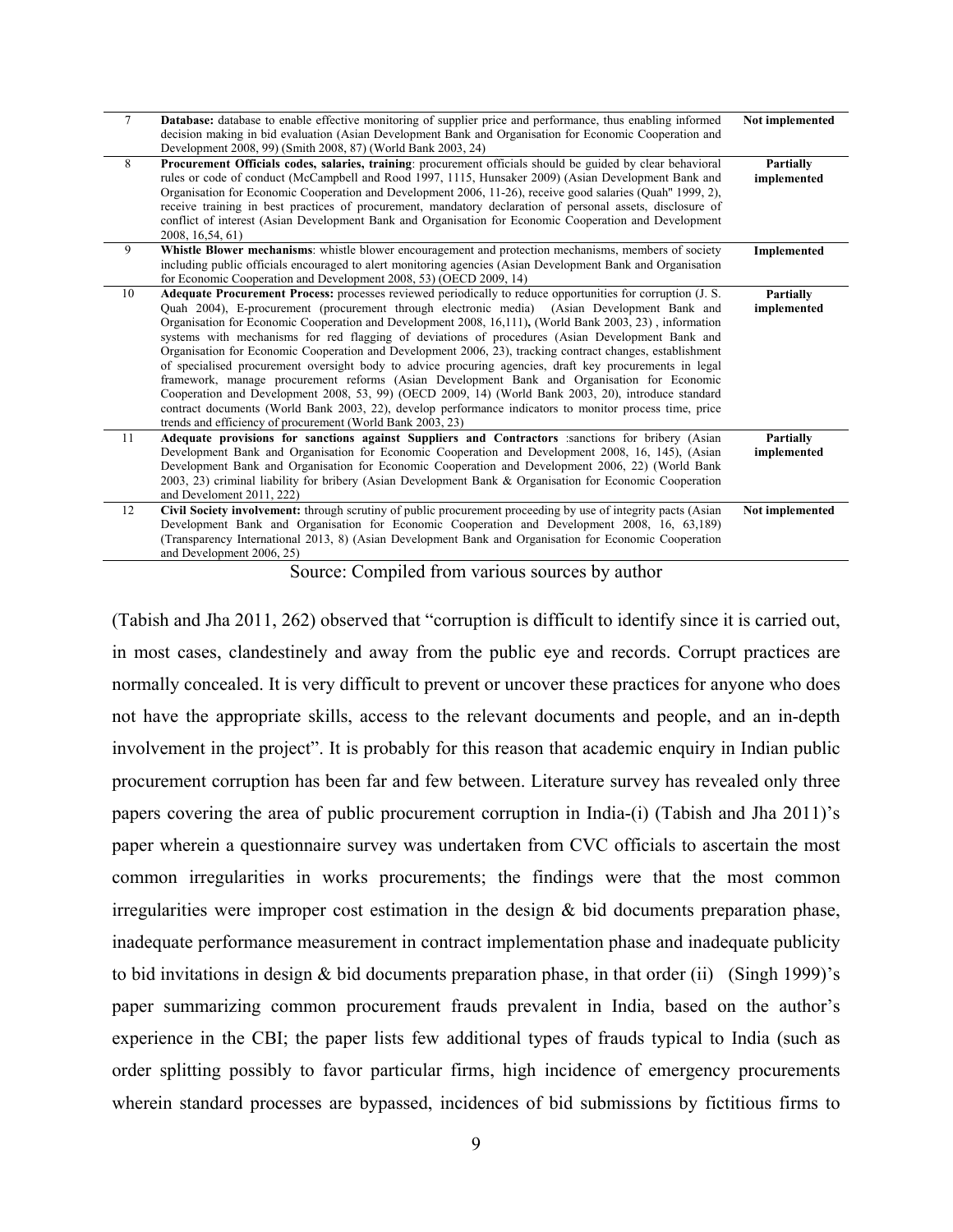| $\overline{7}$ | Database: database to enable effective monitoring of supplier price and performance, thus enabling informed<br>decision making in bid evaluation (Asian Development Bank and Organisation for Economic Cooperation and                                                                                                                                                                                                                                                                                                                                                                                                                                                                                                                                                                                                                                                                                                                                                                                                            | Not implemented                 |
|----------------|-----------------------------------------------------------------------------------------------------------------------------------------------------------------------------------------------------------------------------------------------------------------------------------------------------------------------------------------------------------------------------------------------------------------------------------------------------------------------------------------------------------------------------------------------------------------------------------------------------------------------------------------------------------------------------------------------------------------------------------------------------------------------------------------------------------------------------------------------------------------------------------------------------------------------------------------------------------------------------------------------------------------------------------|---------------------------------|
|                | Development 2008, 99) (Smith 2008, 87) (World Bank 2003, 24)                                                                                                                                                                                                                                                                                                                                                                                                                                                                                                                                                                                                                                                                                                                                                                                                                                                                                                                                                                      |                                 |
| 8              | Procurement Officials codes, salaries, training: procurement officials should be guided by clear behavioral<br>rules or code of conduct (McCampbell and Rood 1997, 1115, Hunsaker 2009) (Asian Development Bank and                                                                                                                                                                                                                                                                                                                                                                                                                                                                                                                                                                                                                                                                                                                                                                                                               | <b>Partially</b><br>implemented |
|                | Organisation for Economic Cooperation and Development 2006, 11-26), receive good salaries (Quah'' 1999, 2),<br>receive training in best practices of procurement, mandatory declaration of personal assets, disclosure of                                                                                                                                                                                                                                                                                                                                                                                                                                                                                                                                                                                                                                                                                                                                                                                                         |                                 |
|                | conflict of interest (Asian Development Bank and Organisation for Economic Cooperation and Development<br>2008, 16,54, 61)                                                                                                                                                                                                                                                                                                                                                                                                                                                                                                                                                                                                                                                                                                                                                                                                                                                                                                        |                                 |
| 9              | Whistle Blower mechanisms: whistle blower encouragement and protection mechanisms, members of society<br>including public officials encouraged to alert monitoring agencies (Asian Development Bank and Organisation<br>for Economic Cooperation and Development 2008, 53) (OECD 2009, 14)                                                                                                                                                                                                                                                                                                                                                                                                                                                                                                                                                                                                                                                                                                                                        | Implemented                     |
| 10             | Adequate Procurement Process: processes reviewed periodically to reduce opportunities for corruption (J. S.<br>Quah 2004), E-procurement (procurement through electronic media) (Asian Development Bank and<br>Organisation for Economic Cooperation and Development 2008, 16,111), (World Bank 2003, 23), information<br>systems with mechanisms for red flagging of deviations of procedures (Asian Development Bank and<br>Organisation for Economic Cooperation and Development 2006, 23), tracking contract changes, establishment<br>of specialised procurement oversight body to advice procuring agencies, draft key procurements in legal<br>framework, manage procurement reforms (Asian Development Bank and Organisation for Economic<br>Cooperation and Development 2008, 53, 99) (OECD 2009, 14) (World Bank 2003, 20), introduce standard<br>contract documents (World Bank 2003, 22), develop performance indicators to monitor process time, price<br>trends and efficiency of procurement (World Bank 2003, 23) | <b>Partially</b><br>implemented |
| 11             | Adequate provisions for sanctions against Suppliers and Contractors :sanctions for bribery (Asian<br>Development Bank and Organisation for Economic Cooperation and Development 2008, 16, 145), (Asian<br>Development Bank and Organisation for Economic Cooperation and Development 2006, 22) (World Bank<br>2003, 23) criminal liability for bribery (Asian Development Bank & Organisation for Economic Cooperation<br>and Develoment 2011, 222)                                                                                                                                                                                                                                                                                                                                                                                                                                                                                                                                                                               | <b>Partially</b><br>implemented |
| 12             | Civil Society involvement: through scrutiny of public procurement proceeding by use of integrity pacts (Asian<br>Development Bank and Organisation for Economic Cooperation and Development 2008, 16, 63,189)<br>(Transparency International 2013, 8) (Asian Development Bank and Organisation for Economic Cooperation<br>and Development 2006, 25)                                                                                                                                                                                                                                                                                                                                                                                                                                                                                                                                                                                                                                                                              | Not implemented                 |

Source: Compiled from various sources by author

(Tabish and Jha 2011, 262) observed that "corruption is difficult to identify since it is carried out, in most cases, clandestinely and away from the public eye and records. Corrupt practices are normally concealed. It is very difficult to prevent or uncover these practices for anyone who does not have the appropriate skills, access to the relevant documents and people, and an in-depth involvement in the project". It is probably for this reason that academic enquiry in Indian public procurement corruption has been far and few between. Literature survey has revealed only three papers covering the area of public procurement corruption in India-(i) (Tabish and Jha 2011)'s paper wherein a questionnaire survey was undertaken from CVC officials to ascertain the most common irregularities in works procurements; the findings were that the most common irregularities were improper cost estimation in the design  $\&$  bid documents preparation phase, inadequate performance measurement in contract implementation phase and inadequate publicity to bid invitations in design & bid documents preparation phase, in that order (ii) (Singh 1999)'s paper summarizing common procurement frauds prevalent in India, based on the author's experience in the CBI; the paper lists few additional types of frauds typical to India (such as order splitting possibly to favor particular firms, high incidence of emergency procurements wherein standard processes are bypassed, incidences of bid submissions by fictitious firms to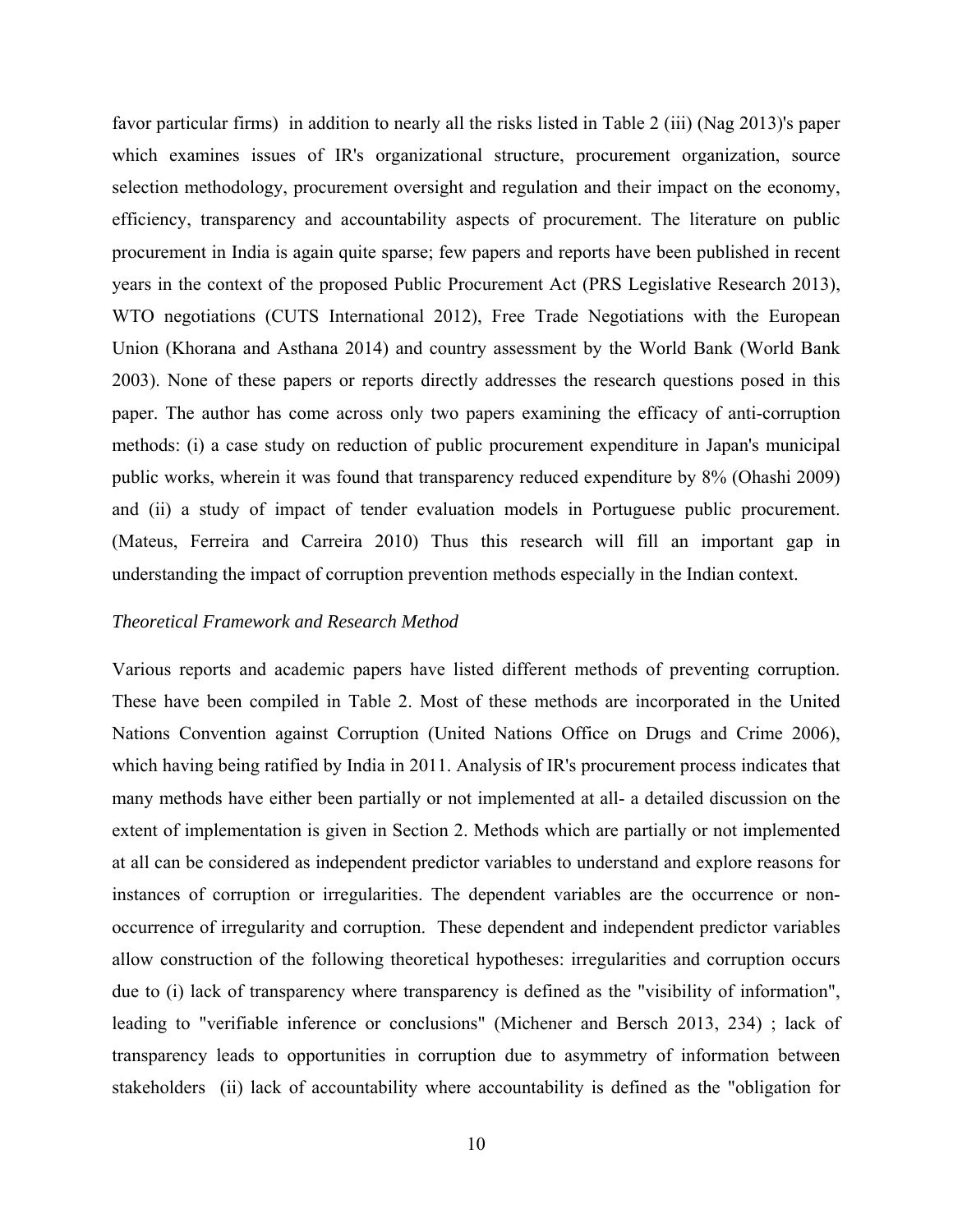favor particular firms) in addition to nearly all the risks listed in Table 2 (iii) (Nag 2013)'s paper which examines issues of IR's organizational structure, procurement organization, source selection methodology, procurement oversight and regulation and their impact on the economy, efficiency, transparency and accountability aspects of procurement. The literature on public procurement in India is again quite sparse; few papers and reports have been published in recent years in the context of the proposed Public Procurement Act (PRS Legislative Research 2013), WTO negotiations (CUTS International 2012), Free Trade Negotiations with the European Union (Khorana and Asthana 2014) and country assessment by the World Bank (World Bank 2003). None of these papers or reports directly addresses the research questions posed in this paper. The author has come across only two papers examining the efficacy of anti-corruption methods: (i) a case study on reduction of public procurement expenditure in Japan's municipal public works, wherein it was found that transparency reduced expenditure by 8% (Ohashi 2009) and (ii) a study of impact of tender evaluation models in Portuguese public procurement. (Mateus, Ferreira and Carreira 2010) Thus this research will fill an important gap in understanding the impact of corruption prevention methods especially in the Indian context.

#### *Theoretical Framework and Research Method*

Various reports and academic papers have listed different methods of preventing corruption. These have been compiled in Table 2. Most of these methods are incorporated in the United Nations Convention against Corruption (United Nations Office on Drugs and Crime 2006), which having being ratified by India in 2011. Analysis of IR's procurement process indicates that many methods have either been partially or not implemented at all- a detailed discussion on the extent of implementation is given in Section 2. Methods which are partially or not implemented at all can be considered as independent predictor variables to understand and explore reasons for instances of corruption or irregularities. The dependent variables are the occurrence or nonoccurrence of irregularity and corruption. These dependent and independent predictor variables allow construction of the following theoretical hypotheses: irregularities and corruption occurs due to (i) lack of transparency where transparency is defined as the "visibility of information", leading to "verifiable inference or conclusions" (Michener and Bersch 2013, 234) ; lack of transparency leads to opportunities in corruption due to asymmetry of information between stakeholders (ii) lack of accountability where accountability is defined as the "obligation for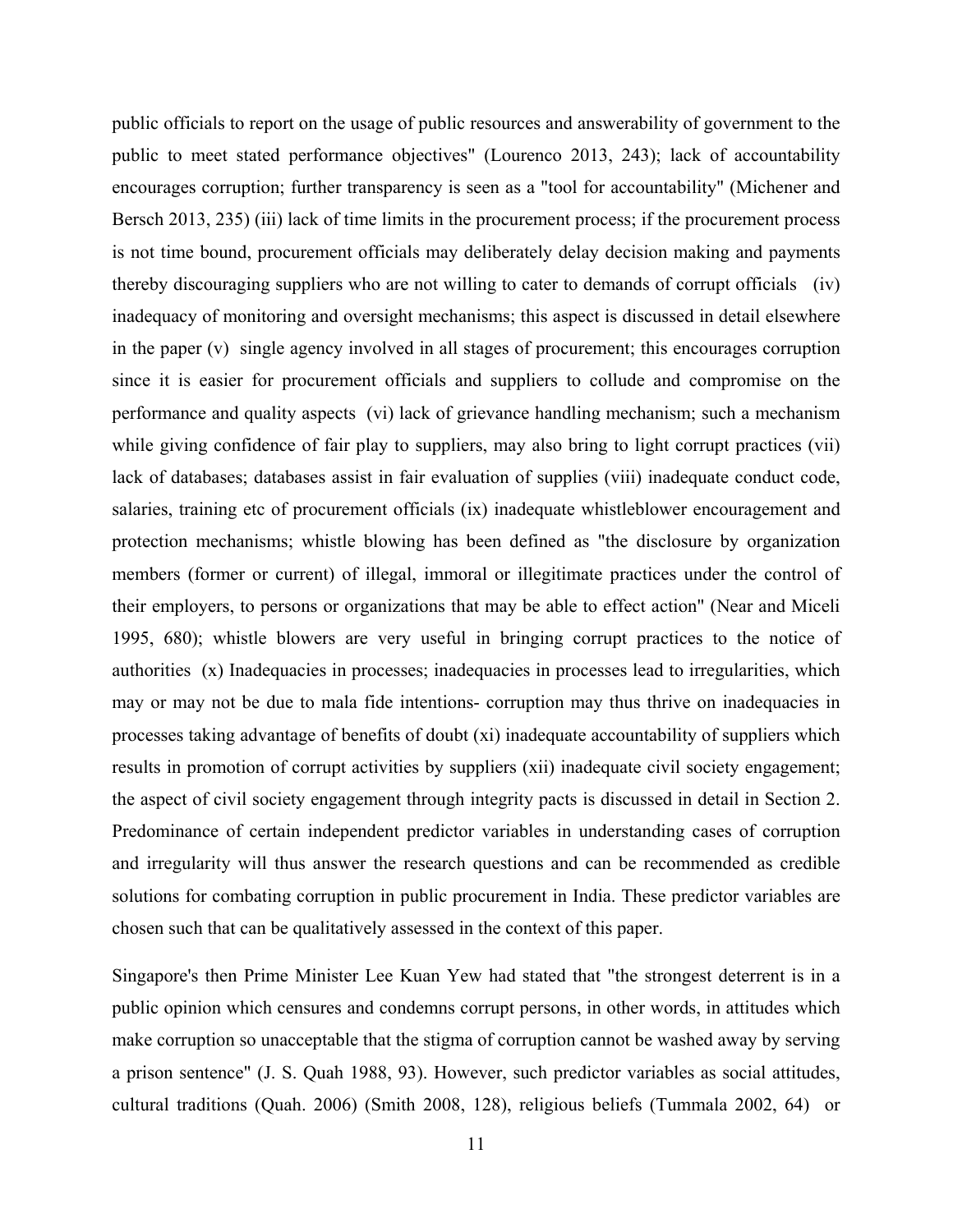public officials to report on the usage of public resources and answerability of government to the public to meet stated performance objectives" (Lourenco 2013, 243); lack of accountability encourages corruption; further transparency is seen as a "tool for accountability" (Michener and Bersch 2013, 235) (iii) lack of time limits in the procurement process; if the procurement process is not time bound, procurement officials may deliberately delay decision making and payments thereby discouraging suppliers who are not willing to cater to demands of corrupt officials (iv) inadequacy of monitoring and oversight mechanisms; this aspect is discussed in detail elsewhere in the paper (v) single agency involved in all stages of procurement; this encourages corruption since it is easier for procurement officials and suppliers to collude and compromise on the performance and quality aspects (vi) lack of grievance handling mechanism; such a mechanism while giving confidence of fair play to suppliers, may also bring to light corrupt practices (vii) lack of databases; databases assist in fair evaluation of supplies (viii) inadequate conduct code, salaries, training etc of procurement officials (ix) inadequate whistleblower encouragement and protection mechanisms; whistle blowing has been defined as "the disclosure by organization members (former or current) of illegal, immoral or illegitimate practices under the control of their employers, to persons or organizations that may be able to effect action" (Near and Miceli 1995, 680); whistle blowers are very useful in bringing corrupt practices to the notice of authorities (x) Inadequacies in processes; inadequacies in processes lead to irregularities, which may or may not be due to mala fide intentions- corruption may thus thrive on inadequacies in processes taking advantage of benefits of doubt (xi) inadequate accountability of suppliers which results in promotion of corrupt activities by suppliers (xii) inadequate civil society engagement; the aspect of civil society engagement through integrity pacts is discussed in detail in Section 2. Predominance of certain independent predictor variables in understanding cases of corruption and irregularity will thus answer the research questions and can be recommended as credible solutions for combating corruption in public procurement in India. These predictor variables are chosen such that can be qualitatively assessed in the context of this paper.

Singapore's then Prime Minister Lee Kuan Yew had stated that "the strongest deterrent is in a public opinion which censures and condemns corrupt persons, in other words, in attitudes which make corruption so unacceptable that the stigma of corruption cannot be washed away by serving a prison sentence" (J. S. Quah 1988, 93). However, such predictor variables as social attitudes, cultural traditions (Quah. 2006) (Smith 2008, 128), religious beliefs (Tummala 2002, 64) or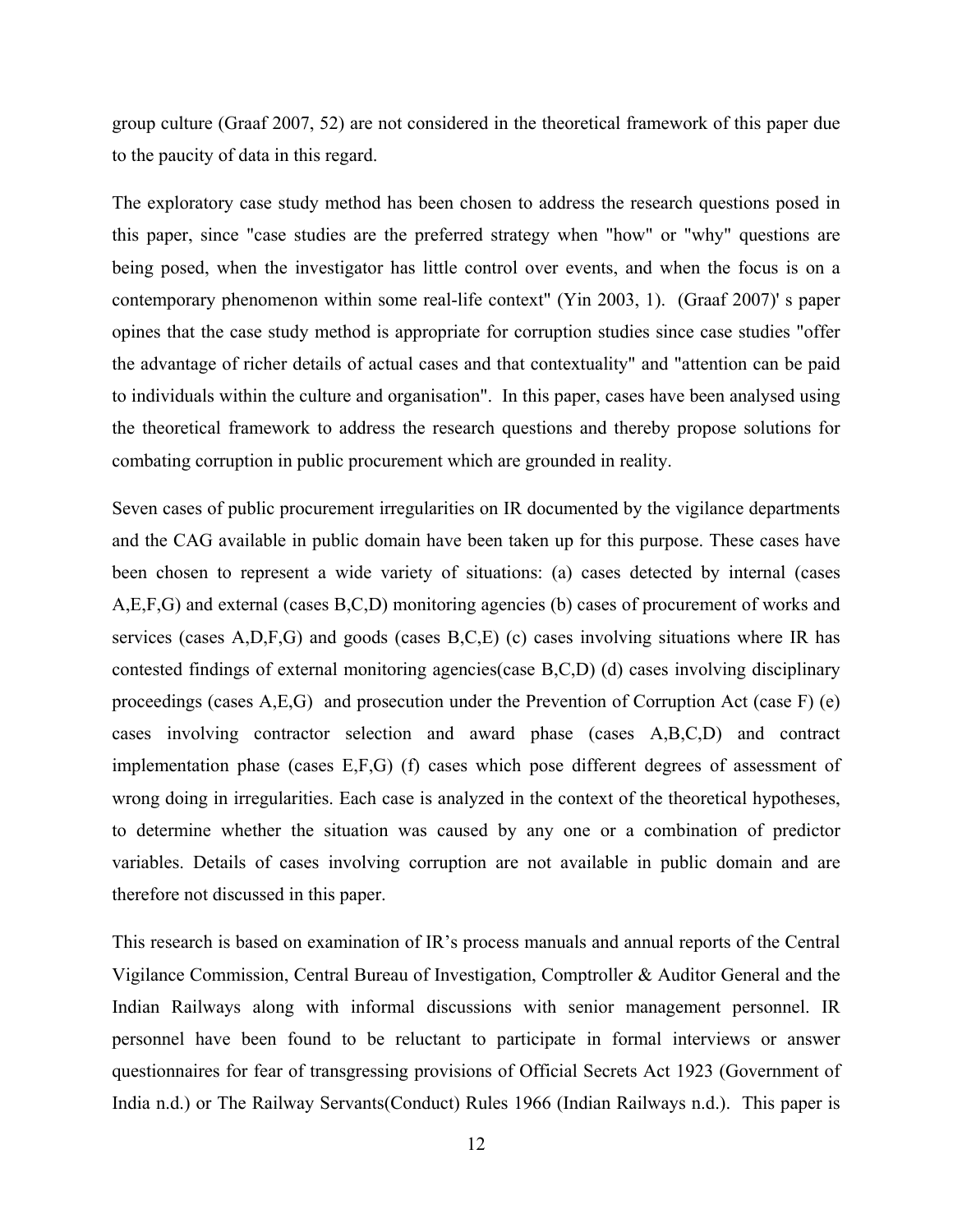group culture (Graaf 2007, 52) are not considered in the theoretical framework of this paper due to the paucity of data in this regard.

The exploratory case study method has been chosen to address the research questions posed in this paper, since "case studies are the preferred strategy when "how" or "why" questions are being posed, when the investigator has little control over events, and when the focus is on a contemporary phenomenon within some real-life context" (Yin 2003, 1). (Graaf 2007)' s paper opines that the case study method is appropriate for corruption studies since case studies "offer the advantage of richer details of actual cases and that contextuality" and "attention can be paid to individuals within the culture and organisation". In this paper, cases have been analysed using the theoretical framework to address the research questions and thereby propose solutions for combating corruption in public procurement which are grounded in reality.

Seven cases of public procurement irregularities on IR documented by the vigilance departments and the CAG available in public domain have been taken up for this purpose. These cases have been chosen to represent a wide variety of situations: (a) cases detected by internal (cases A,E,F,G) and external (cases B,C,D) monitoring agencies (b) cases of procurement of works and services (cases A,D,F,G) and goods (cases B,C,E) (c) cases involving situations where IR has contested findings of external monitoring agencies(case B,C,D) (d) cases involving disciplinary proceedings (cases A,E,G) and prosecution under the Prevention of Corruption Act (case F) (e) cases involving contractor selection and award phase (cases A,B,C,D) and contract implementation phase (cases E,F,G) (f) cases which pose different degrees of assessment of wrong doing in irregularities. Each case is analyzed in the context of the theoretical hypotheses, to determine whether the situation was caused by any one or a combination of predictor variables. Details of cases involving corruption are not available in public domain and are therefore not discussed in this paper.

This research is based on examination of IR's process manuals and annual reports of the Central Vigilance Commission, Central Bureau of Investigation, Comptroller & Auditor General and the Indian Railways along with informal discussions with senior management personnel. IR personnel have been found to be reluctant to participate in formal interviews or answer questionnaires for fear of transgressing provisions of Official Secrets Act 1923 (Government of India n.d.) or The Railway Servants(Conduct) Rules 1966 (Indian Railways n.d.). This paper is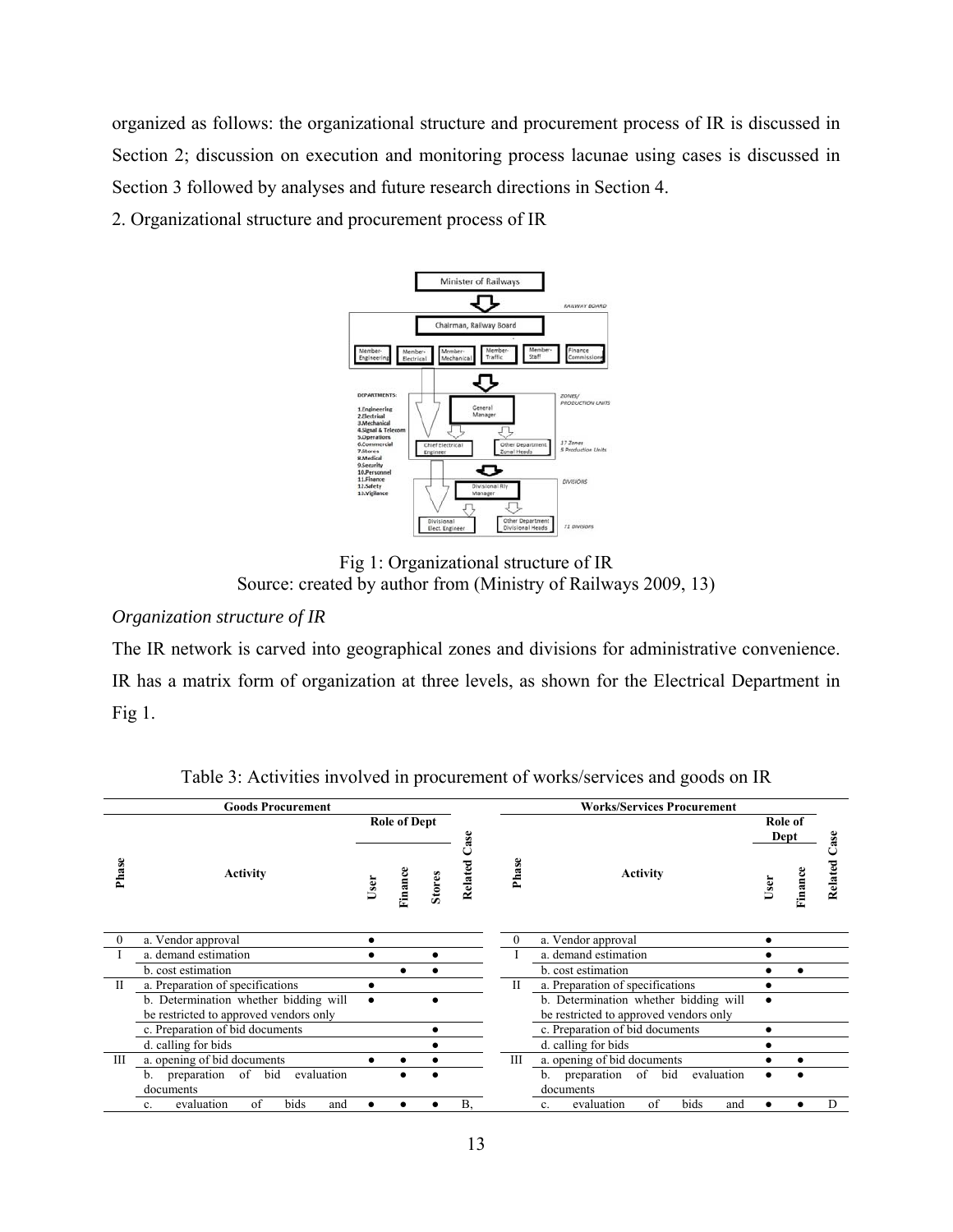organized as follows: the organizational structure and procurement process of IR is discussed in Section 2; discussion on execution and monitoring process lacunae using cases is discussed in Section 3 followed by analyses and future research directions in Section 4.

2. Organizational structure and procurement process of IR



Fig 1: Organizational structure of IR Source: created by author from (Ministry of Railways 2009, 13)

# *Organization structure of IR*

The IR network is carved into geographical zones and divisions for administrative convenience. IR has a matrix form of organization at three levels, as shown for the Electrical Department in Fig  $1$ .

|              | <b>Goods Procurement</b>                            |                      |         |               |           | <b>Works/Services Procurement</b> |                                                     |           |                 |         |  |
|--------------|-----------------------------------------------------|----------------------|---------|---------------|-----------|-----------------------------------|-----------------------------------------------------|-----------|-----------------|---------|--|
|              |                                                     | <b>Role of Dept</b>  |         |               | Case      |                                   |                                                     |           | Role of<br>Dept |         |  |
| Phase        | <b>Activity</b>                                     | User                 | Finance | <b>Stores</b> | Related   | Phase                             | Activity                                            | User      | Finance         | Related |  |
| $\theta$     | a. Vendor approval                                  |                      |         |               |           | 0                                 | a. Vendor approval                                  |           |                 |         |  |
|              | a. demand estimation                                | a. demand estimation |         |               |           |                                   |                                                     |           |                 |         |  |
|              | b. cost estimation                                  |                      |         |               |           |                                   | b. cost estimation                                  |           |                 |         |  |
| $\mathbf{I}$ | a. Preparation of specifications                    |                      |         |               |           | П                                 | a. Preparation of specifications                    |           |                 |         |  |
|              | b. Determination whether bidding will               |                      |         |               |           |                                   | b. Determination whether bidding will               | $\bullet$ |                 |         |  |
|              | be restricted to approved vendors only              |                      |         |               |           |                                   | be restricted to approved vendors only              |           |                 |         |  |
|              | c. Preparation of bid documents                     |                      |         |               |           |                                   | c. Preparation of bid documents                     | ٠         |                 |         |  |
|              | d. calling for bids                                 |                      |         |               |           |                                   | d. calling for bids                                 |           |                 |         |  |
| Ш            | a. opening of bid documents                         |                      |         |               |           | Ш                                 | a. opening of bid documents                         |           |                 |         |  |
|              | preparation of bid<br>evaluation<br>b.<br>documents |                      |         |               |           |                                   | preparation of bid<br>evaluation<br>b.<br>documents |           |                 |         |  |
|              | evaluation<br>of<br>bids<br>and<br>$\mathbf{c}$ .   |                      |         |               | <b>B.</b> |                                   | of<br>bids<br>evaluation<br>and<br>$\mathbf{c}$ .   |           |                 | D       |  |

Table 3: Activities involved in procurement of works/services and goods on IR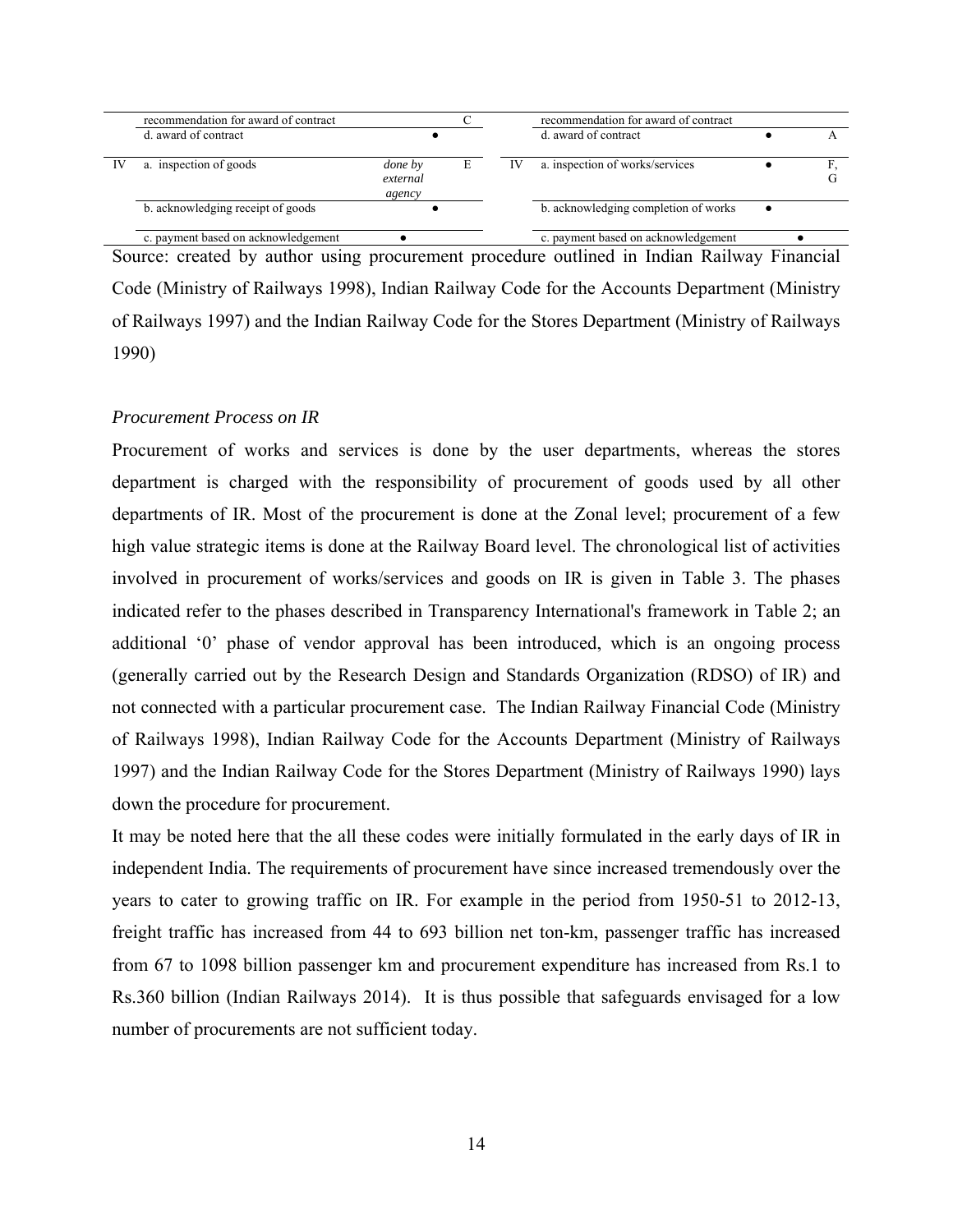|    | recommendation for award of contract |                                      |   |    | recommendation for award of contract |  |  |
|----|--------------------------------------|--------------------------------------|---|----|--------------------------------------|--|--|
|    | d. award of contract                 |                                      |   |    | d. award of contract                 |  |  |
| IV | a. inspection of goods               | <i>done</i> by<br>external<br>agency | E | IV | a. inspection of works/services      |  |  |
|    | b. acknowledging receipt of goods    |                                      |   |    | b. acknowledging completion of works |  |  |
|    | c. payment based on acknowledgement  |                                      |   |    | c. payment based on acknowledgement  |  |  |

Source: created by author using procurement procedure outlined in Indian Railway Financial Code (Ministry of Railways 1998), Indian Railway Code for the Accounts Department (Ministry of Railways 1997) and the Indian Railway Code for the Stores Department (Ministry of Railways 1990)

# *Procurement Process on IR*

Procurement of works and services is done by the user departments, whereas the stores department is charged with the responsibility of procurement of goods used by all other departments of IR. Most of the procurement is done at the Zonal level; procurement of a few high value strategic items is done at the Railway Board level. The chronological list of activities involved in procurement of works/services and goods on IR is given in Table 3. The phases indicated refer to the phases described in Transparency International's framework in Table 2; an additional '0' phase of vendor approval has been introduced, which is an ongoing process (generally carried out by the Research Design and Standards Organization (RDSO) of IR) and not connected with a particular procurement case. The Indian Railway Financial Code (Ministry of Railways 1998), Indian Railway Code for the Accounts Department (Ministry of Railways 1997) and the Indian Railway Code for the Stores Department (Ministry of Railways 1990) lays down the procedure for procurement.

It may be noted here that the all these codes were initially formulated in the early days of IR in independent India. The requirements of procurement have since increased tremendously over the years to cater to growing traffic on IR. For example in the period from 1950-51 to 2012-13, freight traffic has increased from 44 to 693 billion net ton-km, passenger traffic has increased from 67 to 1098 billion passenger km and procurement expenditure has increased from Rs.1 to Rs.360 billion (Indian Railways 2014). It is thus possible that safeguards envisaged for a low number of procurements are not sufficient today.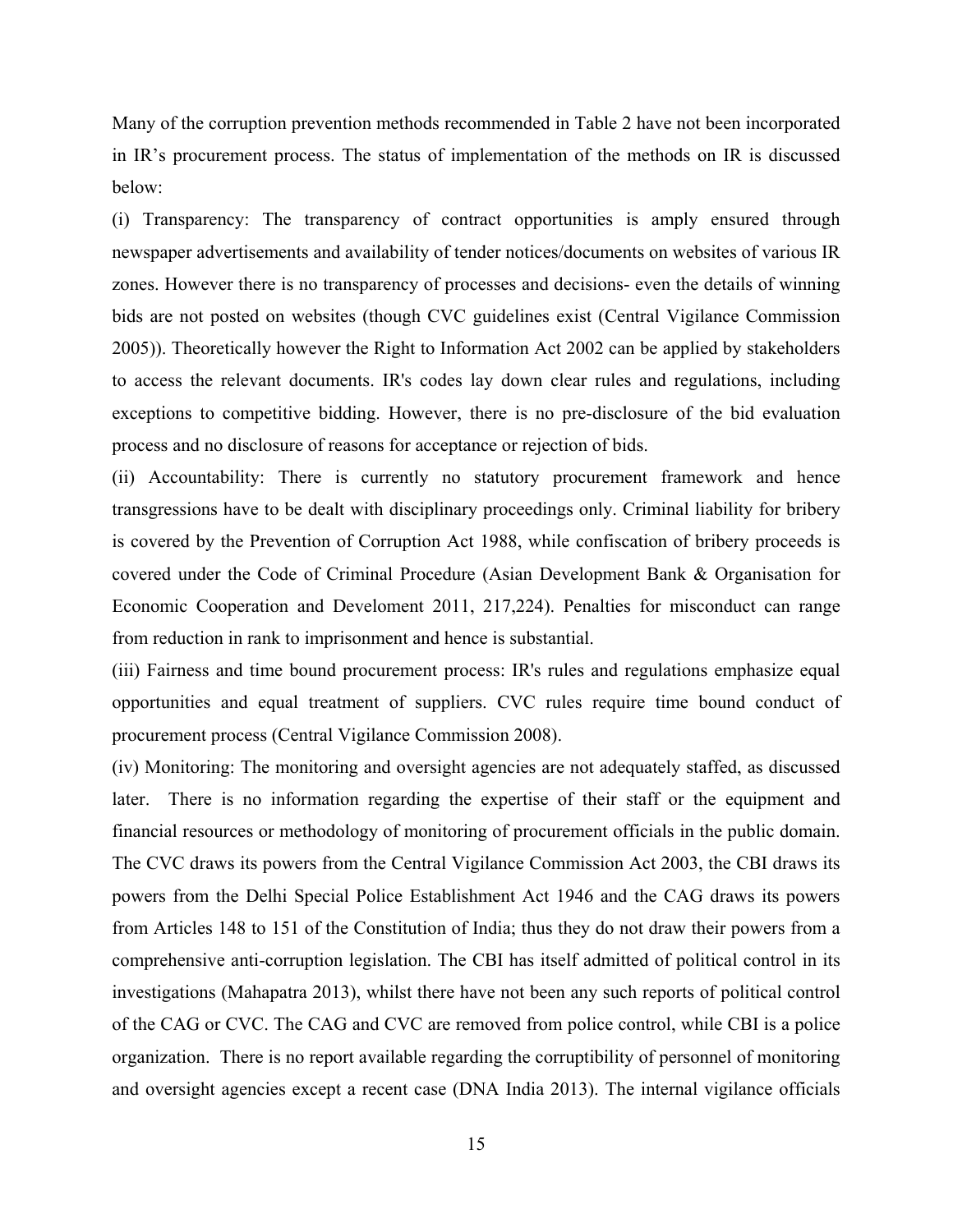Many of the corruption prevention methods recommended in Table 2 have not been incorporated in IR's procurement process. The status of implementation of the methods on IR is discussed below:

(i) Transparency: The transparency of contract opportunities is amply ensured through newspaper advertisements and availability of tender notices/documents on websites of various IR zones. However there is no transparency of processes and decisions- even the details of winning bids are not posted on websites (though CVC guidelines exist (Central Vigilance Commission 2005)). Theoretically however the Right to Information Act 2002 can be applied by stakeholders to access the relevant documents. IR's codes lay down clear rules and regulations, including exceptions to competitive bidding. However, there is no pre-disclosure of the bid evaluation process and no disclosure of reasons for acceptance or rejection of bids.

(ii) Accountability: There is currently no statutory procurement framework and hence transgressions have to be dealt with disciplinary proceedings only. Criminal liability for bribery is covered by the Prevention of Corruption Act 1988, while confiscation of bribery proceeds is covered under the Code of Criminal Procedure (Asian Development Bank & Organisation for Economic Cooperation and Develoment 2011, 217,224). Penalties for misconduct can range from reduction in rank to imprisonment and hence is substantial.

(iii) Fairness and time bound procurement process: IR's rules and regulations emphasize equal opportunities and equal treatment of suppliers. CVC rules require time bound conduct of procurement process (Central Vigilance Commission 2008).

(iv) Monitoring: The monitoring and oversight agencies are not adequately staffed, as discussed later. There is no information regarding the expertise of their staff or the equipment and financial resources or methodology of monitoring of procurement officials in the public domain. The CVC draws its powers from the Central Vigilance Commission Act 2003, the CBI draws its powers from the Delhi Special Police Establishment Act 1946 and the CAG draws its powers from Articles 148 to 151 of the Constitution of India; thus they do not draw their powers from a comprehensive anti-corruption legislation. The CBI has itself admitted of political control in its investigations (Mahapatra 2013), whilst there have not been any such reports of political control of the CAG or CVC. The CAG and CVC are removed from police control, while CBI is a police organization. There is no report available regarding the corruptibility of personnel of monitoring and oversight agencies except a recent case (DNA India 2013). The internal vigilance officials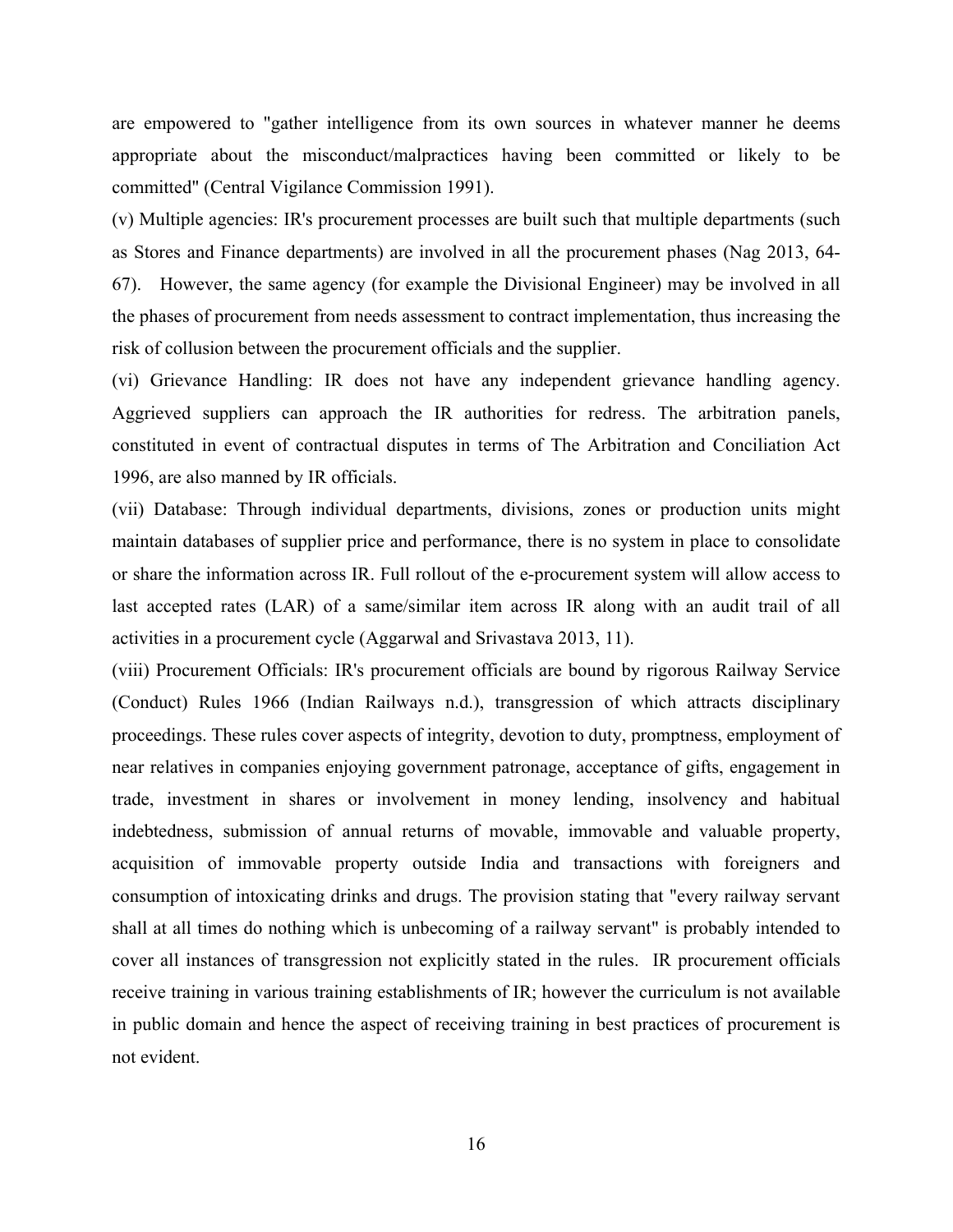are empowered to "gather intelligence from its own sources in whatever manner he deems appropriate about the misconduct/malpractices having been committed or likely to be committed" (Central Vigilance Commission 1991).

(v) Multiple agencies: IR's procurement processes are built such that multiple departments (such as Stores and Finance departments) are involved in all the procurement phases (Nag 2013, 64- 67). However, the same agency (for example the Divisional Engineer) may be involved in all the phases of procurement from needs assessment to contract implementation, thus increasing the risk of collusion between the procurement officials and the supplier.

(vi) Grievance Handling: IR does not have any independent grievance handling agency. Aggrieved suppliers can approach the IR authorities for redress. The arbitration panels, constituted in event of contractual disputes in terms of The Arbitration and Conciliation Act 1996, are also manned by IR officials.

(vii) Database: Through individual departments, divisions, zones or production units might maintain databases of supplier price and performance, there is no system in place to consolidate or share the information across IR. Full rollout of the e-procurement system will allow access to last accepted rates (LAR) of a same/similar item across IR along with an audit trail of all activities in a procurement cycle (Aggarwal and Srivastava 2013, 11).

(viii) Procurement Officials: IR's procurement officials are bound by rigorous Railway Service (Conduct) Rules 1966 (Indian Railways n.d.), transgression of which attracts disciplinary proceedings. These rules cover aspects of integrity, devotion to duty, promptness, employment of near relatives in companies enjoying government patronage, acceptance of gifts, engagement in trade, investment in shares or involvement in money lending, insolvency and habitual indebtedness, submission of annual returns of movable, immovable and valuable property, acquisition of immovable property outside India and transactions with foreigners and consumption of intoxicating drinks and drugs. The provision stating that "every railway servant shall at all times do nothing which is unbecoming of a railway servant" is probably intended to cover all instances of transgression not explicitly stated in the rules. IR procurement officials receive training in various training establishments of IR; however the curriculum is not available in public domain and hence the aspect of receiving training in best practices of procurement is not evident.

16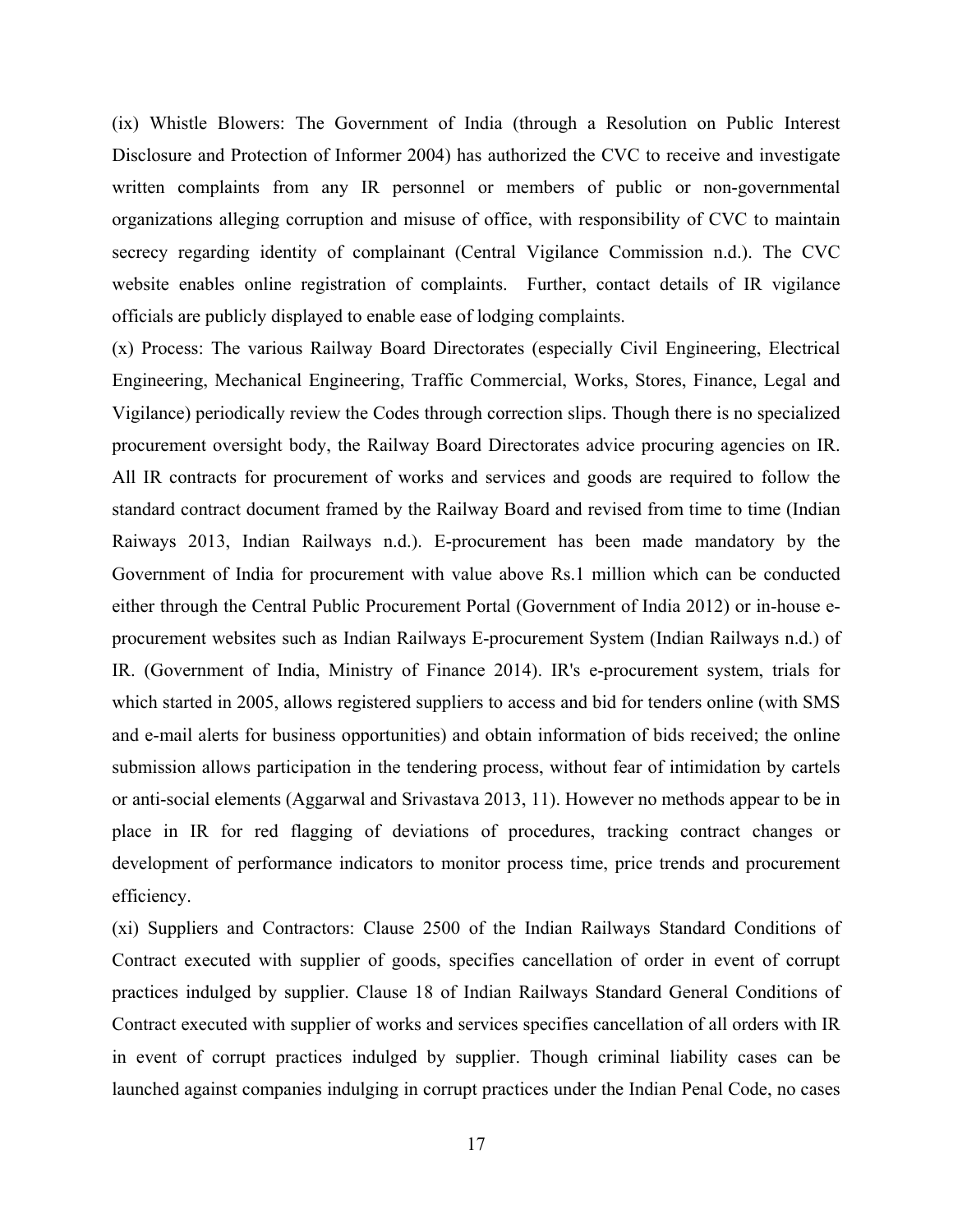(ix) Whistle Blowers: The Government of India (through a Resolution on Public Interest Disclosure and Protection of Informer 2004) has authorized the CVC to receive and investigate written complaints from any IR personnel or members of public or non-governmental organizations alleging corruption and misuse of office, with responsibility of CVC to maintain secrecy regarding identity of complainant (Central Vigilance Commission n.d.). The CVC website enables online registration of complaints. Further, contact details of IR vigilance officials are publicly displayed to enable ease of lodging complaints.

(x) Process: The various Railway Board Directorates (especially Civil Engineering, Electrical Engineering, Mechanical Engineering, Traffic Commercial, Works, Stores, Finance, Legal and Vigilance) periodically review the Codes through correction slips. Though there is no specialized procurement oversight body, the Railway Board Directorates advice procuring agencies on IR. All IR contracts for procurement of works and services and goods are required to follow the standard contract document framed by the Railway Board and revised from time to time (Indian Raiways 2013, Indian Railways n.d.). E-procurement has been made mandatory by the Government of India for procurement with value above Rs.1 million which can be conducted either through the Central Public Procurement Portal (Government of India 2012) or in-house eprocurement websites such as Indian Railways E-procurement System (Indian Railways n.d.) of IR. (Government of India, Ministry of Finance 2014). IR's e-procurement system, trials for which started in 2005, allows registered suppliers to access and bid for tenders online (with SMS and e-mail alerts for business opportunities) and obtain information of bids received; the online submission allows participation in the tendering process, without fear of intimidation by cartels or anti-social elements (Aggarwal and Srivastava 2013, 11). However no methods appear to be in place in IR for red flagging of deviations of procedures, tracking contract changes or development of performance indicators to monitor process time, price trends and procurement efficiency.

(xi) Suppliers and Contractors: Clause 2500 of the Indian Railways Standard Conditions of Contract executed with supplier of goods, specifies cancellation of order in event of corrupt practices indulged by supplier. Clause 18 of Indian Railways Standard General Conditions of Contract executed with supplier of works and services specifies cancellation of all orders with IR in event of corrupt practices indulged by supplier. Though criminal liability cases can be launched against companies indulging in corrupt practices under the Indian Penal Code, no cases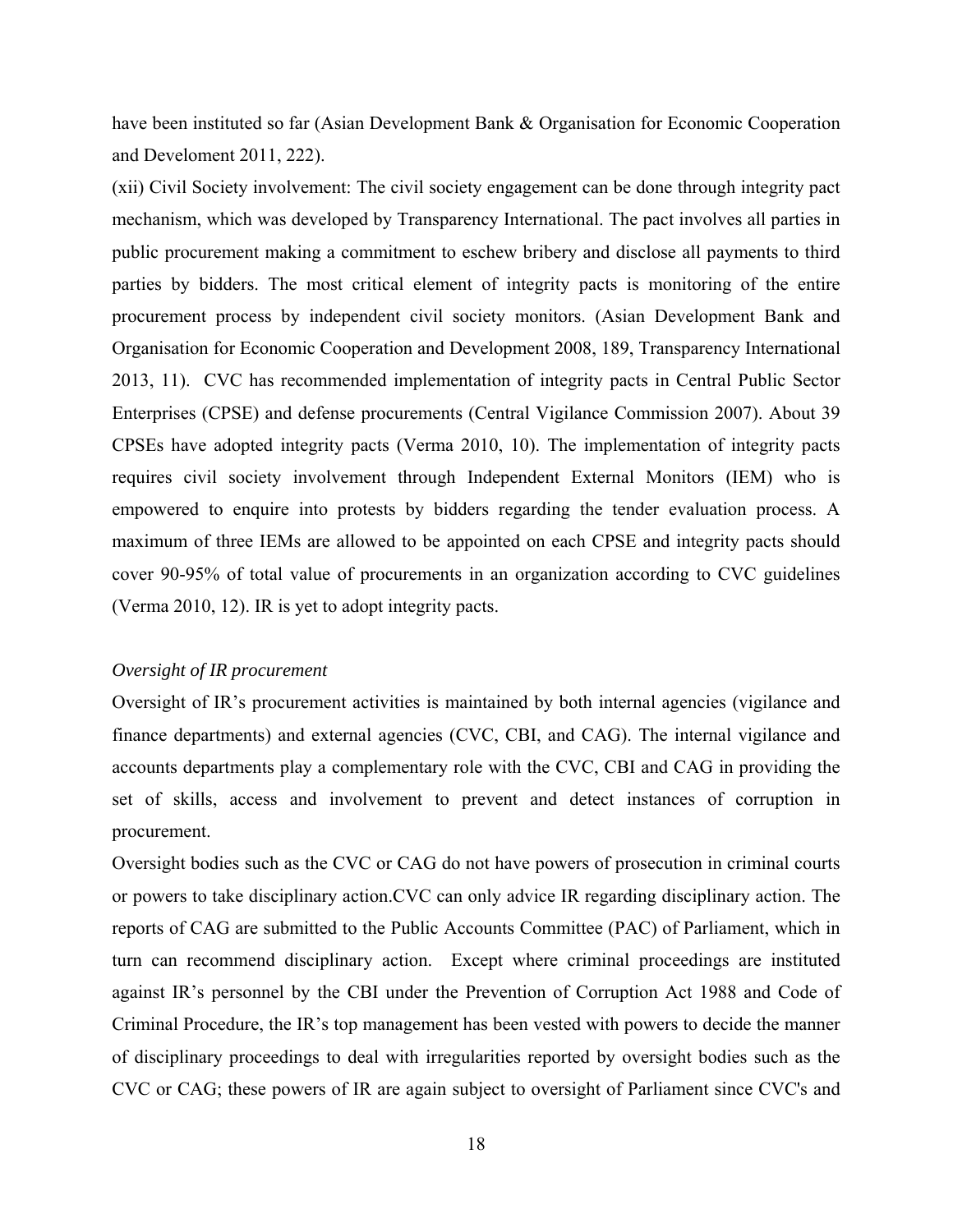have been instituted so far (Asian Development Bank & Organisation for Economic Cooperation and Develoment 2011, 222).

(xii) Civil Society involvement: The civil society engagement can be done through integrity pact mechanism, which was developed by Transparency International. The pact involves all parties in public procurement making a commitment to eschew bribery and disclose all payments to third parties by bidders. The most critical element of integrity pacts is monitoring of the entire procurement process by independent civil society monitors. (Asian Development Bank and Organisation for Economic Cooperation and Development 2008, 189, Transparency International 2013, 11). CVC has recommended implementation of integrity pacts in Central Public Sector Enterprises (CPSE) and defense procurements (Central Vigilance Commission 2007). About 39 CPSEs have adopted integrity pacts (Verma 2010, 10). The implementation of integrity pacts requires civil society involvement through Independent External Monitors (IEM) who is empowered to enquire into protests by bidders regarding the tender evaluation process. A maximum of three IEMs are allowed to be appointed on each CPSE and integrity pacts should cover 90-95% of total value of procurements in an organization according to CVC guidelines (Verma 2010, 12). IR is yet to adopt integrity pacts.

# *Oversight of IR procurement*

Oversight of IR's procurement activities is maintained by both internal agencies (vigilance and finance departments) and external agencies (CVC, CBI, and CAG). The internal vigilance and accounts departments play a complementary role with the CVC, CBI and CAG in providing the set of skills, access and involvement to prevent and detect instances of corruption in procurement.

Oversight bodies such as the CVC or CAG do not have powers of prosecution in criminal courts or powers to take disciplinary action.CVC can only advice IR regarding disciplinary action. The reports of CAG are submitted to the Public Accounts Committee (PAC) of Parliament, which in turn can recommend disciplinary action. Except where criminal proceedings are instituted against IR's personnel by the CBI under the Prevention of Corruption Act 1988 and Code of Criminal Procedure, the IR's top management has been vested with powers to decide the manner of disciplinary proceedings to deal with irregularities reported by oversight bodies such as the CVC or CAG; these powers of IR are again subject to oversight of Parliament since CVC's and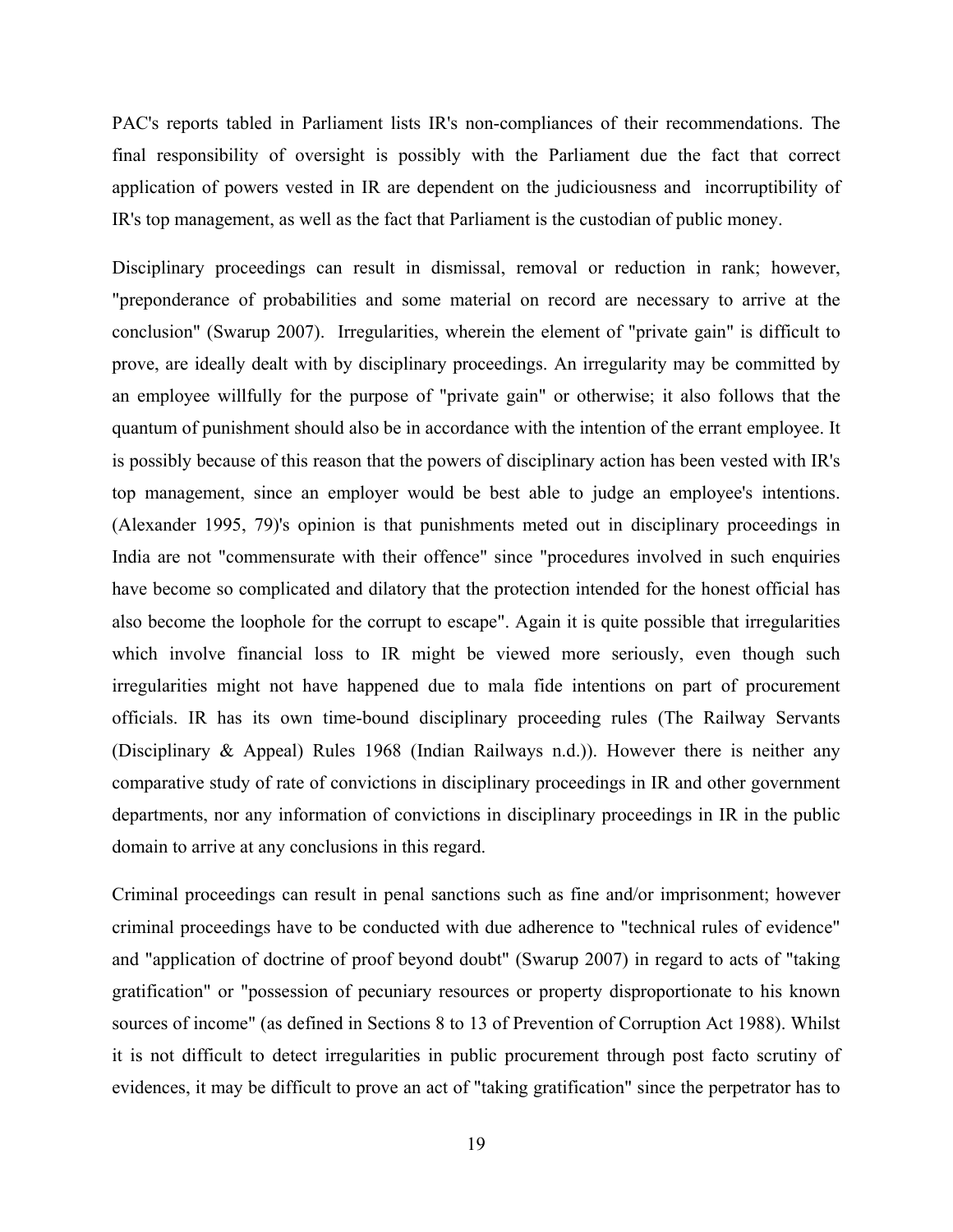PAC's reports tabled in Parliament lists IR's non-compliances of their recommendations. The final responsibility of oversight is possibly with the Parliament due the fact that correct application of powers vested in IR are dependent on the judiciousness and incorruptibility of IR's top management, as well as the fact that Parliament is the custodian of public money.

Disciplinary proceedings can result in dismissal, removal or reduction in rank; however, "preponderance of probabilities and some material on record are necessary to arrive at the conclusion" (Swarup 2007). Irregularities, wherein the element of "private gain" is difficult to prove, are ideally dealt with by disciplinary proceedings. An irregularity may be committed by an employee willfully for the purpose of "private gain" or otherwise; it also follows that the quantum of punishment should also be in accordance with the intention of the errant employee. It is possibly because of this reason that the powers of disciplinary action has been vested with IR's top management, since an employer would be best able to judge an employee's intentions. (Alexander 1995, 79)'s opinion is that punishments meted out in disciplinary proceedings in India are not "commensurate with their offence" since "procedures involved in such enquiries have become so complicated and dilatory that the protection intended for the honest official has also become the loophole for the corrupt to escape". Again it is quite possible that irregularities which involve financial loss to IR might be viewed more seriously, even though such irregularities might not have happened due to mala fide intentions on part of procurement officials. IR has its own time-bound disciplinary proceeding rules (The Railway Servants (Disciplinary & Appeal) Rules 1968 (Indian Railways n.d.)). However there is neither any comparative study of rate of convictions in disciplinary proceedings in IR and other government departments, nor any information of convictions in disciplinary proceedings in IR in the public domain to arrive at any conclusions in this regard.

Criminal proceedings can result in penal sanctions such as fine and/or imprisonment; however criminal proceedings have to be conducted with due adherence to "technical rules of evidence" and "application of doctrine of proof beyond doubt" (Swarup 2007) in regard to acts of "taking gratification" or "possession of pecuniary resources or property disproportionate to his known sources of income" (as defined in Sections 8 to 13 of Prevention of Corruption Act 1988). Whilst it is not difficult to detect irregularities in public procurement through post facto scrutiny of evidences, it may be difficult to prove an act of "taking gratification" since the perpetrator has to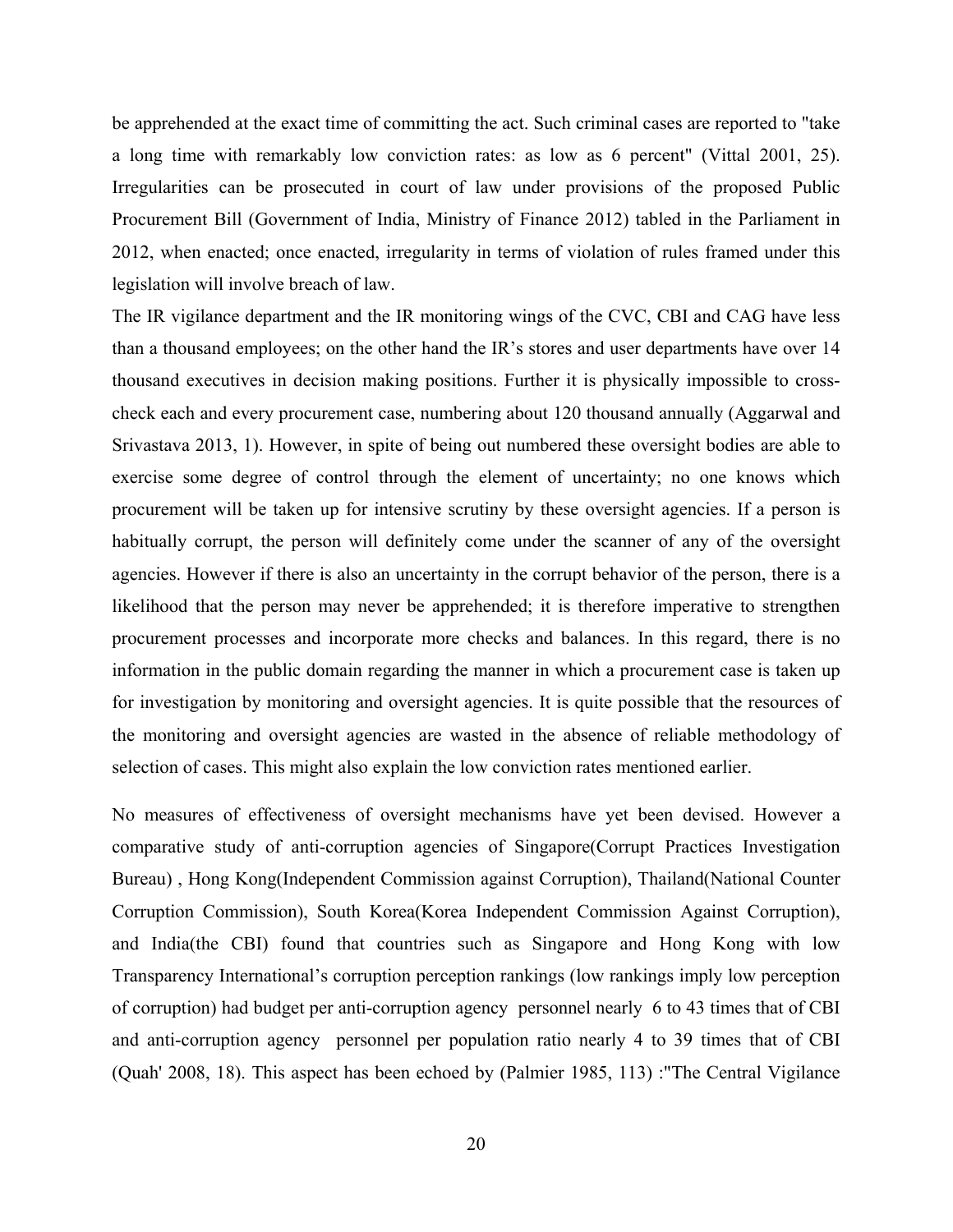be apprehended at the exact time of committing the act. Such criminal cases are reported to "take a long time with remarkably low conviction rates: as low as 6 percent" (Vittal 2001, 25). Irregularities can be prosecuted in court of law under provisions of the proposed Public Procurement Bill (Government of India, Ministry of Finance 2012) tabled in the Parliament in 2012, when enacted; once enacted, irregularity in terms of violation of rules framed under this legislation will involve breach of law.

The IR vigilance department and the IR monitoring wings of the CVC, CBI and CAG have less than a thousand employees; on the other hand the IR's stores and user departments have over 14 thousand executives in decision making positions. Further it is physically impossible to crosscheck each and every procurement case, numbering about 120 thousand annually (Aggarwal and Srivastava 2013, 1). However, in spite of being out numbered these oversight bodies are able to exercise some degree of control through the element of uncertainty; no one knows which procurement will be taken up for intensive scrutiny by these oversight agencies. If a person is habitually corrupt, the person will definitely come under the scanner of any of the oversight agencies. However if there is also an uncertainty in the corrupt behavior of the person, there is a likelihood that the person may never be apprehended; it is therefore imperative to strengthen procurement processes and incorporate more checks and balances. In this regard, there is no information in the public domain regarding the manner in which a procurement case is taken up for investigation by monitoring and oversight agencies. It is quite possible that the resources of the monitoring and oversight agencies are wasted in the absence of reliable methodology of selection of cases. This might also explain the low conviction rates mentioned earlier.

No measures of effectiveness of oversight mechanisms have yet been devised. However a comparative study of anti-corruption agencies of Singapore(Corrupt Practices Investigation Bureau) , Hong Kong(Independent Commission against Corruption), Thailand(National Counter Corruption Commission), South Korea(Korea Independent Commission Against Corruption), and India(the CBI) found that countries such as Singapore and Hong Kong with low Transparency International's corruption perception rankings (low rankings imply low perception of corruption) had budget per anti-corruption agency personnel nearly 6 to 43 times that of CBI and anti-corruption agency personnel per population ratio nearly 4 to 39 times that of CBI (Quah' 2008, 18). This aspect has been echoed by (Palmier 1985, 113) :"The Central Vigilance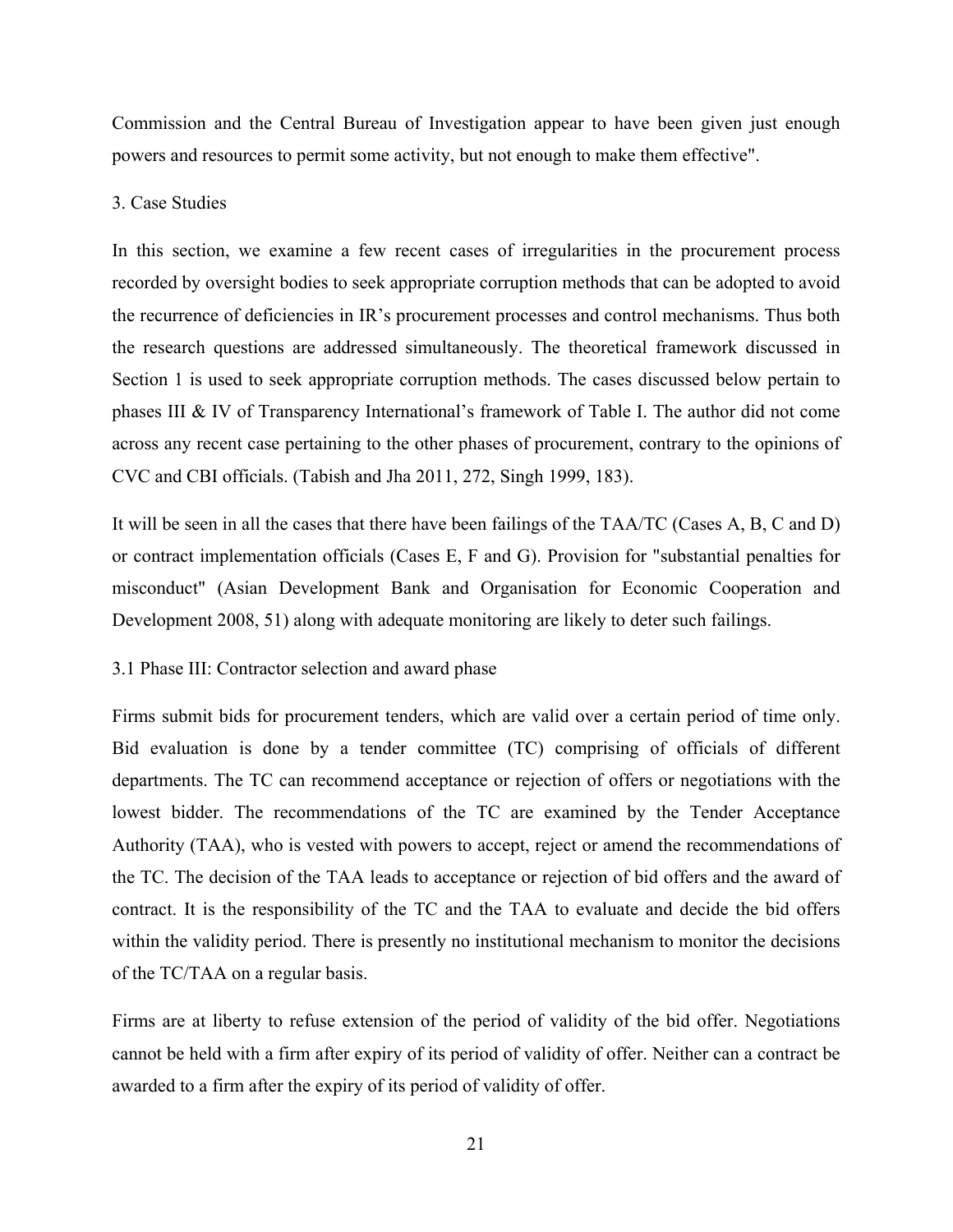Commission and the Central Bureau of Investigation appear to have been given just enough powers and resources to permit some activity, but not enough to make them effective".

## 3. Case Studies

In this section, we examine a few recent cases of irregularities in the procurement process recorded by oversight bodies to seek appropriate corruption methods that can be adopted to avoid the recurrence of deficiencies in IR's procurement processes and control mechanisms. Thus both the research questions are addressed simultaneously. The theoretical framework discussed in Section 1 is used to seek appropriate corruption methods. The cases discussed below pertain to phases III & IV of Transparency International's framework of Table I. The author did not come across any recent case pertaining to the other phases of procurement, contrary to the opinions of CVC and CBI officials. (Tabish and Jha 2011, 272, Singh 1999, 183).

It will be seen in all the cases that there have been failings of the TAA/TC (Cases A, B, C and D) or contract implementation officials (Cases E, F and G). Provision for "substantial penalties for misconduct" (Asian Development Bank and Organisation for Economic Cooperation and Development 2008, 51) along with adequate monitoring are likely to deter such failings.

# 3.1 Phase III: Contractor selection and award phase

Firms submit bids for procurement tenders, which are valid over a certain period of time only. Bid evaluation is done by a tender committee (TC) comprising of officials of different departments. The TC can recommend acceptance or rejection of offers or negotiations with the lowest bidder. The recommendations of the TC are examined by the Tender Acceptance Authority (TAA), who is vested with powers to accept, reject or amend the recommendations of the TC. The decision of the TAA leads to acceptance or rejection of bid offers and the award of contract. It is the responsibility of the TC and the TAA to evaluate and decide the bid offers within the validity period. There is presently no institutional mechanism to monitor the decisions of the TC/TAA on a regular basis.

Firms are at liberty to refuse extension of the period of validity of the bid offer. Negotiations cannot be held with a firm after expiry of its period of validity of offer. Neither can a contract be awarded to a firm after the expiry of its period of validity of offer.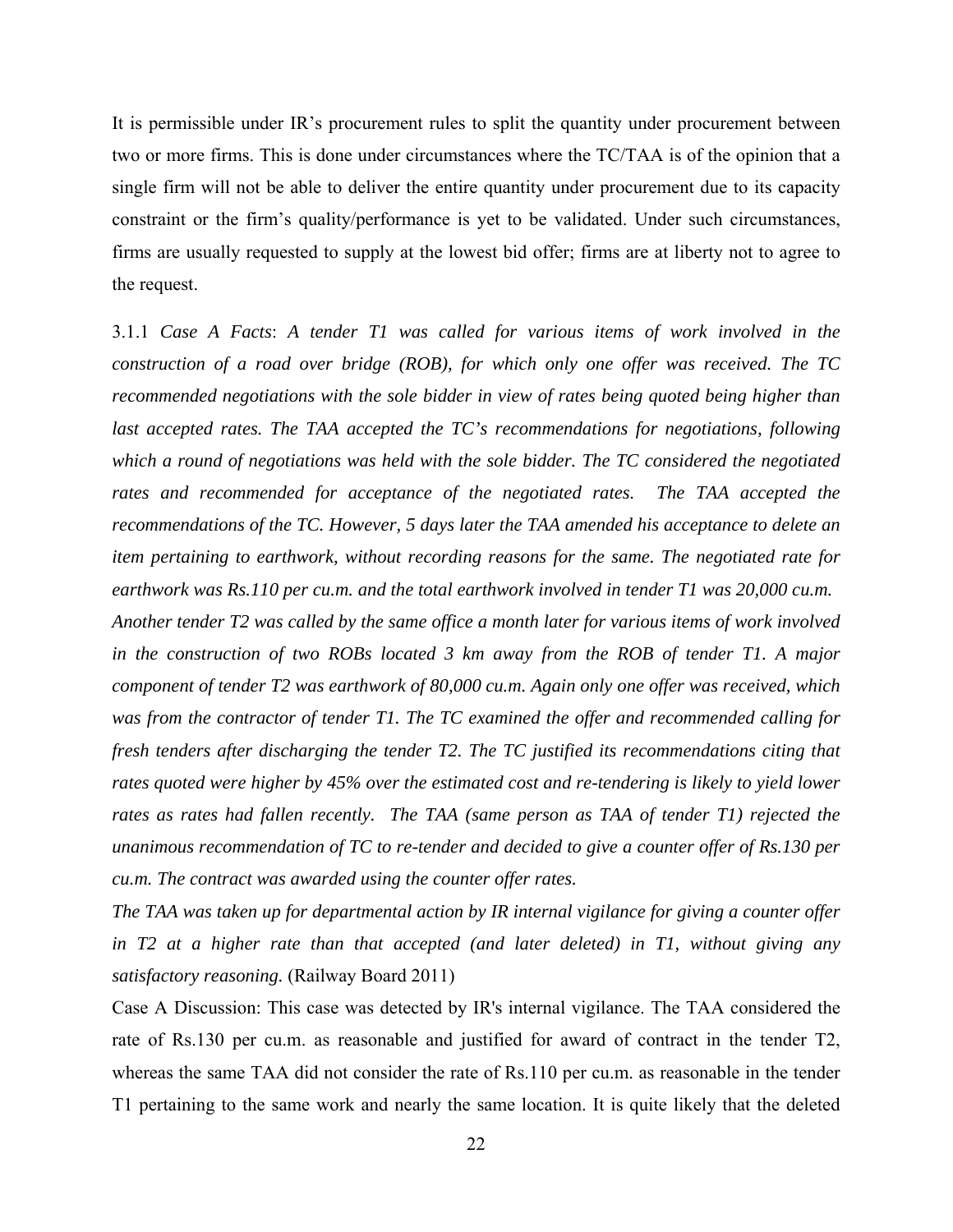It is permissible under IR's procurement rules to split the quantity under procurement between two or more firms. This is done under circumstances where the TC/TAA is of the opinion that a single firm will not be able to deliver the entire quantity under procurement due to its capacity constraint or the firm's quality/performance is yet to be validated. Under such circumstances, firms are usually requested to supply at the lowest bid offer; firms are at liberty not to agree to the request.

3.1.1 *Case A Facts*: *A tender T1 was called for various items of work involved in the construction of a road over bridge (ROB), for which only one offer was received. The TC recommended negotiations with the sole bidder in view of rates being quoted being higher than*  last accepted rates. The TAA accepted the TC's recommendations for negotiations, following *which a round of negotiations was held with the sole bidder. The TC considered the negotiated rates and recommended for acceptance of the negotiated rates. The TAA accepted the recommendations of the TC. However, 5 days later the TAA amended his acceptance to delete an item pertaining to earthwork, without recording reasons for the same. The negotiated rate for earthwork was Rs.110 per cu.m. and the total earthwork involved in tender T1 was 20,000 cu.m. Another tender T2 was called by the same office a month later for various items of work involved in the construction of two ROBs located 3 km away from the ROB of tender T1. A major component of tender T2 was earthwork of 80,000 cu.m. Again only one offer was received, which was from the contractor of tender T1. The TC examined the offer and recommended calling for fresh tenders after discharging the tender T2. The TC justified its recommendations citing that rates quoted were higher by 45% over the estimated cost and re-tendering is likely to yield lower rates as rates had fallen recently. The TAA (same person as TAA of tender T1) rejected the unanimous recommendation of TC to re-tender and decided to give a counter offer of Rs.130 per* 

*The TAA was taken up for departmental action by IR internal vigilance for giving a counter offer in T2 at a higher rate than that accepted (and later deleted) in T1, without giving any satisfactory reasoning.* (Railway Board 2011)

*cu.m. The contract was awarded using the counter offer rates.* 

Case A Discussion: This case was detected by IR's internal vigilance. The TAA considered the rate of Rs.130 per cu.m. as reasonable and justified for award of contract in the tender T2, whereas the same TAA did not consider the rate of Rs.110 per cu.m. as reasonable in the tender T1 pertaining to the same work and nearly the same location. It is quite likely that the deleted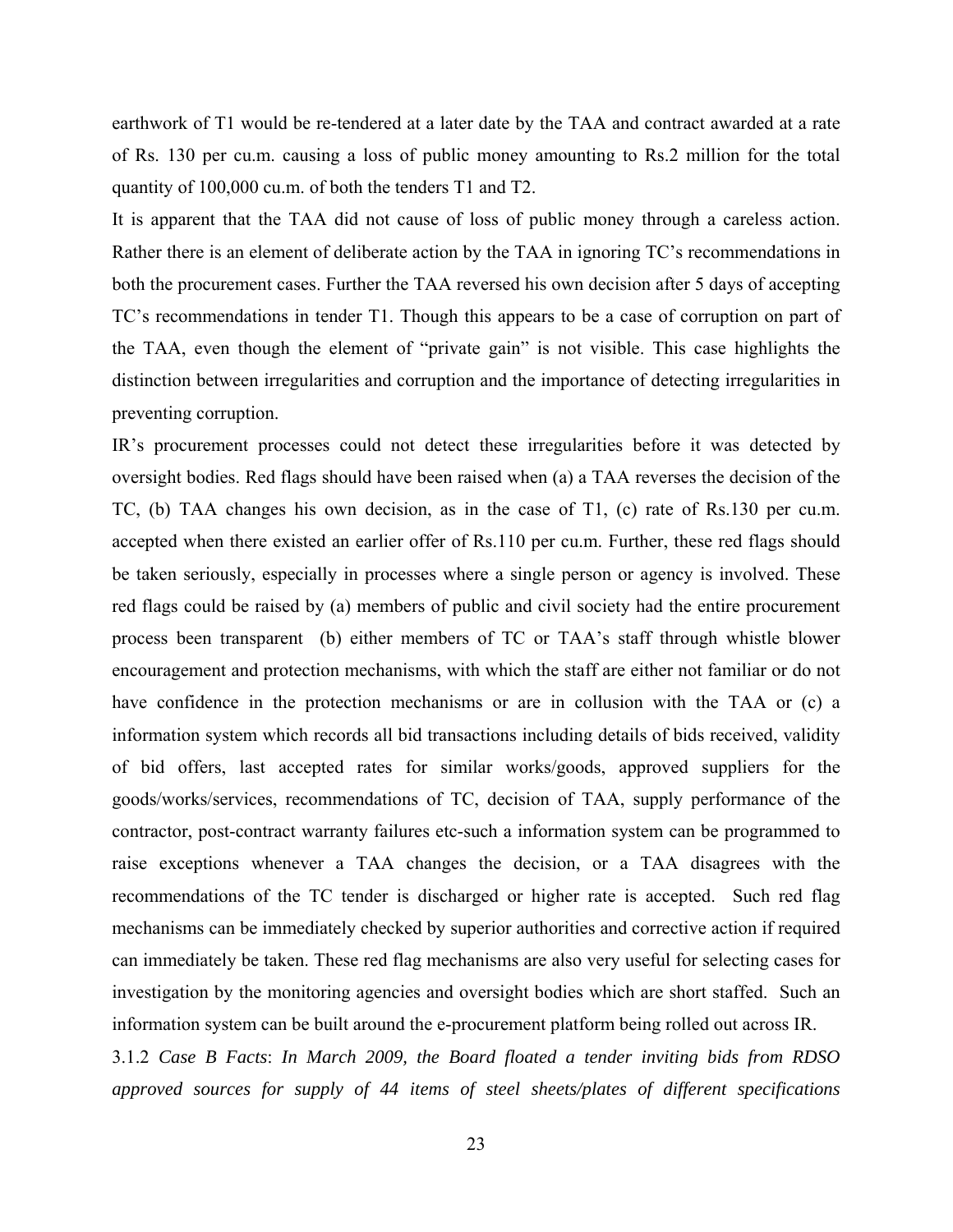earthwork of T1 would be re-tendered at a later date by the TAA and contract awarded at a rate of Rs. 130 per cu.m. causing a loss of public money amounting to Rs.2 million for the total quantity of 100,000 cu.m. of both the tenders T1 and T2.

It is apparent that the TAA did not cause of loss of public money through a careless action. Rather there is an element of deliberate action by the TAA in ignoring TC's recommendations in both the procurement cases. Further the TAA reversed his own decision after 5 days of accepting TC's recommendations in tender T1. Though this appears to be a case of corruption on part of the TAA, even though the element of "private gain" is not visible. This case highlights the distinction between irregularities and corruption and the importance of detecting irregularities in preventing corruption.

IR's procurement processes could not detect these irregularities before it was detected by oversight bodies. Red flags should have been raised when (a) a TAA reverses the decision of the TC, (b) TAA changes his own decision, as in the case of T1, (c) rate of Rs.130 per cu.m. accepted when there existed an earlier offer of Rs.110 per cu.m. Further, these red flags should be taken seriously, especially in processes where a single person or agency is involved. These red flags could be raised by (a) members of public and civil society had the entire procurement process been transparent (b) either members of TC or TAA's staff through whistle blower encouragement and protection mechanisms, with which the staff are either not familiar or do not have confidence in the protection mechanisms or are in collusion with the TAA or (c) a information system which records all bid transactions including details of bids received, validity of bid offers, last accepted rates for similar works/goods, approved suppliers for the goods/works/services, recommendations of TC, decision of TAA, supply performance of the contractor, post-contract warranty failures etc-such a information system can be programmed to raise exceptions whenever a TAA changes the decision, or a TAA disagrees with the recommendations of the TC tender is discharged or higher rate is accepted. Such red flag mechanisms can be immediately checked by superior authorities and corrective action if required can immediately be taken. These red flag mechanisms are also very useful for selecting cases for investigation by the monitoring agencies and oversight bodies which are short staffed. Such an information system can be built around the e-procurement platform being rolled out across IR.

3.1.2 *Case B Facts*: *In March 2009, the Board floated a tender inviting bids from RDSO approved sources for supply of 44 items of steel sheets/plates of different specifications*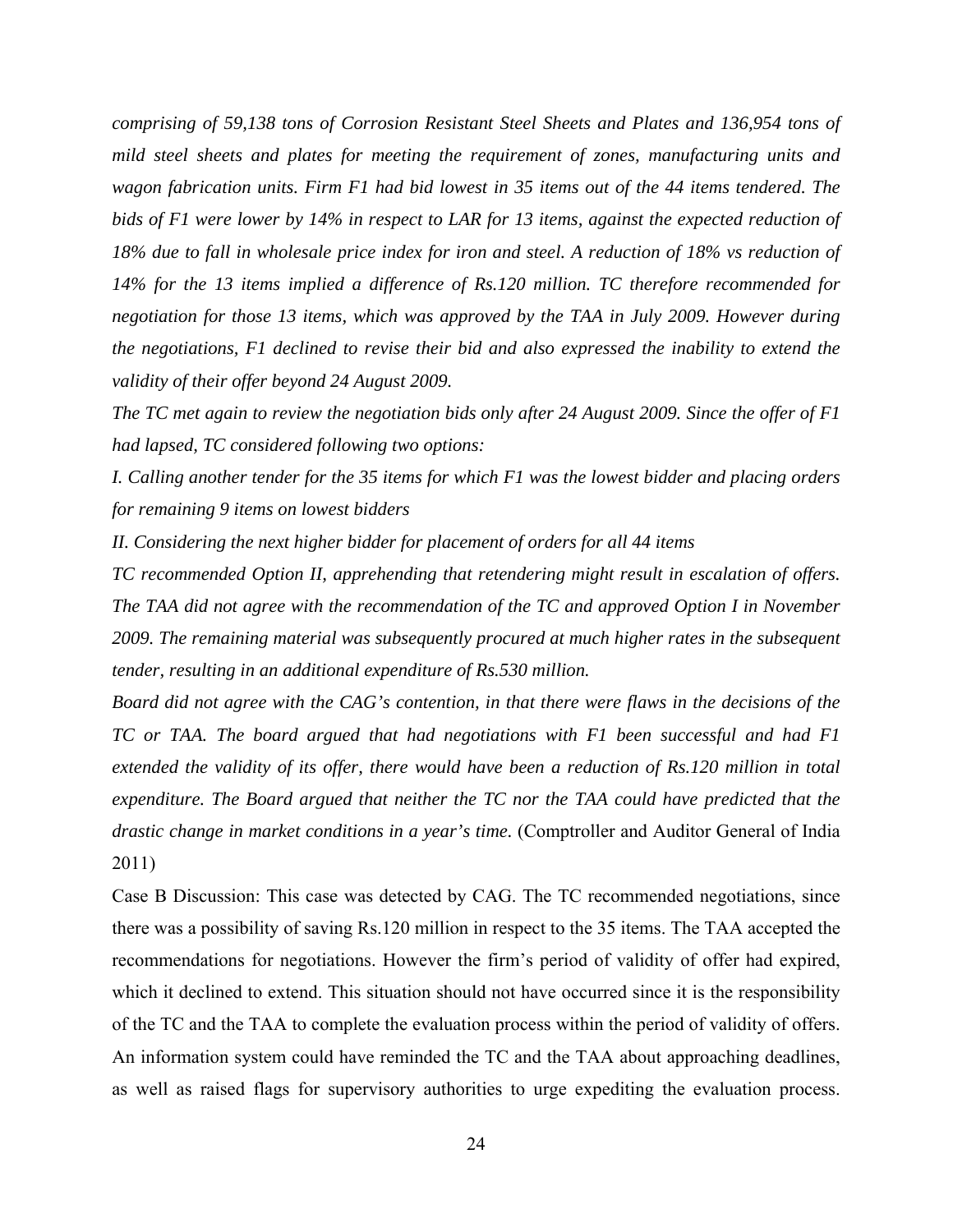*comprising of 59,138 tons of Corrosion Resistant Steel Sheets and Plates and 136,954 tons of mild steel sheets and plates for meeting the requirement of zones, manufacturing units and wagon fabrication units. Firm F1 had bid lowest in 35 items out of the 44 items tendered. The bids of F1 were lower by 14% in respect to LAR for 13 items, against the expected reduction of 18% due to fall in wholesale price index for iron and steel. A reduction of 18% vs reduction of 14% for the 13 items implied a difference of Rs.120 million. TC therefore recommended for negotiation for those 13 items, which was approved by the TAA in July 2009. However during the negotiations, F1 declined to revise their bid and also expressed the inability to extend the validity of their offer beyond 24 August 2009.* 

*The TC met again to review the negotiation bids only after 24 August 2009. Since the offer of F1 had lapsed, TC considered following two options:* 

*I. Calling another tender for the 35 items for which F1 was the lowest bidder and placing orders for remaining 9 items on lowest bidders* 

*II. Considering the next higher bidder for placement of orders for all 44 items* 

*TC recommended Option II, apprehending that retendering might result in escalation of offers. The TAA did not agree with the recommendation of the TC and approved Option I in November 2009. The remaining material was subsequently procured at much higher rates in the subsequent tender, resulting in an additional expenditure of Rs.530 million.* 

*Board did not agree with the CAG's contention, in that there were flaws in the decisions of the TC or TAA. The board argued that had negotiations with F1 been successful and had F1 extended the validity of its offer, there would have been a reduction of Rs.120 million in total expenditure. The Board argued that neither the TC nor the TAA could have predicted that the drastic change in market conditions in a year's time.* (Comptroller and Auditor General of India 2011)

Case B Discussion: This case was detected by CAG. The TC recommended negotiations, since there was a possibility of saving Rs.120 million in respect to the 35 items. The TAA accepted the recommendations for negotiations. However the firm's period of validity of offer had expired, which it declined to extend. This situation should not have occurred since it is the responsibility of the TC and the TAA to complete the evaluation process within the period of validity of offers. An information system could have reminded the TC and the TAA about approaching deadlines, as well as raised flags for supervisory authorities to urge expediting the evaluation process.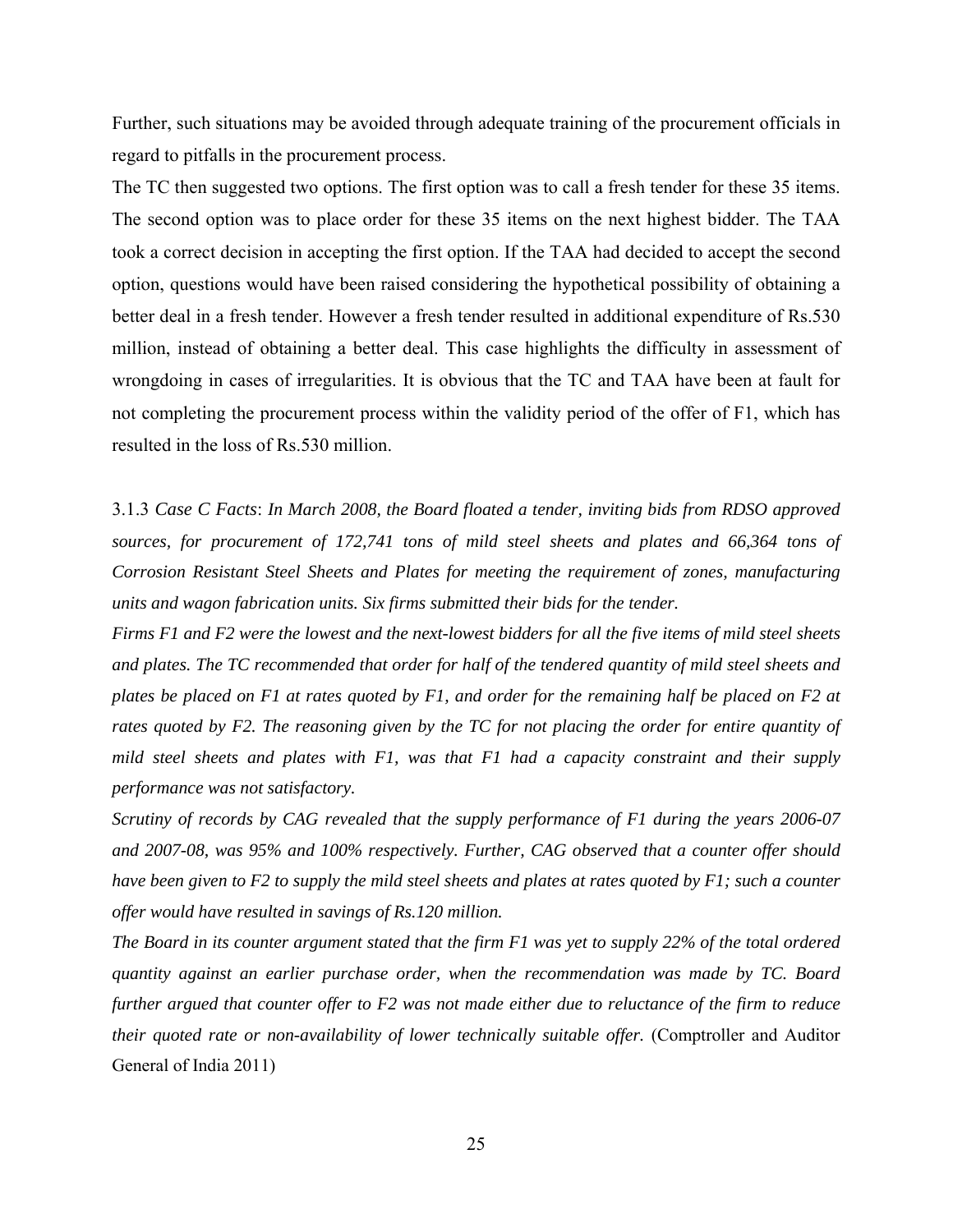Further, such situations may be avoided through adequate training of the procurement officials in regard to pitfalls in the procurement process.

The TC then suggested two options. The first option was to call a fresh tender for these 35 items. The second option was to place order for these 35 items on the next highest bidder. The TAA took a correct decision in accepting the first option. If the TAA had decided to accept the second option, questions would have been raised considering the hypothetical possibility of obtaining a better deal in a fresh tender. However a fresh tender resulted in additional expenditure of Rs.530 million, instead of obtaining a better deal. This case highlights the difficulty in assessment of wrongdoing in cases of irregularities. It is obvious that the TC and TAA have been at fault for not completing the procurement process within the validity period of the offer of F1, which has resulted in the loss of Rs.530 million.

3.1.3 *Case C Facts*: *In March 2008, the Board floated a tender, inviting bids from RDSO approved sources, for procurement of 172,741 tons of mild steel sheets and plates and 66,364 tons of Corrosion Resistant Steel Sheets and Plates for meeting the requirement of zones, manufacturing units and wagon fabrication units. Six firms submitted their bids for the tender.* 

*Firms F1 and F2 were the lowest and the next-lowest bidders for all the five items of mild steel sheets and plates. The TC recommended that order for half of the tendered quantity of mild steel sheets and plates be placed on F1 at rates quoted by F1, and order for the remaining half be placed on F2 at rates quoted by F2. The reasoning given by the TC for not placing the order for entire quantity of mild steel sheets and plates with F1, was that F1 had a capacity constraint and their supply performance was not satisfactory.* 

*Scrutiny of records by CAG revealed that the supply performance of F1 during the years 2006-07 and 2007-08, was 95% and 100% respectively. Further, CAG observed that a counter offer should have been given to F2 to supply the mild steel sheets and plates at rates quoted by F1; such a counter offer would have resulted in savings of Rs.120 million.* 

*The Board in its counter argument stated that the firm F1 was yet to supply 22% of the total ordered quantity against an earlier purchase order, when the recommendation was made by TC. Board further argued that counter offer to F2 was not made either due to reluctance of the firm to reduce their quoted rate or non-availability of lower technically suitable offer.* (Comptroller and Auditor General of India 2011)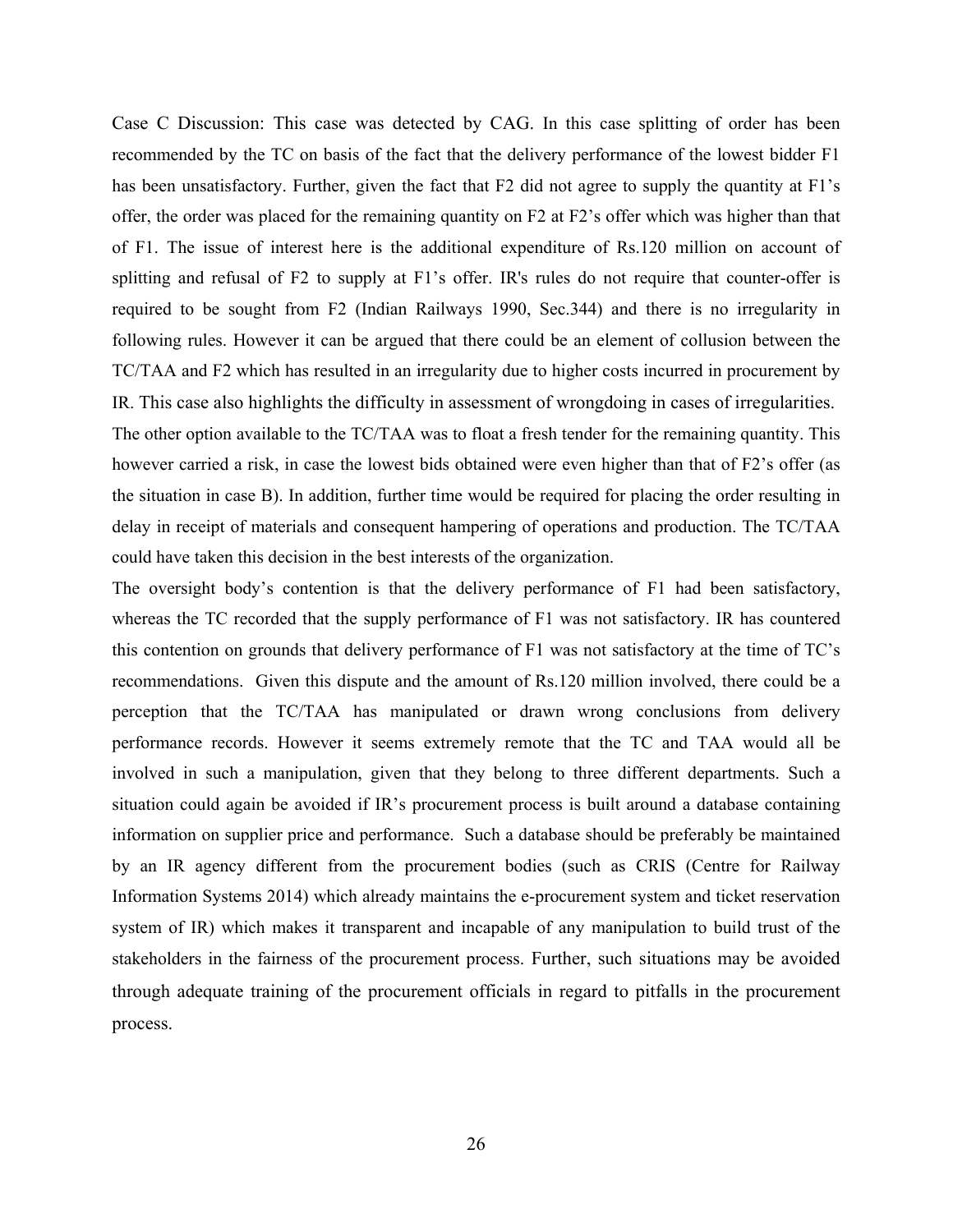Case C Discussion: This case was detected by CAG. In this case splitting of order has been recommended by the TC on basis of the fact that the delivery performance of the lowest bidder F1 has been unsatisfactory. Further, given the fact that F2 did not agree to supply the quantity at F1's offer, the order was placed for the remaining quantity on F2 at F2's offer which was higher than that of F1. The issue of interest here is the additional expenditure of Rs.120 million on account of splitting and refusal of F2 to supply at F1's offer. IR's rules do not require that counter-offer is required to be sought from F2 (Indian Railways 1990, Sec.344) and there is no irregularity in following rules. However it can be argued that there could be an element of collusion between the TC/TAA and F2 which has resulted in an irregularity due to higher costs incurred in procurement by IR. This case also highlights the difficulty in assessment of wrongdoing in cases of irregularities.

The other option available to the TC/TAA was to float a fresh tender for the remaining quantity. This however carried a risk, in case the lowest bids obtained were even higher than that of F2's offer (as the situation in case B). In addition, further time would be required for placing the order resulting in delay in receipt of materials and consequent hampering of operations and production. The TC/TAA could have taken this decision in the best interests of the organization.

The oversight body's contention is that the delivery performance of F1 had been satisfactory, whereas the TC recorded that the supply performance of F1 was not satisfactory. IR has countered this contention on grounds that delivery performance of F1 was not satisfactory at the time of TC's recommendations. Given this dispute and the amount of Rs.120 million involved, there could be a perception that the TC/TAA has manipulated or drawn wrong conclusions from delivery performance records. However it seems extremely remote that the TC and TAA would all be involved in such a manipulation, given that they belong to three different departments. Such a situation could again be avoided if IR's procurement process is built around a database containing information on supplier price and performance. Such a database should be preferably be maintained by an IR agency different from the procurement bodies (such as CRIS (Centre for Railway Information Systems 2014) which already maintains the e-procurement system and ticket reservation system of IR) which makes it transparent and incapable of any manipulation to build trust of the stakeholders in the fairness of the procurement process. Further, such situations may be avoided through adequate training of the procurement officials in regard to pitfalls in the procurement process.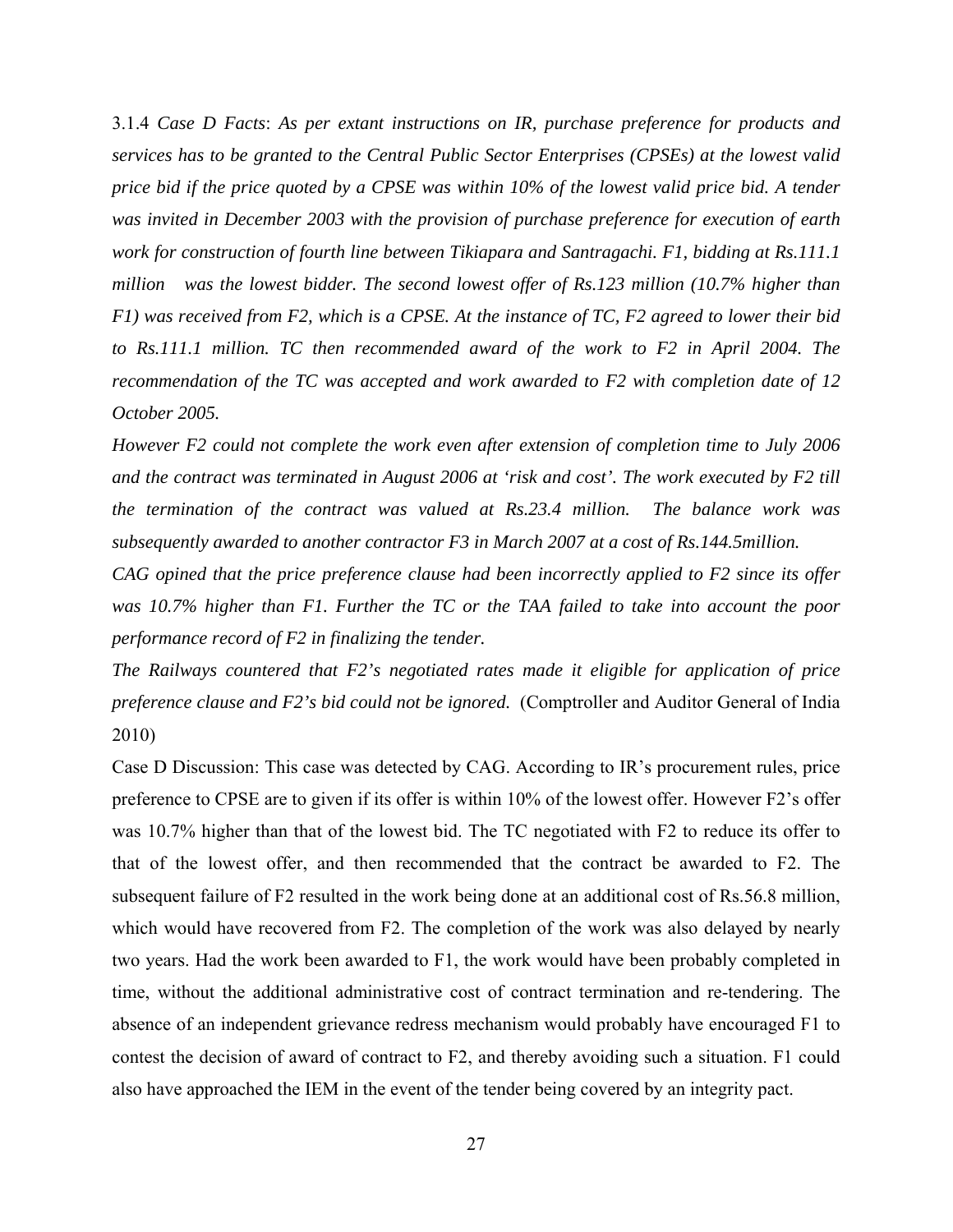3.1.4 *Case D Facts*: *As per extant instructions on IR, purchase preference for products and services has to be granted to the Central Public Sector Enterprises (CPSEs) at the lowest valid price bid if the price quoted by a CPSE was within 10% of the lowest valid price bid. A tender was invited in December 2003 with the provision of purchase preference for execution of earth work for construction of fourth line between Tikiapara and Santragachi. F1, bidding at Rs.111.1 million was the lowest bidder. The second lowest offer of Rs.123 million (10.7% higher than F1) was received from F2, which is a CPSE. At the instance of TC, F2 agreed to lower their bid to Rs.111.1 million. TC then recommended award of the work to F2 in April 2004. The recommendation of the TC was accepted and work awarded to F2 with completion date of 12 October 2005.* 

*However F2 could not complete the work even after extension of completion time to July 2006 and the contract was terminated in August 2006 at 'risk and cost'. The work executed by F2 till the termination of the contract was valued at Rs.23.4 million. The balance work was subsequently awarded to another contractor F3 in March 2007 at a cost of Rs.144.5million.* 

*CAG opined that the price preference clause had been incorrectly applied to F2 since its offer was 10.7% higher than F1. Further the TC or the TAA failed to take into account the poor performance record of F2 in finalizing the tender.* 

*The Railways countered that F2's negotiated rates made it eligible for application of price preference clause and F2's bid could not be ignored.* (Comptroller and Auditor General of India 2010)

Case D Discussion: This case was detected by CAG. According to IR's procurement rules, price preference to CPSE are to given if its offer is within 10% of the lowest offer. However F2's offer was 10.7% higher than that of the lowest bid. The TC negotiated with F2 to reduce its offer to that of the lowest offer, and then recommended that the contract be awarded to F2. The subsequent failure of F2 resulted in the work being done at an additional cost of Rs.56.8 million, which would have recovered from F2. The completion of the work was also delayed by nearly two years. Had the work been awarded to F1, the work would have been probably completed in time, without the additional administrative cost of contract termination and re-tendering. The absence of an independent grievance redress mechanism would probably have encouraged F1 to contest the decision of award of contract to F2, and thereby avoiding such a situation. F1 could also have approached the IEM in the event of the tender being covered by an integrity pact.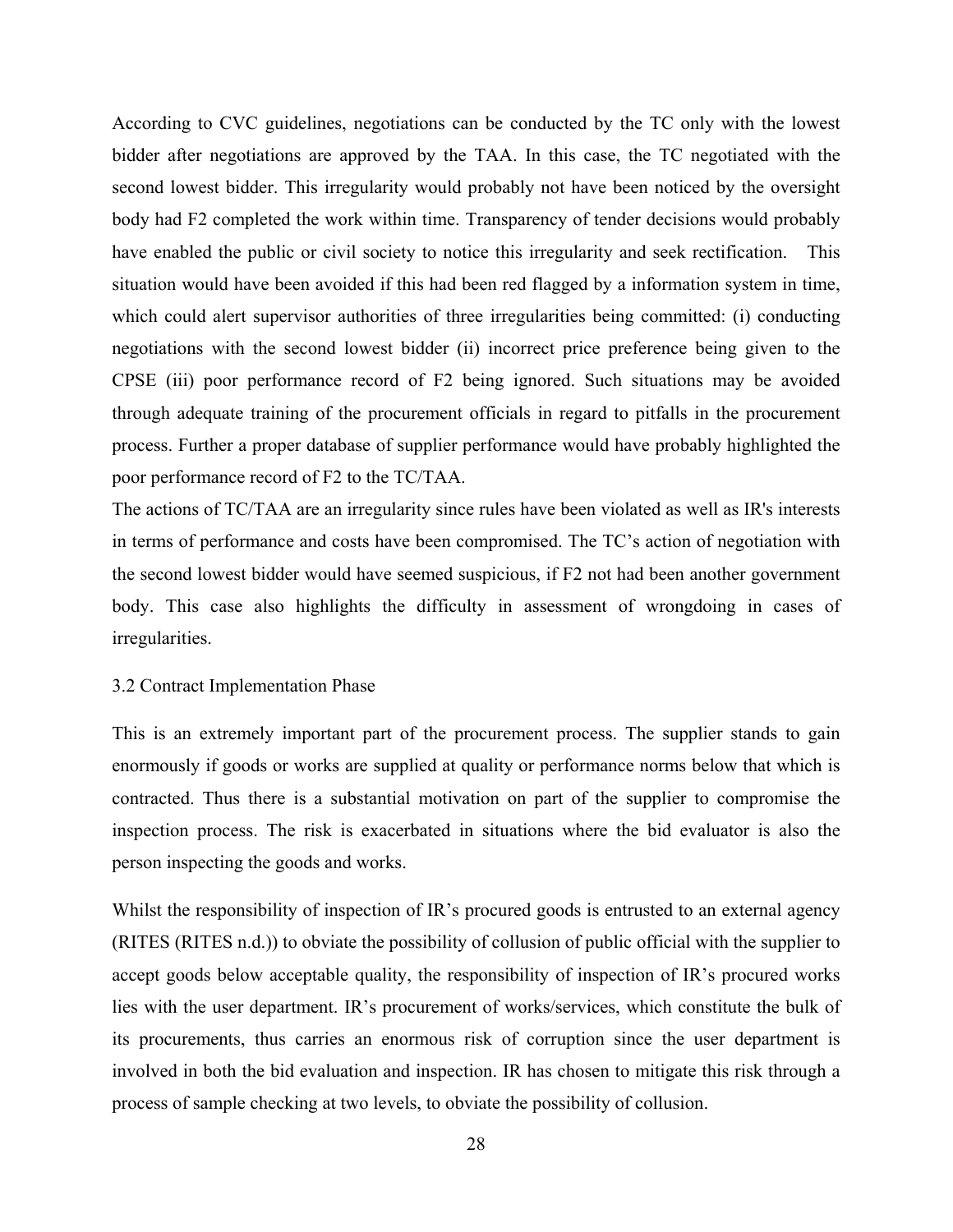According to CVC guidelines, negotiations can be conducted by the TC only with the lowest bidder after negotiations are approved by the TAA. In this case, the TC negotiated with the second lowest bidder. This irregularity would probably not have been noticed by the oversight body had F2 completed the work within time. Transparency of tender decisions would probably have enabled the public or civil society to notice this irregularity and seek rectification. This situation would have been avoided if this had been red flagged by a information system in time, which could alert supervisor authorities of three irregularities being committed: (i) conducting negotiations with the second lowest bidder (ii) incorrect price preference being given to the CPSE (iii) poor performance record of F2 being ignored. Such situations may be avoided through adequate training of the procurement officials in regard to pitfalls in the procurement process. Further a proper database of supplier performance would have probably highlighted the poor performance record of F2 to the TC/TAA.

The actions of TC/TAA are an irregularity since rules have been violated as well as IR's interests in terms of performance and costs have been compromised. The TC's action of negotiation with the second lowest bidder would have seemed suspicious, if F2 not had been another government body. This case also highlights the difficulty in assessment of wrongdoing in cases of irregularities.

#### 3.2 Contract Implementation Phase

This is an extremely important part of the procurement process. The supplier stands to gain enormously if goods or works are supplied at quality or performance norms below that which is contracted. Thus there is a substantial motivation on part of the supplier to compromise the inspection process. The risk is exacerbated in situations where the bid evaluator is also the person inspecting the goods and works.

Whilst the responsibility of inspection of IR's procured goods is entrusted to an external agency (RITES (RITES n.d.)) to obviate the possibility of collusion of public official with the supplier to accept goods below acceptable quality, the responsibility of inspection of IR's procured works lies with the user department. IR's procurement of works/services, which constitute the bulk of its procurements, thus carries an enormous risk of corruption since the user department is involved in both the bid evaluation and inspection. IR has chosen to mitigate this risk through a process of sample checking at two levels, to obviate the possibility of collusion.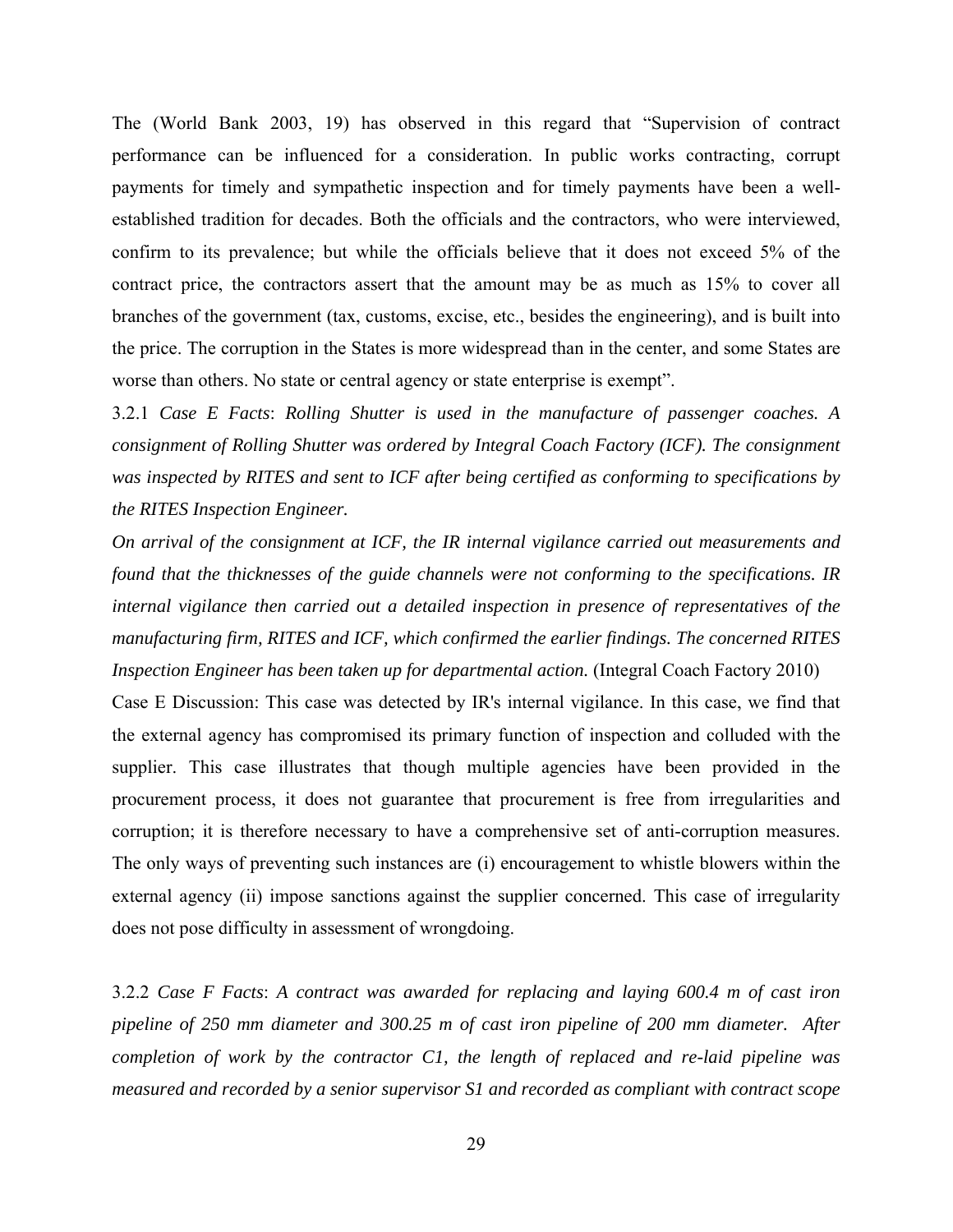The (World Bank 2003, 19) has observed in this regard that "Supervision of contract performance can be influenced for a consideration. In public works contracting, corrupt payments for timely and sympathetic inspection and for timely payments have been a wellestablished tradition for decades. Both the officials and the contractors, who were interviewed, confirm to its prevalence; but while the officials believe that it does not exceed 5% of the contract price, the contractors assert that the amount may be as much as 15% to cover all branches of the government (tax, customs, excise, etc., besides the engineering), and is built into the price. The corruption in the States is more widespread than in the center, and some States are worse than others. No state or central agency or state enterprise is exempt".

3.2.1 *Case E Facts*: *Rolling Shutter is used in the manufacture of passenger coaches. A consignment of Rolling Shutter was ordered by Integral Coach Factory (ICF). The consignment was inspected by RITES and sent to ICF after being certified as conforming to specifications by the RITES Inspection Engineer.* 

*On arrival of the consignment at ICF, the IR internal vigilance carried out measurements and found that the thicknesses of the guide channels were not conforming to the specifications. IR internal vigilance then carried out a detailed inspection in presence of representatives of the manufacturing firm, RITES and ICF, which confirmed the earlier findings. The concerned RITES Inspection Engineer has been taken up for departmental action.* (Integral Coach Factory 2010)

Case E Discussion: This case was detected by IR's internal vigilance. In this case, we find that the external agency has compromised its primary function of inspection and colluded with the supplier. This case illustrates that though multiple agencies have been provided in the procurement process, it does not guarantee that procurement is free from irregularities and corruption; it is therefore necessary to have a comprehensive set of anti-corruption measures. The only ways of preventing such instances are (i) encouragement to whistle blowers within the external agency (ii) impose sanctions against the supplier concerned. This case of irregularity does not pose difficulty in assessment of wrongdoing.

3.2.2 *Case F Facts*: *A contract was awarded for replacing and laying 600.4 m of cast iron pipeline of 250 mm diameter and 300.25 m of cast iron pipeline of 200 mm diameter. After completion of work by the contractor C1, the length of replaced and re-laid pipeline was measured and recorded by a senior supervisor S1 and recorded as compliant with contract scope*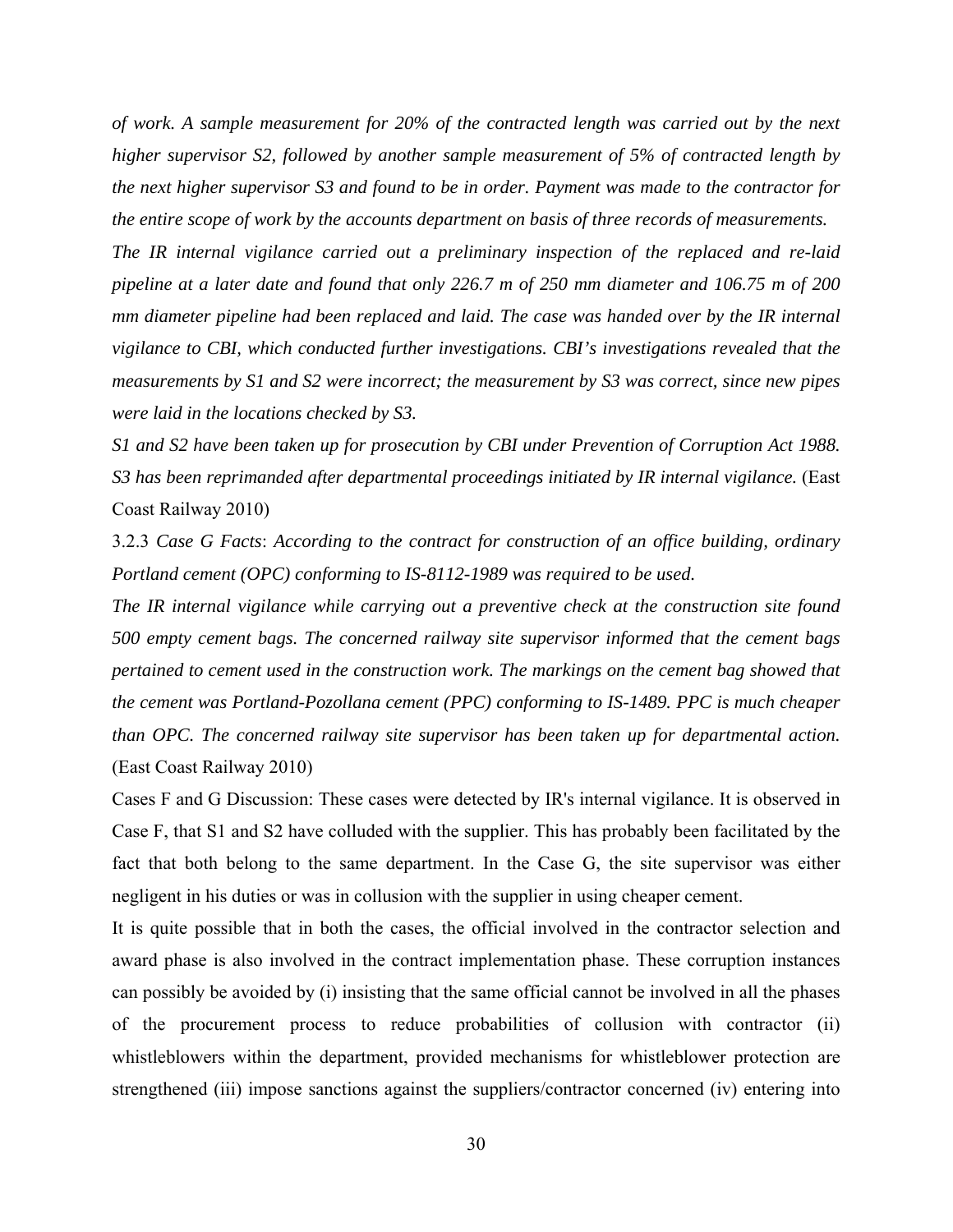*of work. A sample measurement for 20% of the contracted length was carried out by the next higher supervisor S2, followed by another sample measurement of 5% of contracted length by the next higher supervisor S3 and found to be in order. Payment was made to the contractor for the entire scope of work by the accounts department on basis of three records of measurements.* 

*The IR internal vigilance carried out a preliminary inspection of the replaced and re-laid pipeline at a later date and found that only 226.7 m of 250 mm diameter and 106.75 m of 200 mm diameter pipeline had been replaced and laid. The case was handed over by the IR internal vigilance to CBI, which conducted further investigations. CBI's investigations revealed that the measurements by S1 and S2 were incorrect; the measurement by S3 was correct, since new pipes were laid in the locations checked by S3.* 

*S1 and S2 have been taken up for prosecution by CBI under Prevention of Corruption Act 1988. S3 has been reprimanded after departmental proceedings initiated by IR internal vigilance.* (East Coast Railway 2010)

3.2.3 *Case G Facts*: *According to the contract for construction of an office building, ordinary Portland cement (OPC) conforming to IS-8112-1989 was required to be used.* 

*The IR internal vigilance while carrying out a preventive check at the construction site found 500 empty cement bags. The concerned railway site supervisor informed that the cement bags pertained to cement used in the construction work. The markings on the cement bag showed that the cement was Portland-Pozollana cement (PPC) conforming to IS-1489. PPC is much cheaper than OPC. The concerned railway site supervisor has been taken up for departmental action.* (East Coast Railway 2010)

Cases F and G Discussion: These cases were detected by IR's internal vigilance. It is observed in Case F, that S1 and S2 have colluded with the supplier. This has probably been facilitated by the fact that both belong to the same department. In the Case G, the site supervisor was either negligent in his duties or was in collusion with the supplier in using cheaper cement.

It is quite possible that in both the cases, the official involved in the contractor selection and award phase is also involved in the contract implementation phase. These corruption instances can possibly be avoided by (i) insisting that the same official cannot be involved in all the phases of the procurement process to reduce probabilities of collusion with contractor (ii) whistleblowers within the department, provided mechanisms for whistleblower protection are strengthened (iii) impose sanctions against the suppliers/contractor concerned (iv) entering into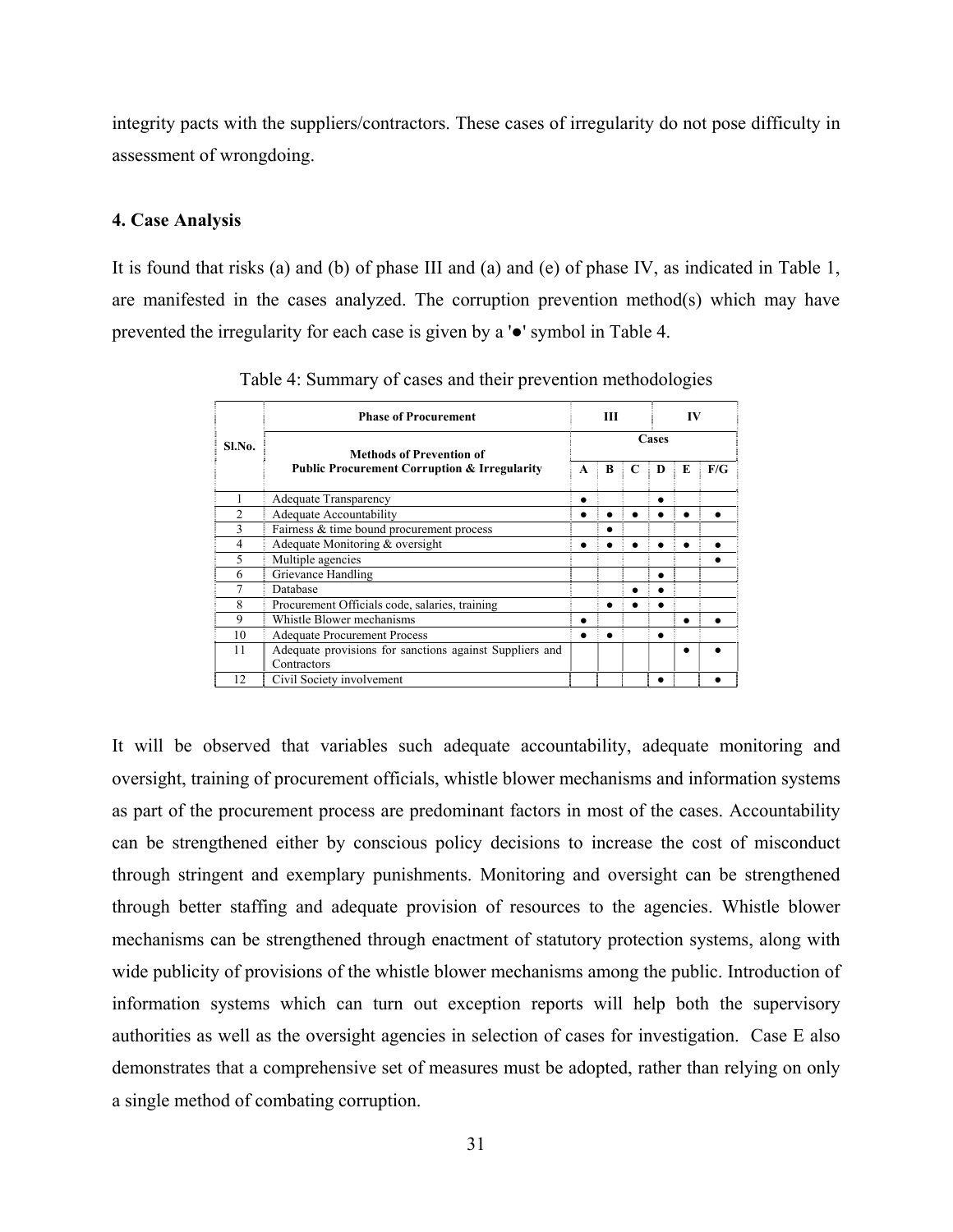integrity pacts with the suppliers/contractors. These cases of irregularity do not pose difficulty in assessment of wrongdoing.

#### **4. Case Analysis**

It is found that risks (a) and (b) of phase III and (a) and (e) of phase IV, as indicated in Table 1, are manifested in the cases analyzed. The corruption prevention method(s) which may have prevented the irregularity for each case is given by a '●' symbol in Table 4.

|        | <b>Phase of Procurement</b>                                            |   | Ш |       | IV |    |     |  |  |  |  |
|--------|------------------------------------------------------------------------|---|---|-------|----|----|-----|--|--|--|--|
| Sl.No. | Methods of Prevention of                                               |   |   | Cases |    |    |     |  |  |  |  |
|        | <b>Public Procurement Corruption &amp; Irregularity</b>                | A | B | C     | D  | E. | F/G |  |  |  |  |
|        | Adequate Transparency                                                  |   |   |       |    |    |     |  |  |  |  |
|        | Adequate Accountability                                                |   |   |       |    |    |     |  |  |  |  |
|        | Fairness & time bound procurement process                              |   |   |       |    |    |     |  |  |  |  |
| 4      | Adequate Monitoring & oversight                                        |   |   |       |    |    |     |  |  |  |  |
| 5      | Multiple agencies                                                      |   |   |       |    |    |     |  |  |  |  |
| 6      | Grievance Handling                                                     |   |   |       |    |    |     |  |  |  |  |
|        | Database                                                               |   |   |       |    |    |     |  |  |  |  |
| 8      | Procurement Officials code, salaries, training                         |   |   |       |    |    |     |  |  |  |  |
| 9      | Whistle Blower mechanisms                                              |   |   |       |    |    |     |  |  |  |  |
| 10     | <b>Adequate Procurement Process</b>                                    |   |   |       |    |    |     |  |  |  |  |
| 11     | Adequate provisions for sanctions against Suppliers and<br>Contractors |   |   |       |    |    |     |  |  |  |  |
| 12     | Civil Society involvement                                              |   |   |       |    |    |     |  |  |  |  |

Table 4: Summary of cases and their prevention methodologies

It will be observed that variables such adequate accountability, adequate monitoring and oversight, training of procurement officials, whistle blower mechanisms and information systems as part of the procurement process are predominant factors in most of the cases. Accountability can be strengthened either by conscious policy decisions to increase the cost of misconduct through stringent and exemplary punishments. Monitoring and oversight can be strengthened through better staffing and adequate provision of resources to the agencies. Whistle blower mechanisms can be strengthened through enactment of statutory protection systems, along with wide publicity of provisions of the whistle blower mechanisms among the public. Introduction of information systems which can turn out exception reports will help both the supervisory authorities as well as the oversight agencies in selection of cases for investigation. Case E also demonstrates that a comprehensive set of measures must be adopted, rather than relying on only a single method of combating corruption.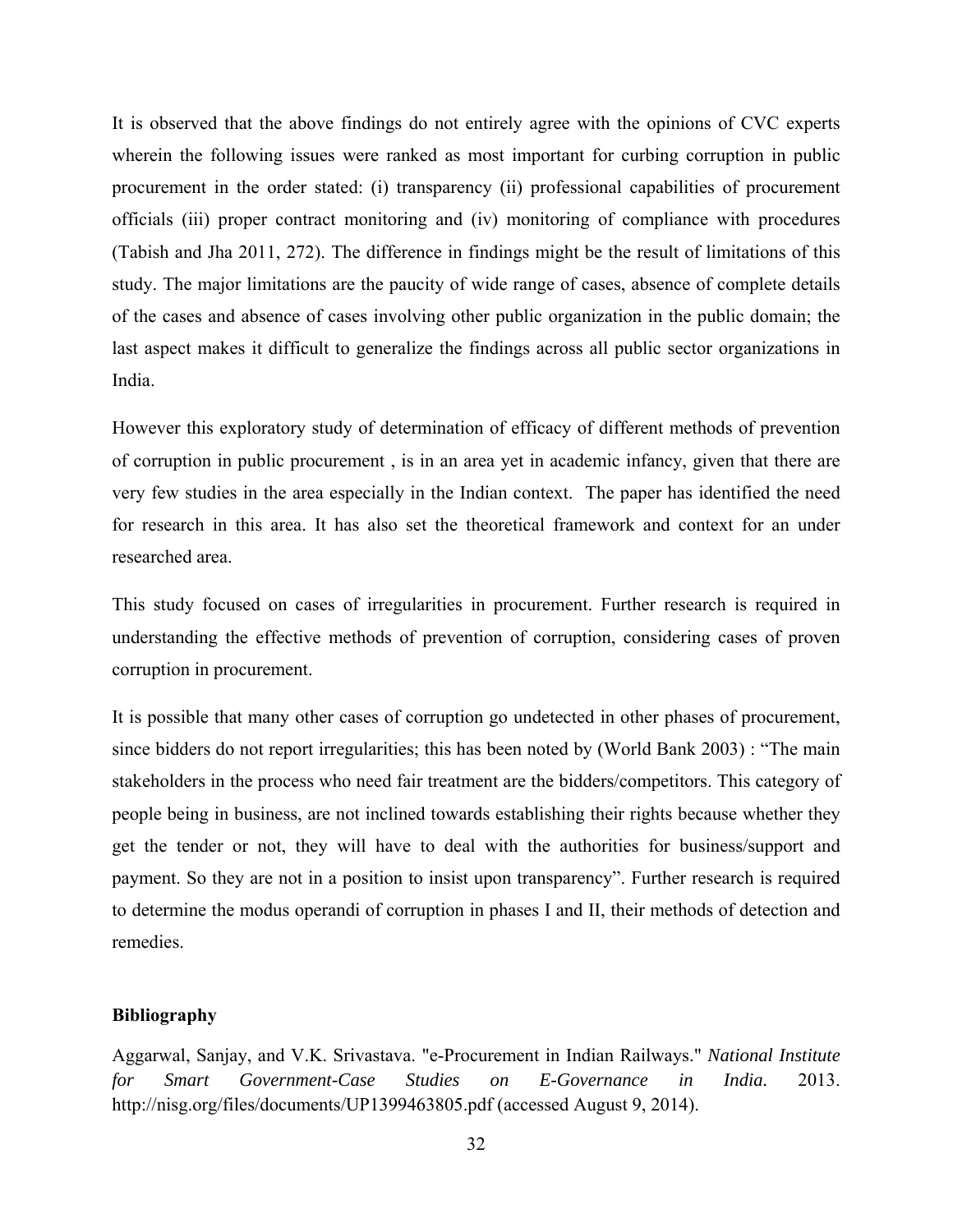It is observed that the above findings do not entirely agree with the opinions of CVC experts wherein the following issues were ranked as most important for curbing corruption in public procurement in the order stated: (i) transparency (ii) professional capabilities of procurement officials (iii) proper contract monitoring and (iv) monitoring of compliance with procedures (Tabish and Jha 2011, 272). The difference in findings might be the result of limitations of this study. The major limitations are the paucity of wide range of cases, absence of complete details of the cases and absence of cases involving other public organization in the public domain; the last aspect makes it difficult to generalize the findings across all public sector organizations in India.

However this exploratory study of determination of efficacy of different methods of prevention of corruption in public procurement , is in an area yet in academic infancy, given that there are very few studies in the area especially in the Indian context. The paper has identified the need for research in this area. It has also set the theoretical framework and context for an under researched area.

This study focused on cases of irregularities in procurement. Further research is required in understanding the effective methods of prevention of corruption, considering cases of proven corruption in procurement.

It is possible that many other cases of corruption go undetected in other phases of procurement, since bidders do not report irregularities; this has been noted by (World Bank 2003) : "The main stakeholders in the process who need fair treatment are the bidders/competitors. This category of people being in business, are not inclined towards establishing their rights because whether they get the tender or not, they will have to deal with the authorities for business/support and payment. So they are not in a position to insist upon transparency". Further research is required to determine the modus operandi of corruption in phases I and II, their methods of detection and remedies.

#### **Bibliography**

Aggarwal, Sanjay, and V.K. Srivastava. "e-Procurement in Indian Railways." *National Institute for Smart Government-Case Studies on E-Governance in India.* 2013. http://nisg.org/files/documents/UP1399463805.pdf (accessed August 9, 2014).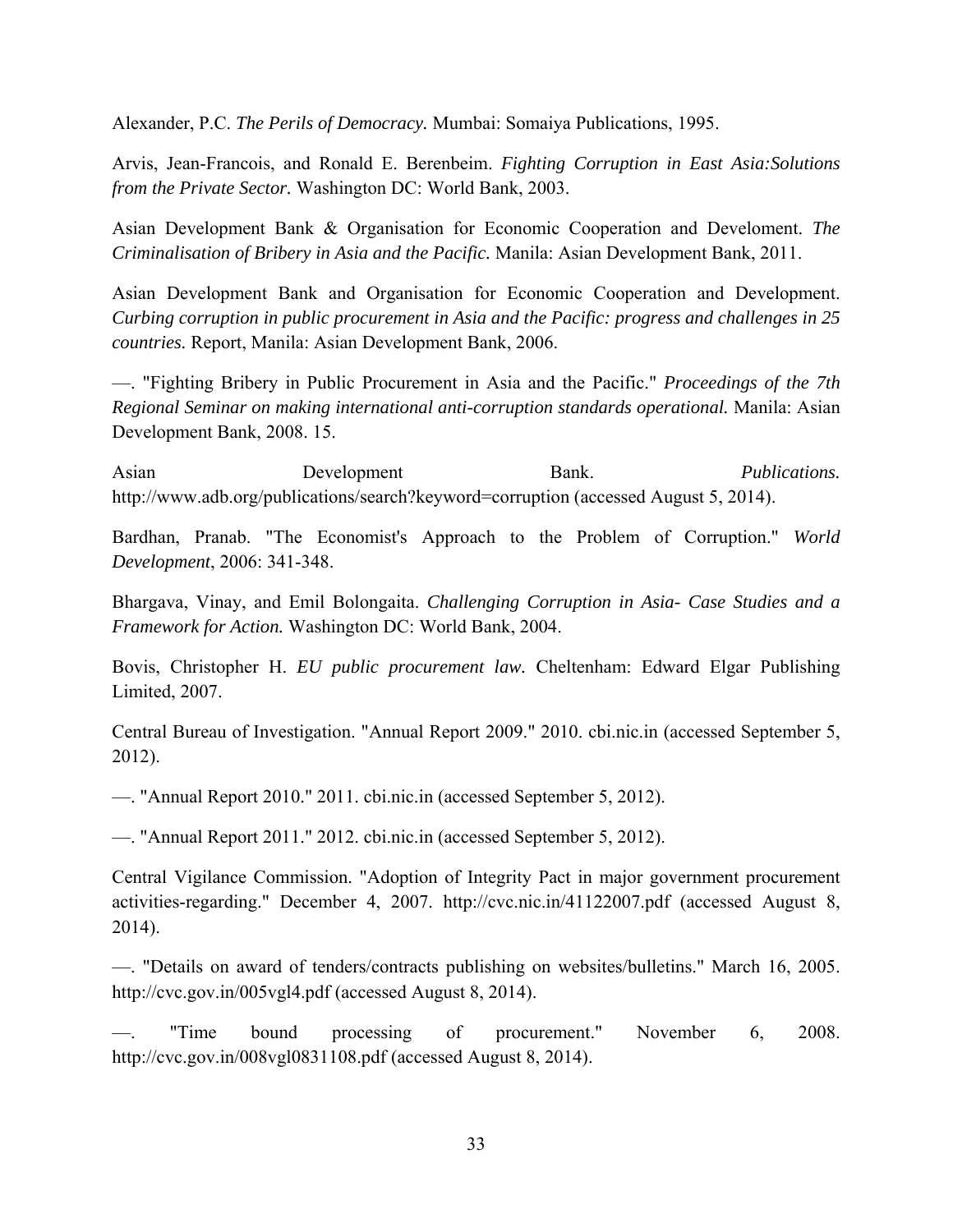Alexander, P.C. *The Perils of Democracy.* Mumbai: Somaiya Publications, 1995.

Arvis, Jean-Francois, and Ronald E. Berenbeim. *Fighting Corruption in East Asia:Solutions from the Private Sector.* Washington DC: World Bank, 2003.

Asian Development Bank & Organisation for Economic Cooperation and Develoment. *The Criminalisation of Bribery in Asia and the Pacific.* Manila: Asian Development Bank, 2011.

Asian Development Bank and Organisation for Economic Cooperation and Development. *Curbing corruption in public procurement in Asia and the Pacific: progress and challenges in 25 countries.* Report, Manila: Asian Development Bank, 2006.

—. "Fighting Bribery in Public Procurement in Asia and the Pacific." *Proceedings of the 7th Regional Seminar on making international anti-corruption standards operational.* Manila: Asian Development Bank, 2008. 15.

Asian Development Bank. *Publications.* http://www.adb.org/publications/search?keyword=corruption (accessed August 5, 2014).

Bardhan, Pranab. "The Economist's Approach to the Problem of Corruption." *World Development*, 2006: 341-348.

Bhargava, Vinay, and Emil Bolongaita. *Challenging Corruption in Asia- Case Studies and a Framework for Action.* Washington DC: World Bank, 2004.

Bovis, Christopher H. *EU public procurement law.* Cheltenham: Edward Elgar Publishing Limited, 2007.

Central Bureau of Investigation. "Annual Report 2009." 2010. cbi.nic.in (accessed September 5, 2012).

—. "Annual Report 2010." 2011. cbi.nic.in (accessed September 5, 2012).

—. "Annual Report 2011." 2012. cbi.nic.in (accessed September 5, 2012).

Central Vigilance Commission. "Adoption of Integrity Pact in major government procurement activities-regarding." December 4, 2007. http://cvc.nic.in/41122007.pdf (accessed August 8, 2014).

—. "Details on award of tenders/contracts publishing on websites/bulletins." March 16, 2005. http://cvc.gov.in/005vgl4.pdf (accessed August 8, 2014).

"Time bound processing of procurement." November 6, 2008. http://cvc.gov.in/008vgl0831108.pdf (accessed August 8, 2014).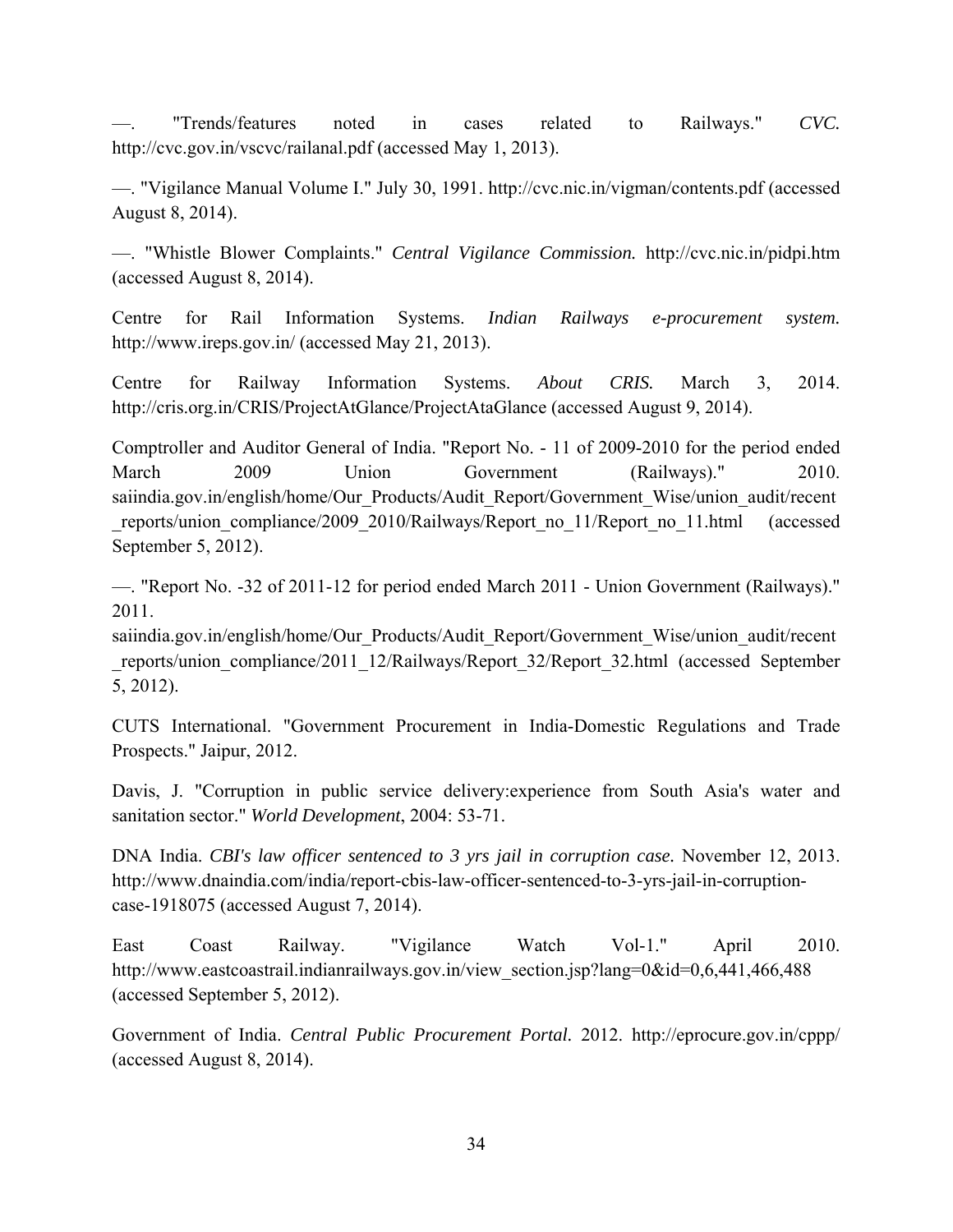—. "Trends/features noted in cases related to Railways." *CVC.* http://cvc.gov.in/vscvc/railanal.pdf (accessed May 1, 2013).

—. "Vigilance Manual Volume I." July 30, 1991. http://cvc.nic.in/vigman/contents.pdf (accessed August 8, 2014).

—. "Whistle Blower Complaints." *Central Vigilance Commission.* http://cvc.nic.in/pidpi.htm (accessed August 8, 2014).

Centre for Rail Information Systems. *Indian Railways e-procurement system.* http://www.ireps.gov.in/ (accessed May 21, 2013).

Centre for Railway Information Systems. *About CRIS.* March 3, 2014. http://cris.org.in/CRIS/ProjectAtGlance/ProjectAtaGlance (accessed August 9, 2014).

Comptroller and Auditor General of India. "Report No. - 11 of 2009-2010 for the period ended March 2009 Union Government (Railways)." 2010. saiindia.gov.in/english/home/Our\_Products/Audit\_Report/Government\_Wise/union\_audit/recent reports/union\_compliance/2009\_2010/Railways/Report\_no\_11/Report\_no\_11.html (accessed September 5, 2012).

—. "Report No. -32 of 2011-12 for period ended March 2011 - Union Government (Railways)." 2011.

saiindia.gov.in/english/home/Our\_Products/Audit\_Report/Government\_Wise/union\_audit/recent \_reports/union\_compliance/2011\_12/Railways/Report\_32/Report\_32.html (accessed September 5, 2012).

CUTS International. "Government Procurement in India-Domestic Regulations and Trade Prospects." Jaipur, 2012.

Davis, J. "Corruption in public service delivery:experience from South Asia's water and sanitation sector." *World Development*, 2004: 53-71.

DNA India. *CBI's law officer sentenced to 3 yrs jail in corruption case.* November 12, 2013. http://www.dnaindia.com/india/report-cbis-law-officer-sentenced-to-3-yrs-jail-in-corruptioncase-1918075 (accessed August 7, 2014).

East Coast Railway. "Vigilance Watch Vol-1." April 2010. http://www.eastcoastrail.indianrailways.gov.in/view\_section.jsp?lang=0&id=0,6,441,466,488 (accessed September 5, 2012).

Government of India. *Central Public Procurement Portal.* 2012. http://eprocure.gov.in/cppp/ (accessed August 8, 2014).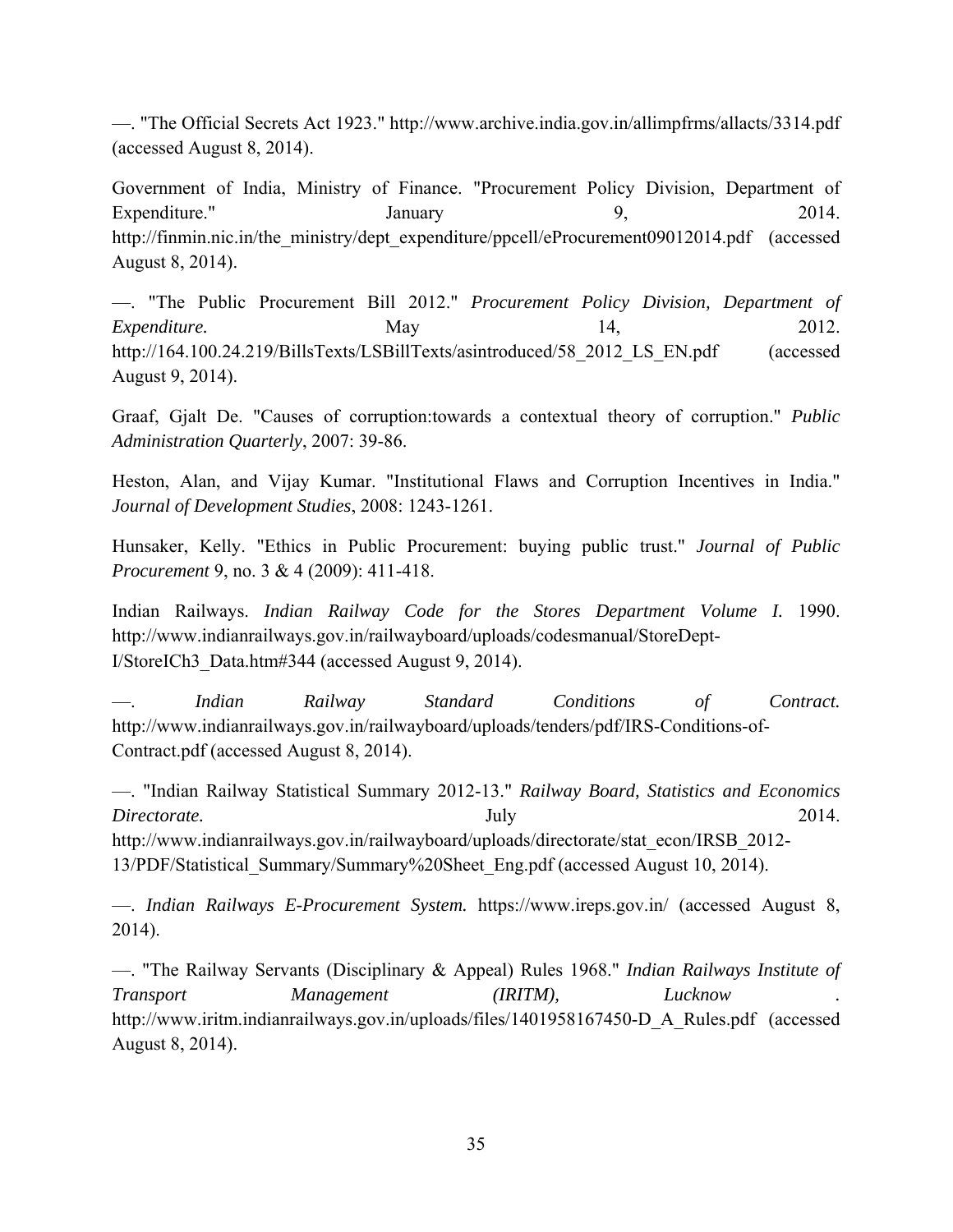—. "The Official Secrets Act 1923." http://www.archive.india.gov.in/allimpfrms/allacts/3314.pdf (accessed August 8, 2014).

Government of India, Ministry of Finance. "Procurement Policy Division, Department of Expenditure." January 9, 2014. http://finmin.nic.in/the\_ministry/dept\_expenditure/ppcell/eProcurement09012014.pdf (accessed August 8, 2014).

—. "The Public Procurement Bill 2012." *Procurement Policy Division, Department of Expenditure.* May May 14, 2012. http://164.100.24.219/BillsTexts/LSBillTexts/asintroduced/58\_2012\_LS\_EN.pdf (accessed August 9, 2014).

Graaf, Gjalt De. "Causes of corruption:towards a contextual theory of corruption." *Public Administration Quarterly*, 2007: 39-86.

Heston, Alan, and Vijay Kumar. "Institutional Flaws and Corruption Incentives in India." *Journal of Development Studies*, 2008: 1243-1261.

Hunsaker, Kelly. "Ethics in Public Procurement: buying public trust." *Journal of Public Procurement* 9, no. 3 & 4 (2009): 411-418.

Indian Railways. *Indian Railway Code for the Stores Department Volume I.* 1990. http://www.indianrailways.gov.in/railwayboard/uploads/codesmanual/StoreDept-I/StoreICh3\_Data.htm#344 (accessed August 9, 2014).

—. *Indian Railway Standard Conditions of Contract.* http://www.indianrailways.gov.in/railwayboard/uploads/tenders/pdf/IRS-Conditions-of-Contract.pdf (accessed August 8, 2014).

—. "Indian Railway Statistical Summary 2012-13." *Railway Board, Statistics and Economics Directorate.* 2014. http://www.indianrailways.gov.in/railwayboard/uploads/directorate/stat\_econ/IRSB\_2012-13/PDF/Statistical\_Summary/Summary%20Sheet\_Eng.pdf (accessed August 10, 2014).

—. *Indian Railways E-Procurement System.* https://www.ireps.gov.in/ (accessed August 8, 2014).

—. "The Railway Servants (Disciplinary & Appeal) Rules 1968." *Indian Railways Institute of Transport Management (IRITM), Lucknow .* http://www.iritm.indianrailways.gov.in/uploads/files/1401958167450-D\_A\_Rules.pdf (accessed August 8, 2014).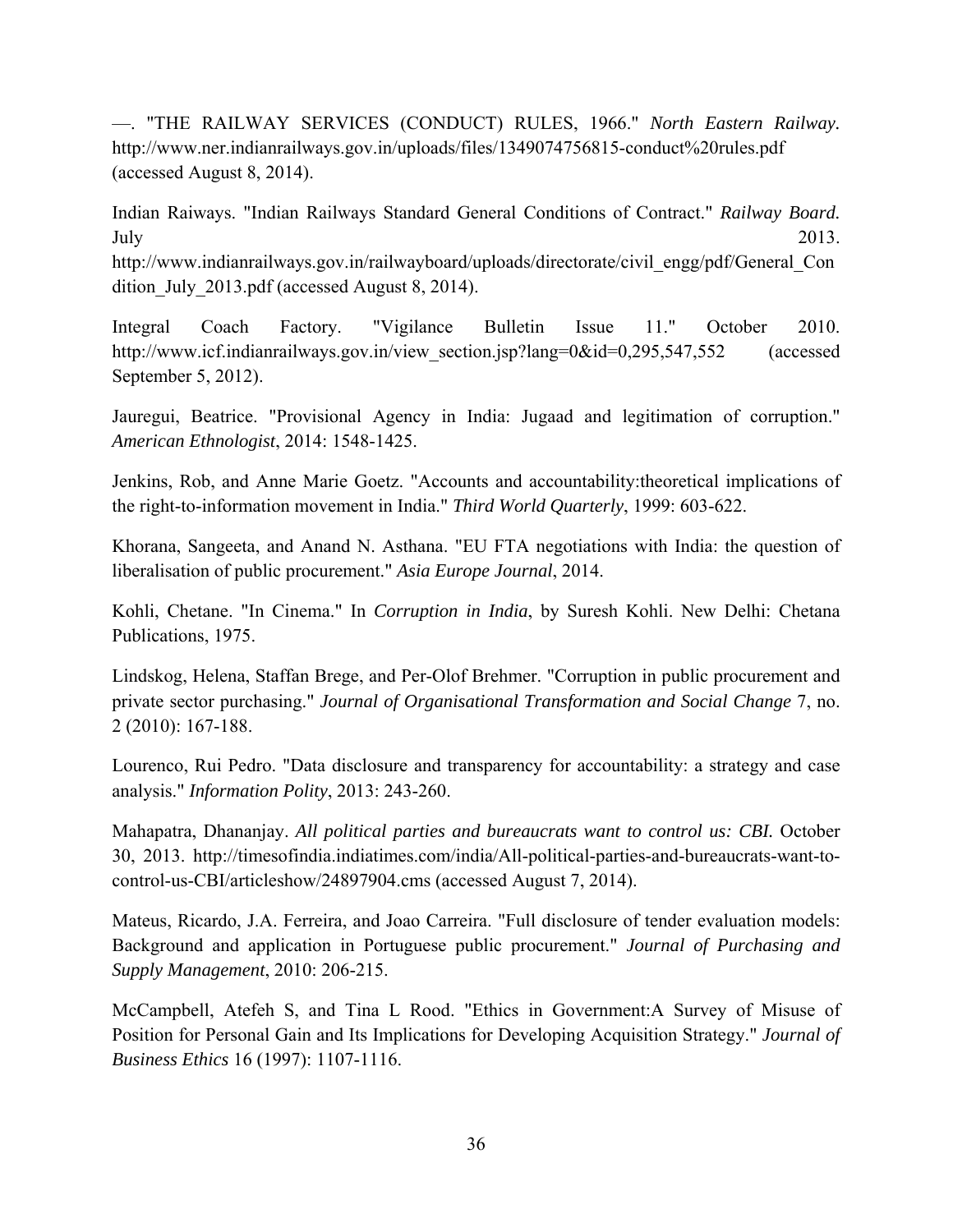—. "THE RAILWAY SERVICES (CONDUCT) RULES, 1966." *North Eastern Railway.* http://www.ner.indianrailways.gov.in/uploads/files/1349074756815-conduct%20rules.pdf (accessed August 8, 2014).

Indian Raiways. "Indian Railways Standard General Conditions of Contract." *Railway Board.* July 2013. http://www.indianrailways.gov.in/railwayboard/uploads/directorate/civil\_engg/pdf/General\_Con dition July 2013.pdf (accessed August 8, 2014).

Integral Coach Factory. "Vigilance Bulletin Issue 11." October 2010. http://www.icf.indianrailways.gov.in/view\_section.jsp?lang=0&id=0,295,547,552 (accessed September 5, 2012).

Jauregui, Beatrice. "Provisional Agency in India: Jugaad and legitimation of corruption." *American Ethnologist*, 2014: 1548-1425.

Jenkins, Rob, and Anne Marie Goetz. "Accounts and accountability:theoretical implications of the right-to-information movement in India." *Third World Quarterly*, 1999: 603-622.

Khorana, Sangeeta, and Anand N. Asthana. "EU FTA negotiations with India: the question of liberalisation of public procurement." *Asia Europe Journal*, 2014.

Kohli, Chetane. "In Cinema." In *Corruption in India*, by Suresh Kohli. New Delhi: Chetana Publications, 1975.

Lindskog, Helena, Staffan Brege, and Per-Olof Brehmer. "Corruption in public procurement and private sector purchasing." *Journal of Organisational Transformation and Social Change* 7, no. 2 (2010): 167-188.

Lourenco, Rui Pedro. "Data disclosure and transparency for accountability: a strategy and case analysis." *Information Polity*, 2013: 243-260.

Mahapatra, Dhananjay. *All political parties and bureaucrats want to control us: CBI.* October 30, 2013. http://timesofindia.indiatimes.com/india/All-political-parties-and-bureaucrats-want-tocontrol-us-CBI/articleshow/24897904.cms (accessed August 7, 2014).

Mateus, Ricardo, J.A. Ferreira, and Joao Carreira. "Full disclosure of tender evaluation models: Background and application in Portuguese public procurement." *Journal of Purchasing and Supply Management*, 2010: 206-215.

McCampbell, Atefeh S, and Tina L Rood. "Ethics in Government:A Survey of Misuse of Position for Personal Gain and Its Implications for Developing Acquisition Strategy." *Journal of Business Ethics* 16 (1997): 1107-1116.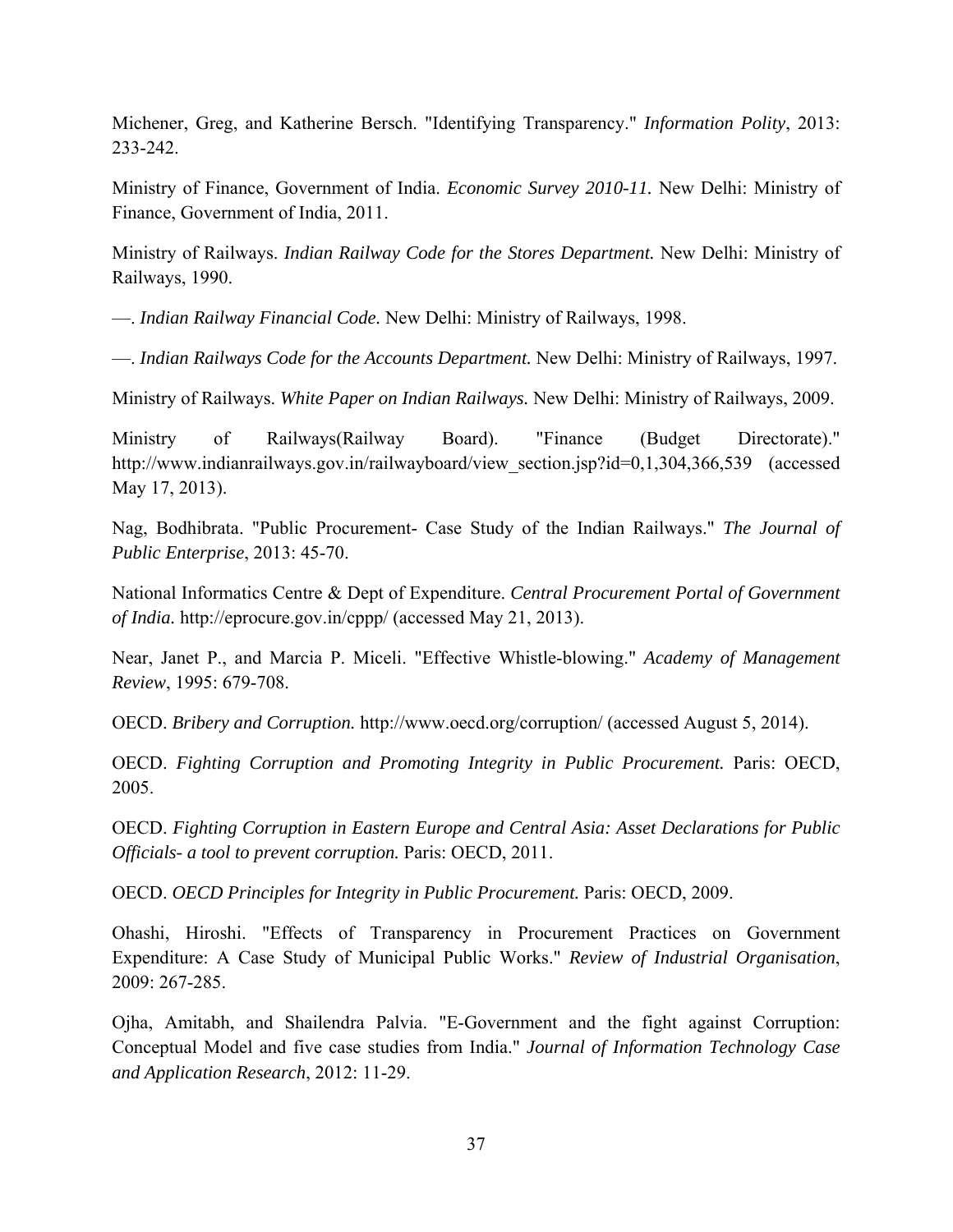Michener, Greg, and Katherine Bersch. "Identifying Transparency." *Information Polity*, 2013: 233-242.

Ministry of Finance, Government of India. *Economic Survey 2010-11.* New Delhi: Ministry of Finance, Government of India, 2011.

Ministry of Railways. *Indian Railway Code for the Stores Department.* New Delhi: Ministry of Railways, 1990.

—. *Indian Railway Financial Code.* New Delhi: Ministry of Railways, 1998.

—. *Indian Railways Code for the Accounts Department.* New Delhi: Ministry of Railways, 1997.

Ministry of Railways. *White Paper on Indian Railways.* New Delhi: Ministry of Railways, 2009.

Ministry of Railways(Railway Board). "Finance (Budget Directorate)." http://www.indianrailways.gov.in/railwayboard/view\_section.jsp?id=0,1,304,366,539 (accessed May 17, 2013).

Nag, Bodhibrata. "Public Procurement- Case Study of the Indian Railways." *The Journal of Public Enterprise*, 2013: 45-70.

National Informatics Centre & Dept of Expenditure. *Central Procurement Portal of Government of India.* http://eprocure.gov.in/cppp/ (accessed May 21, 2013).

Near, Janet P., and Marcia P. Miceli. "Effective Whistle-blowing." *Academy of Management Review*, 1995: 679-708.

OECD. *Bribery and Corruption.* http://www.oecd.org/corruption/ (accessed August 5, 2014).

OECD. *Fighting Corruption and Promoting Integrity in Public Procurement.* Paris: OECD, 2005.

OECD. *Fighting Corruption in Eastern Europe and Central Asia: Asset Declarations for Public Officials- a tool to prevent corruption.* Paris: OECD, 2011.

OECD. *OECD Principles for Integrity in Public Procurement.* Paris: OECD, 2009.

Ohashi, Hiroshi. "Effects of Transparency in Procurement Practices on Government Expenditure: A Case Study of Municipal Public Works." *Review of Industrial Organisation*, 2009: 267-285.

Ojha, Amitabh, and Shailendra Palvia. "E-Government and the fight against Corruption: Conceptual Model and five case studies from India." *Journal of Information Technology Case and Application Research*, 2012: 11-29.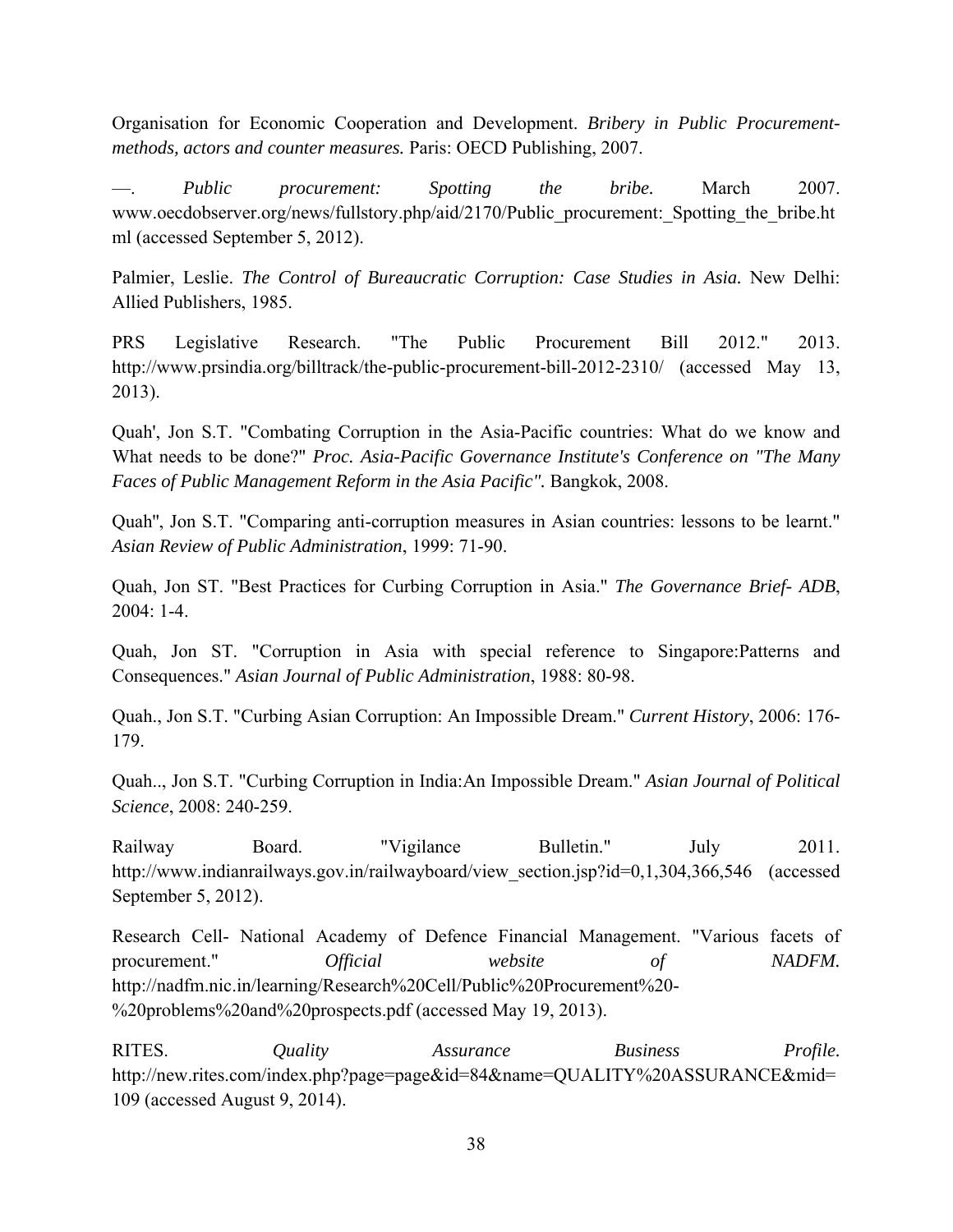Organisation for Economic Cooperation and Development. *Bribery in Public Procurementmethods, actors and counter measures.* Paris: OECD Publishing, 2007.

—. *Public procurement: Spotting the bribe.* March 2007. www.oecdobserver.org/news/fullstory.php/aid/2170/Public procurement: Spotting the bribe.ht ml (accessed September 5, 2012).

Palmier, Leslie. *The Control of Bureaucratic Corruption: Case Studies in Asia.* New Delhi: Allied Publishers, 1985.

PRS Legislative Research. "The Public Procurement Bill 2012." 2013. http://www.prsindia.org/billtrack/the-public-procurement-bill-2012-2310/ (accessed May 13, 2013).

Quah', Jon S.T. "Combating Corruption in the Asia-Pacific countries: What do we know and What needs to be done?" *Proc. Asia-Pacific Governance Institute's Conference on "The Many Faces of Public Management Reform in the Asia Pacific".* Bangkok, 2008.

Quah'', Jon S.T. "Comparing anti-corruption measures in Asian countries: lessons to be learnt." *Asian Review of Public Administration*, 1999: 71-90.

Quah, Jon ST. "Best Practices for Curbing Corruption in Asia." *The Governance Brief- ADB*,  $2004:1 - 4$ .

Quah, Jon ST. "Corruption in Asia with special reference to Singapore:Patterns and Consequences." *Asian Journal of Public Administration*, 1988: 80-98.

Quah., Jon S.T. "Curbing Asian Corruption: An Impossible Dream." *Current History*, 2006: 176- 179.

Quah.., Jon S.T. "Curbing Corruption in India:An Impossible Dream." *Asian Journal of Political Science*, 2008: 240-259.

Railway Board. "Vigilance Bulletin." July 2011. http://www.indianrailways.gov.in/railwayboard/view\_section.jsp?id=0,1,304,366,546 (accessed September 5, 2012).

Research Cell- National Academy of Defence Financial Management. "Various facets of procurement." *Official website of NADFM.* http://nadfm.nic.in/learning/Research%20Cell/Public%20Procurement%20- %20problems%20and%20prospects.pdf (accessed May 19, 2013).

RITES. *Quality Assurance Business Profile.* http://new.rites.com/index.php?page=page&id=84&name=QUALITY%20ASSURANCE&mid= 109 (accessed August 9, 2014).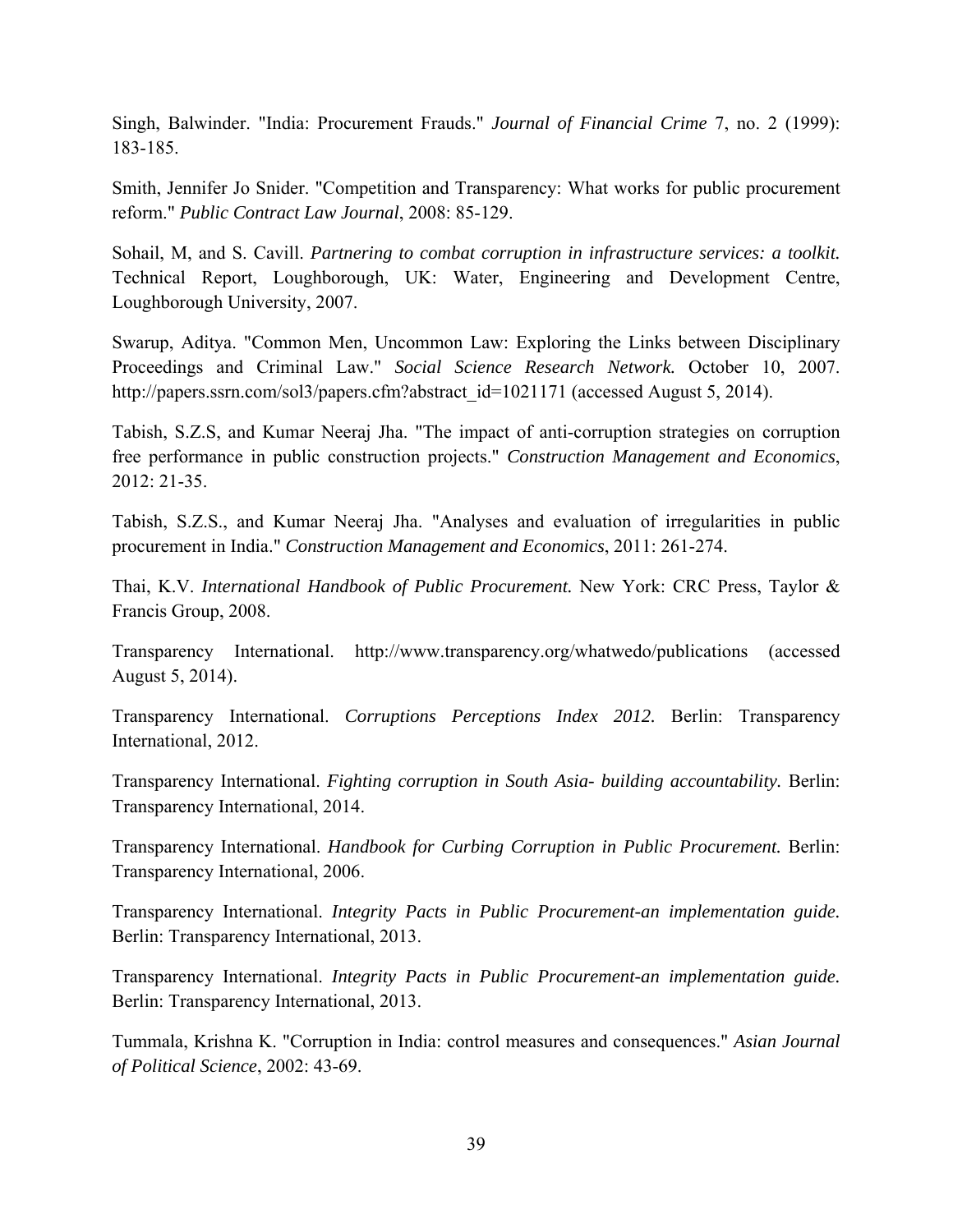Singh, Balwinder. "India: Procurement Frauds." *Journal of Financial Crime* 7, no. 2 (1999): 183-185.

Smith, Jennifer Jo Snider. "Competition and Transparency: What works for public procurement reform." *Public Contract Law Journal*, 2008: 85-129.

Sohail, M, and S. Cavill. *Partnering to combat corruption in infrastructure services: a toolkit.* Technical Report, Loughborough, UK: Water, Engineering and Development Centre, Loughborough University, 2007.

Swarup, Aditya. "Common Men, Uncommon Law: Exploring the Links between Disciplinary Proceedings and Criminal Law." *Social Science Research Network.* October 10, 2007. http://papers.ssrn.com/sol3/papers.cfm?abstract\_id=1021171 (accessed August 5, 2014).

Tabish, S.Z.S, and Kumar Neeraj Jha. "The impact of anti-corruption strategies on corruption free performance in public construction projects." *Construction Management and Economics*, 2012: 21-35.

Tabish, S.Z.S., and Kumar Neeraj Jha. "Analyses and evaluation of irregularities in public procurement in India." *Construction Management and Economics*, 2011: 261-274.

Thai, K.V. *International Handbook of Public Procurement.* New York: CRC Press, Taylor & Francis Group, 2008.

Transparency International. http://www.transparency.org/whatwedo/publications (accessed August 5, 2014).

Transparency International. *Corruptions Perceptions Index 2012.* Berlin: Transparency International, 2012.

Transparency International. *Fighting corruption in South Asia- building accountability.* Berlin: Transparency International, 2014.

Transparency International. *Handbook for Curbing Corruption in Public Procurement.* Berlin: Transparency International, 2006.

Transparency International. *Integrity Pacts in Public Procurement-an implementation guide.* Berlin: Transparency International, 2013.

Transparency International. *Integrity Pacts in Public Procurement-an implementation guide.* Berlin: Transparency International, 2013.

Tummala, Krishna K. "Corruption in India: control measures and consequences." *Asian Journal of Political Science*, 2002: 43-69.